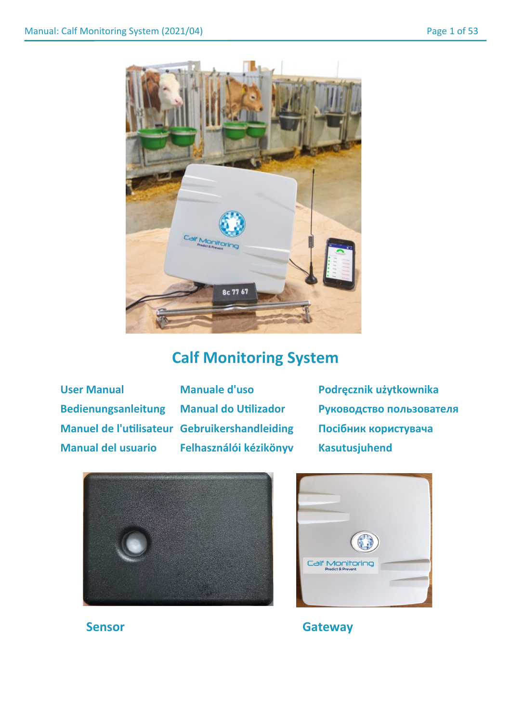

# **Calf Monitoring System**

**Manuel de l'utilisateur Gebruikershandleiding Посібник користувача Manual del usuario Felhasználói kézikönyv Kasutusjuhend**

**User Manual Manuale d'uso Podręcznik użytkownika Bedienungsanleitung Manual do Utilizador Руководство пользователя**





**Sensor Gateway**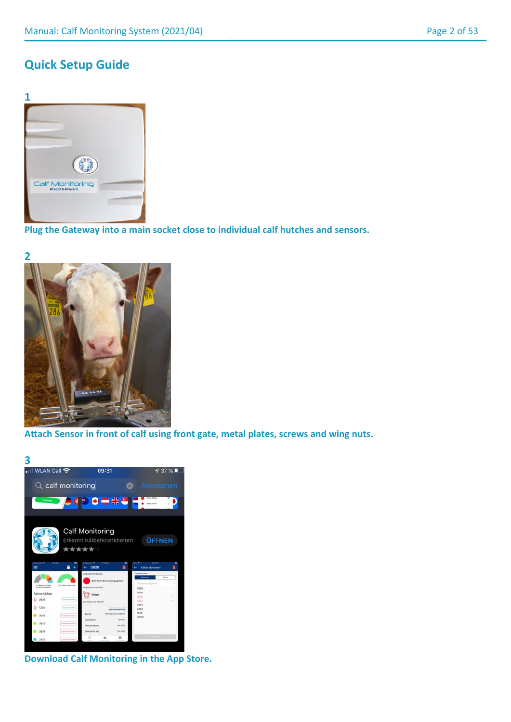# **Quick Setup Guide**



**Plug the Gateway into a main socket close to individual calf hutches and sensors.**



**Attach Sensor in front of calf using front gate, metal plates, screws and wing nuts.**



**Download Calf Monitoring in the App Store.**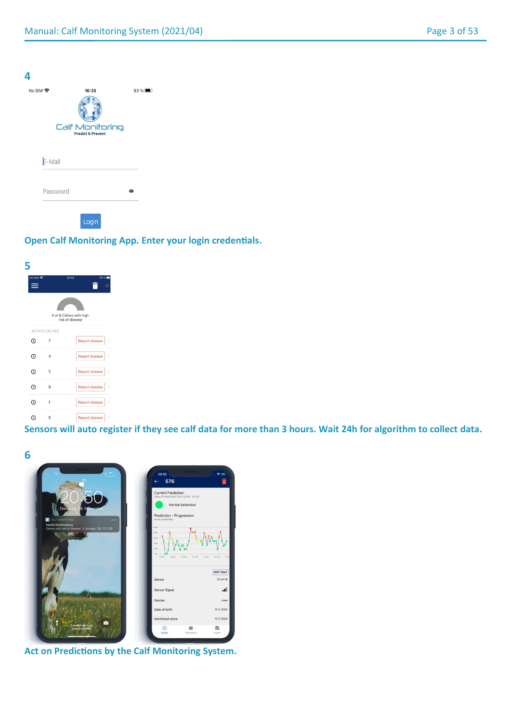| No SIM 今 | 16:38                                           | $83\%$    |
|----------|-------------------------------------------------|-----------|
|          | Calf Monitoring<br><b>Predict &amp; Prevent</b> |           |
| E-Mail   |                                                 |           |
| Password |                                                 | $\bullet$ |

# **Open Calf Monitoring App. Enter your login credentials.**



**Sensors will auto register if they see calf data for more than 3 hours. Wait 24h for algorithm to collect data.**



**Act on Predictions by the Calf Monitoring System.**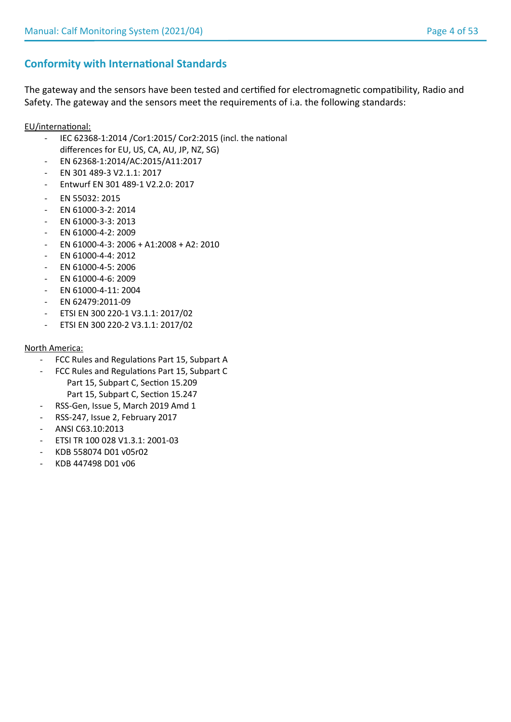# **Conformity with International Standards**

The gateway and the sensors have been tested and certified for electromagnetic compatibility, Radio and Safety. The gateway and the sensors meet the requirements of i.a. the following standards:

EU/international:

- IEC 62368-1:2014 /Cor1:2015/ Cor2:2015 (incl. the national differences for EU, US, CA, AU, JP, NZ, SG)
- EN 62368-1:2014/AC:2015/A11:2017
- EN 301 489-3 V2.1.1: 2017
- Entwurf EN 301 489-1 V2.2.0: 2017
- EN 55032: 2015
- EN 61000-3-2: 2014
- EN 61000-3-3: 2013
- EN 61000-4-2: 2009
- EN 61000-4-3: 2006 + A1:2008 + A2: 2010
- EN 61000-4-4: 2012
- EN 61000-4-5: 2006
- EN 61000-4-6: 2009
- EN 61000-4-11: 2004
- EN 62479:2011-09
- ETSI EN 300 220-1 V3.1.1: 2017/02
- ETSI EN 300 220-2 V3.1.1: 2017/02

## North America:

- FCC Rules and Regulations Part 15, Subpart A
- FCC Rules and Regulations Part 15, Subpart C Part 15, Subpart C, Section 15.209 Part 15, Subpart C, Section 15.247
- RSS-Gen, Issue 5, March 2019 Amd 1
- RSS-247, Issue 2, February 2017
- ANSI C63.10:2013
- ETSI TR 100 028 V1.3.1: 2001-03
- KDB 558074 D01 v05r02
- KDB 447498 D01 v06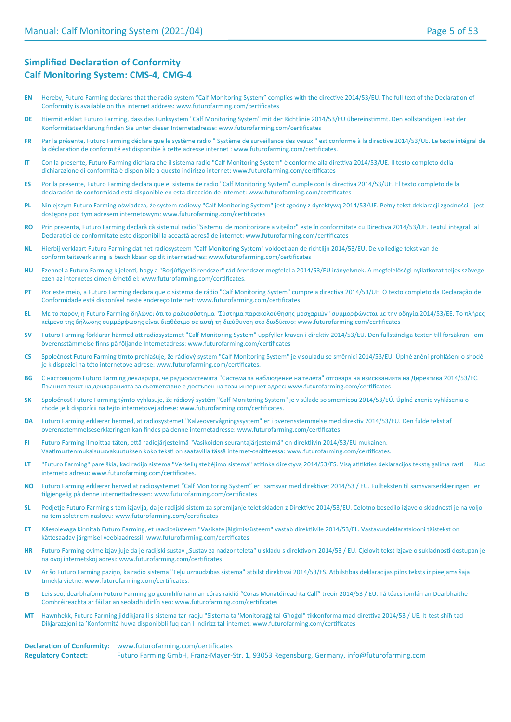# **Simplified Declaration of Conformity Calf Monitoring System: CMS-4, CMG-4**

- **EN** Hereby, Futuro Farming declares that the radio system "Calf Monitoring System" complies with the directive 2014/53/EU. The full text of the Declaration of Conformity is available on this internet address: www.futurofarming.com/certificates
- **DE** Hiermit erklärt Futuro Farming, dass das Funksystem "Calf Monitoring System" mit der Richtlinie 2014/53/EU übereinstimmt. Den vollständigen Text der Konformitätserklärung finden Sie unter dieser Internetadresse: www.futurofarming.com/certificates
- **FR** Par la présente, Futuro Farming déclare que le système radio " Système de surveillance des veaux " est conforme à la directive 2014/53/UE. Le texte intégral de la déclaration de conformité est disponible à cette adresse internet : www.futurofarming.com/certificates.
- **IT** Con la presente, Futuro Farming dichiara che il sistema radio "Calf Monitoring System" è conforme alla direttiva 2014/53/UE. Il testo completo della dichiarazione di conformità è disponibile a questo indirizzo internet: www.futurofarming.com/certificates
- **ES** Por la presente, Futuro Farming declara que el sistema de radio "Calf Monitoring System" cumple con la directiva 2014/53/UE. El texto completo de la declaración de conformidad está disponible en esta dirección de Internet: www.futurofarming.com/certificates
- **PL** Niniejszym Futuro Farming oświadcza, że system radiowy "Calf Monitoring System" jest zgodny z dyrektywą 2014/53/UE. Pełny tekst deklaracji zgodności jest dostępny pod tym adresem internetowym: www.futurofarming.com/certificates
- **RO** Prin prezenta, Futuro Farming declară că sistemul radio "Sistemul de monitorizare a vițeilor" este în conformitate cu Directiva 2014/53/UE. Textul integral al Declarației de conformitate este disponibil la această adresă de internet: www.futurofarming.com/certificates
- **NL** Hierbij verklaart Futuro Farming dat het radiosysteem "Calf Monitoring System" voldoet aan de richtlijn 2014/53/EU. De volledige tekst van de conformiteitsverklaring is beschikbaar op dit internetadres: www.futurofarming.com/certificates
- **HU** Ezennel a Futuro Farming kijelenti, hogy a "Borjúfigyelő rendszer" rádiórendszer megfelel a 2014/53/EU irányelvnek. A megfelelőségi nyilatkozat teljes szövege ezen az internetes címen érhető el: www.futurofarming.com/certificates.
- **PT** Por este meio, a Futuro Farming declara que o sistema de rádio "Calf Monitoring System" cumpre a directiva 2014/53/UE. O texto completo da Declaração de Conformidade está disponível neste endereço Internet: www.futurofarming.com/certificates
- **EL** Με το παρόν, η Futuro Farming δηλώνει ότι το ραδιοσύστημα "Σύστημα παρακολούθησης μοσχαριών" συμμορφώνεται με την οδηγία 2014/53/ΕΕ. Το πλήρες κείμενο της δήλωσης συμμόρφωσης είναι διαθέσιμο σε αυτή τη διεύθυνση στο διαδίκτυο: www.futurofarming.com/certificates
- **SV** Futuro Farming förklarar härmed att radiosystemet "Calf Monitoring System" uppfyller kraven i direktiv 2014/53/EU. Den fullständiga texten till försäkran om överensstämmelse finns på följande Internetadress: www.futurofarming.com/certificates
- **CS** Společnost Futuro Farming tímto prohlašuje, že rádiový systém "Calf Monitoring System" je v souladu se směrnicí 2014/53/EU. Úplné znění prohlášení o shodě je k dispozici na této internetové adrese: www.futurofarming.com/certificates.
- **BG** С настоящото Futuro Farming декларира, че радиосистемата "Система за наблюдение на телета" отговаря на изискванията на Директива 2014/53/ЕС. Пълният текст на декларацията за съответствие е достъпен на този интернет адрес: www.futurofarming.com/certificates
- **SK** Spoločnosť Futuro Farming týmto vyhlasuje, že rádiový systém "Calf Monitoring System" je v súlade so smernicou 2014/53/EÚ. Úplné znenie vyhlásenia o zhode je k dispozícii na tejto internetovej adrese: www.futurofarming.com/certificates.
- **DA** Futuro Farming erklærer hermed, at radiosystemet "Kalveovervågningssystem" er i overensstemmelse med direktiv 2014/53/EU. Den fulde tekst af overensstemmelseserklæringen kan findes på denne internetadresse: www.futurofarming.com/certificates
- **FI** Futuro Farming ilmoittaa täten, että radiojärjestelmä "Vasikoiden seurantajärjestelmä" on direktiivin 2014/53/EU mukainen. Vaatimustenmukaisuusvakuutuksen koko teksti on saatavilla tässä internet-osoitteessa: www.futurofarming.com/certificates.
- **LT** "Futuro Farming" pareiškia, kad radijo sistema "Veršelių stebėjimo sistema" atitinka direktyvą 2014/53/ES. Visą atitikties deklaracijos tekstą galima rasti šiuo interneto adresu: www.futurofarming.com/certificates.
- **NO** Futuro Farming erklærer herved at radiosystemet "Calf Monitoring System" er i samsvar med direktivet 2014/53 / EU. Fullteksten til samsvarserklæringen er tilgjengelig på denne internettadressen: www.futurofarming.com/certificates
- **SL** Podjetje Futuro Farming s tem izjavlja, da je radijski sistem za spremljanje telet skladen z Direktivo 2014/53/EU. Celotno besedilo izjave o skladnosti je na voljo na tem spletnem naslovu: www.futurofarming.com/certificates
- **ET** Käesolevaga kinnitab Futuro Farming, et raadiosüsteem "Vasikate jälgimissüsteem" vastab direktiivile 2014/53/EL. Vastavusdeklaratsiooni täistekst on kättesaadav järgmisel veebiaadressil: www.futurofarming.com/certificates
- HR Futuro Farming ovime izjavljuje da je radijski sustav "Sustav za nadzor teleta" u skladu s direktivom 2014/53 / EU. Cjelovit tekst Izjave o sukladnosti dostupan je na ovoj internetskoj adresi: www.futurofarming.com/certificates
- **LV** Ar šo Futuro Farming paziņo, ka radio sistēma "Teļu uzraudzības sistēma" atbilst direktīvai 2014/53/ES. Atbilstības deklarācijas pilns teksts ir pieejams šajā tīmekļa vietnē: www.futurofarming.com/certificates.
- **IS** Leis seo, dearbhaíonn Futuro Farming go gcomhlíonann an córas raidió "Córas Monatóireachta Calf" treoir 2014/53 / EU. Tá téacs iomlán an Dearbhaithe Comhréireachta ar fáil ar an seoladh idirlín seo: www.futurofarming.com/certificates
- **MT** Hawnhekk, Futuro Farming jiddikjara li s-sistema tar-radju "Sistema ta 'Monitoraġġ tal-Għoġol" tikkonforma mad-direttiva 2014/53 / UE. It-test sħiħ tad-Dikjarazzjoni ta 'Konformità huwa disponibbli fuq dan l-indirizz tal-internet: www.futurofarming.com/certificates

#### **Declaration of Conformity:** www.futurofarming.com/certificates **Regulatory Contact:** Futuro Farming GmbH, Franz-Mayer-Str. 1, 93053 Regensburg, Germany, info@futurofarming.com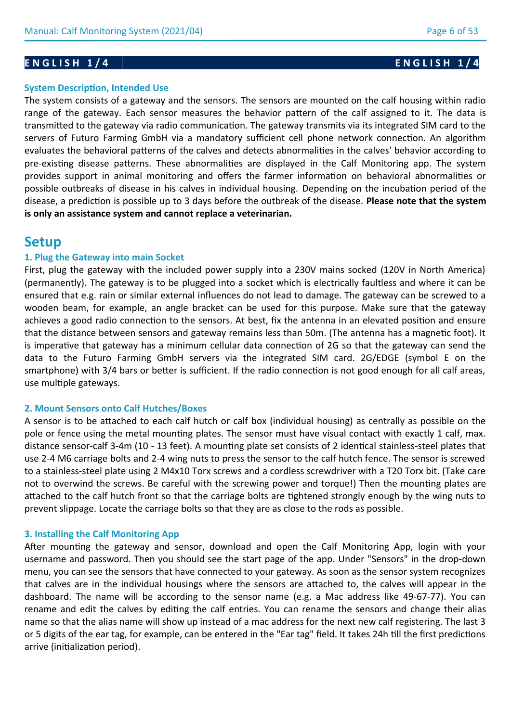## **System Description, Intended Use**

The system consists of a gateway and the sensors. The sensors are mounted on the calf housing within radio range of the gateway. Each sensor measures the behavior pattern of the calf assigned to it. The data is transmitted to the gateway via radio communication. The gateway transmits via its integrated SIM card to the servers of Futuro Farming GmbH via a mandatory sufficient cell phone network connection. An algorithm evaluates the behavioral patterns of the calves and detects abnormalities in the calves' behavior according to pre-existing disease patterns. These abnormalities are displayed in the Calf Monitoring app. The system provides support in animal monitoring and offers the farmer information on behavioral abnormalities or possible outbreaks of disease in his calves in individual housing. Depending on the incubation period of the disease, a prediction is possible up to 3 days before the outbreak of the disease. **Please note that the system is only an assistance system and cannot replace a veterinarian.**

# **Setup**

## **1. Plug the Gateway into main Socket**

First, plug the gateway with the included power supply into a 230V mains socked (120V in North America) (permanently). The gateway is to be plugged into a socket which is electrically faultless and where it can be ensured that e.g. rain or similar external influences do not lead to damage. The gateway can be screwed to a wooden beam, for example, an angle bracket can be used for this purpose. Make sure that the gateway achieves a good radio connection to the sensors. At best, fix the antenna in an elevated position and ensure that the distance between sensors and gateway remains less than 50m. (The antenna has a magnetic foot). It is imperative that gateway has a minimum cellular data connection of 2G so that the gateway can send the data to the Futuro Farming GmbH servers via the integrated SIM card. 2G/EDGE (symbol E on the smartphone) with 3/4 bars or better is sufficient. If the radio connection is not good enough for all calf areas, use multiple gateways.

## **2. Mount Sensors onto Calf Hutches/Boxes**

A sensor is to be attached to each calf hutch or calf box (individual housing) as centrally as possible on the pole or fence using the metal mounting plates. The sensor must have visual contact with exactly 1 calf, max. distance sensor-calf 3-4m (10 - 13 feet). A mounting plate set consists of 2 identical stainless-steel plates that use 2-4 M6 carriage bolts and 2-4 wing nuts to press the sensor to the calf hutch fence. The sensor is screwed to a stainless-steel plate using 2 M4x10 Torx screws and a cordless screwdriver with a T20 Torx bit. (Take care not to overwind the screws. Be careful with the screwing power and torque!) Then the mounting plates are attached to the calf hutch front so that the carriage bolts are tightened strongly enough by the wing nuts to prevent slippage. Locate the carriage bolts so that they are as close to the rods as possible.

## **3. Installing the Calf Monitoring App**

After mounting the gateway and sensor, download and open the Calf Monitoring App, login with your username and password. Then you should see the start page of the app. Under "Sensors" in the drop-down menu, you can see the sensors that have connected to your gateway. As soon as the sensor system recognizes that calves are in the individual housings where the sensors are attached to, the calves will appear in the dashboard. The name will be according to the sensor name (e.g. a Mac address like 49-67-77). You can rename and edit the calves by editing the calf entries. You can rename the sensors and change their alias name so that the alias name will show up instead of a mac address for the next new calf registering. The last 3 or 5 digits of the ear tag, for example, can be entered in the "Ear tag" field. It takes 24h till the first predictions arrive (initialization period).

# **ENGLISH 1/4** ENGLISH 1/4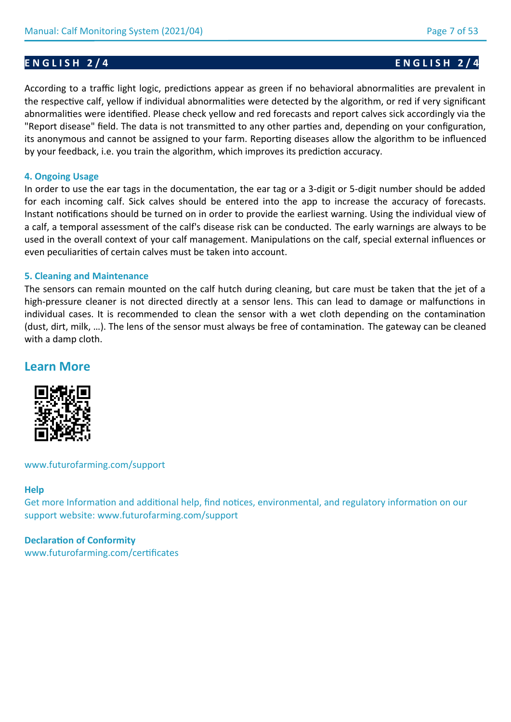**E N G L I S H 2 / 4 E N G L I S H 2 / 4**

According to a traffic light logic, predictions appear as green if no behavioral abnormalities are prevalent in the respective calf, yellow if individual abnormalities were detected by the algorithm, or red if very significant abnormalities were identified. Please check yellow and red forecasts and report calves sick accordingly via the "Report disease" field. The data is not transmitted to any other parties and, depending on your configuration, its anonymous and cannot be assigned to your farm. Reporting diseases allow the algorithm to be influenced by your feedback, i.e. you train the algorithm, which improves its prediction accuracy.

## **4. Ongoing Usage**

In order to use the ear tags in the documentation, the ear tag or a 3-digit or 5-digit number should be added for each incoming calf. Sick calves should be entered into the app to increase the accuracy of forecasts. Instant notifications should be turned on in order to provide the earliest warning. Using the individual view of a calf, a temporal assessment of the calf's disease risk can be conducted. The early warnings are always to be used in the overall context of your calf management. Manipulations on the calf, special external influences or even peculiarities of certain calves must be taken into account.

## **5. Cleaning and Maintenance**

The sensors can remain mounted on the calf hutch during cleaning, but care must be taken that the jet of a high-pressure cleaner is not directed directly at a sensor lens. This can lead to damage or malfunctions in individual cases. It is recommended to clean the sensor with a wet cloth depending on the contamination (dust, dirt, milk, …). The lens of the sensor must always be free of contamination. The gateway can be cleaned with a damp cloth.

# **Learn More**



## www.futurofarming.com/support

## **Help**

Get more Information and additional help, find notices, environmental, and regulatory information on our support website: www.futurofarming.com/support

## **Declaration of Conformity**

www.futurofarming.com/certificates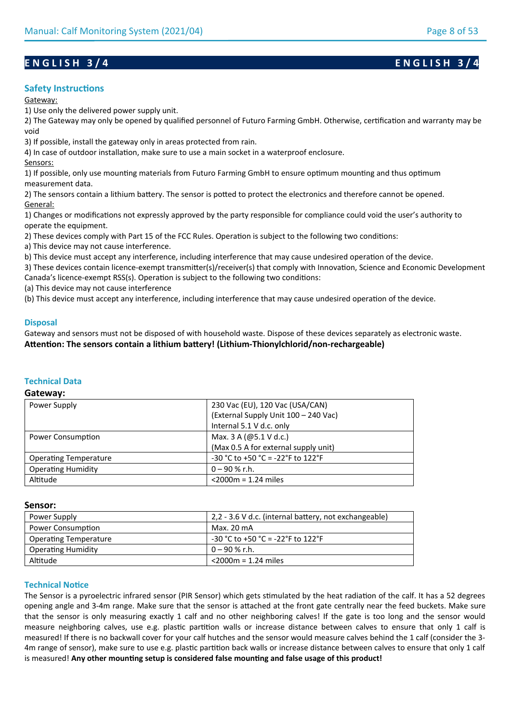## **Safety Instructions**

#### Gateway:

1) Use only the delivered power supply unit.

2) The Gateway may only be opened by qualified personnel of Futuro Farming GmbH. Otherwise, certification and warranty may be void

3) If possible, install the gateway only in areas protected from rain.

4) In case of outdoor installation, make sure to use a main socket in a waterproof enclosure.

Sensors:

1) If possible, only use mounting materials from Futuro Farming GmbH to ensure optimum mounting and thus optimum measurement data.

2) The sensors contain a lithium battery. The sensor is potted to protect the electronics and therefore cannot be opened. General:

1) Changes or modifications not expressly approved by the party responsible for compliance could void the user's authority to operate the equipment.

2) These devices comply with Part 15 of the FCC Rules. Operation is subject to the following two conditions:

a) This device may not cause interference.

b) This device must accept any interference, including interference that may cause undesired operation of the device.

3) These devices contain licence-exempt transmitter(s)/receiver(s) that comply with Innovation, Science and Economic Development Canada's licence-exempt RSS(s). Operation is subject to the following two conditions:

(a) This device may not cause interference

(b) This device must accept any interference, including interference that may cause undesired operation of the device.

## **Disposal**

Gateway and sensors must not be disposed of with household waste. Dispose of these devices separately as electronic waste. **Attention: The sensors contain a lithium battery! (Lithium-Thionylchlorid/non-rechargeable)**

## **Technical Data**

#### **Gateway:**

| Power Supply                 | 230 Vac (EU), 120 Vac (USA/CAN)          |
|------------------------------|------------------------------------------|
|                              | (External Supply Unit 100 - 240 Vac)     |
|                              | Internal 5.1 V d.c. only                 |
| Power Consumption            | Max. 3 A (@5.1 V d.c.)                   |
|                              | (Max 0.5 A for external supply unit)     |
| <b>Operating Temperature</b> | $-30$ °C to $+50$ °C = $-22$ °F to 122°F |
| <b>Operating Humidity</b>    | $0 - 90 %$ r.h.                          |
| Altitude                     | $<$ 2000 $m = 1.24$ miles                |

### **Sensor:**

| Power Supply                 | 2,2 - 3.6 V d.c. (internal battery, not exchangeable) |
|------------------------------|-------------------------------------------------------|
| Power Consumption            | Max. 20 mA                                            |
| <b>Operating Temperature</b> | $-30$ °C to +50 °C = -22°F to 122°F                   |
| <b>Operating Humidity</b>    | 0 – 90 % r.h.                                         |
| Altitude                     | $<$ 2000 $m = 1.24$ miles                             |

### **Technical Notice**

The Sensor is a pyroelectric infrared sensor (PIR Sensor) which gets stimulated by the heat radiation of the calf. It has a 52 degrees opening angle and 3-4m range. Make sure that the sensor is attached at the front gate centrally near the feed buckets. Make sure that the sensor is only measuring exactly 1 calf and no other neighboring calves! If the gate is too long and the sensor would measure neighboring calves, use e.g. plastic partition walls or increase distance between calves to ensure that only 1 calf is measured! If there is no backwall cover for your calf hutches and the sensor would measure calves behind the 1 calf (consider the 3- 4m range of sensor), make sure to use e.g. plastic partition back walls or increase distance between calves to ensure that only 1 calf is measured! **Any other mounting setup is considered false mounting and false usage of this product!**

# **ENGLISH 3/4** ENGLISH 3/4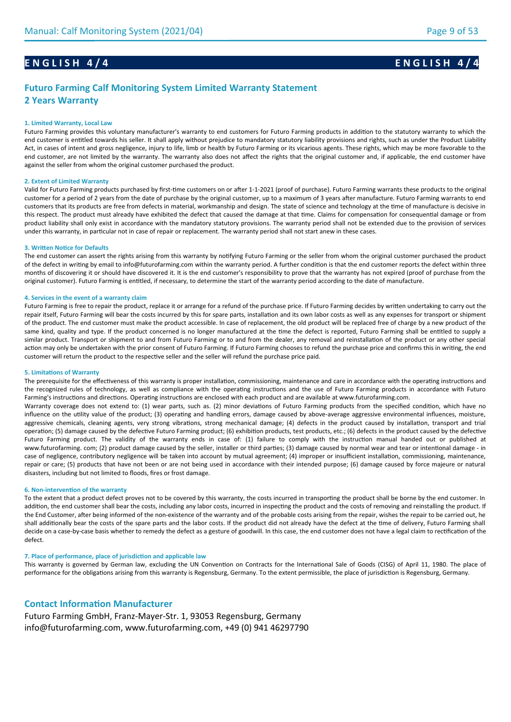# **E N G L I S H 4 / 4 E N G L I S H 4 / 4**

# **Futuro Farming Calf Monitoring System Limited Warranty Statement 2 Years Warranty**

#### **1. Limited Warranty, Local Law**

Futuro Farming provides this voluntary manufacturer's warranty to end customers for Futuro Farming products in addition to the statutory warranty to which the end customer is entitled towards his seller. It shall apply without prejudice to mandatory statutory liability provisions and rights, such as under the Product Liability Act, in cases of intent and gross negligence, injury to life, limb or health by Futuro Farming or its vicarious agents. These rights, which may be more favorable to the end customer, are not limited by the warranty. The warranty also does not affect the rights that the original customer and, if applicable, the end customer have against the seller from whom the original customer purchased the product.

#### **2. Extent of Limited Warranty**

Valid for Futuro Farming products purchased by first-time customers on or after 1-1-2021 (proof of purchase). Futuro Farming warrants these products to the original customer for a period of 2 years from the date of purchase by the original customer, up to a maximum of 3 years after manufacture. Futuro Farming warrants to end customers that its products are free from defects in material, workmanship and design. The state of science and technology at the time of manufacture is decisive in this respect. The product must already have exhibited the defect that caused the damage at that time. Claims for compensation for consequential damage or from product liability shall only exist in accordance with the mandatory statutory provisions. The warranty period shall not be extended due to the provision of services under this warranty, in particular not in case of repair or replacement. The warranty period shall not start anew in these cases.

#### **3. Written Notice for Defaults**

The end customer can assert the rights arising from this warranty by notifying Futuro Farming or the seller from whom the original customer purchased the product of the defect in writing by email to info@futurofarming.com within the warranty period. A further condition is that the end customer reports the defect within three months of discovering it or should have discovered it. It is the end customer's responsibility to prove that the warranty has not expired (proof of purchase from the original customer). Futuro Farming is entitled, if necessary, to determine the start of the warranty period according to the date of manufacture.

#### **4. Services in the event of a warranty claim**

Futuro Farming is free to repair the product, replace it or arrange for a refund of the purchase price. If Futuro Farming decides by written undertaking to carry out the repair itself, Futuro Farming will bear the costs incurred by this for spare parts, installation and its own labor costs as well as any expenses for transport or shipment of the product. The end customer must make the product accessible. In case of replacement, the old product will be replaced free of charge by a new product of the same kind, quality and type. If the product concerned is no longer manufactured at the time the defect is reported, Futuro Farming shall be entitled to supply a similar product. Transport or shipment to and from Futuro Farming or to and from the dealer, any removal and reinstallation of the product or any other special action may only be undertaken with the prior consent of Futuro Farming. If Futuro Farming chooses to refund the purchase price and confirms this in writing, the end customer will return the product to the respective seller and the seller will refund the purchase price paid.

#### **5. Limitations of Warranty**

The prerequisite for the effectiveness of this warranty is proper installation, commissioning, maintenance and care in accordance with the operating instructions and the recognized rules of technology, as well as compliance with the operating instructions and the use of Futuro Farming products in accordance with Futuro Farming's instructions and directions. Operating instructions are enclosed with each product and are available at www.futurofarming.com.

Warranty coverage does not extend to: (1) wear parts, such as. (2) minor deviations of Futuro Farming products from the specified condition, which have no influence on the utility value of the product; (3) operating and handling errors, damage caused by above-average aggressive environmental influences, moisture, aggressive chemicals, cleaning agents, very strong vibrations, strong mechanical damage; (4) defects in the product caused by installation, transport and trial operation; (5) damage caused by the defective Futuro Farming product; (6) exhibition products, test products, etc.; (6) defects in the product caused by the defective Futuro Farming product. The validity of the warranty ends in case of: (1) failure to comply with the instruction manual handed out or published at www.futurofarming. com; (2) product damage caused by the seller, installer or third parties; (3) damage caused by normal wear and tear or intentional damage - in case of negligence, contributory negligence will be taken into account by mutual agreement; (4) improper or insufficient installation, commissioning, maintenance, repair or care; (5) products that have not been or are not being used in accordance with their intended purpose; (6) damage caused by force majeure or natural disasters, including but not limited to floods, fires or frost damage.

#### **6. Non-intervention of the warranty**

To the extent that a product defect proves not to be covered by this warranty, the costs incurred in transporting the product shall be borne by the end customer. In addition, the end customer shall bear the costs, including any labor costs, incurred in inspecting the product and the costs of removing and reinstalling the product. If the End Customer, after being informed of the non-existence of the warranty and of the probable costs arising from the repair, wishes the repair to be carried out, he shall additionally bear the costs of the spare parts and the labor costs. If the product did not already have the defect at the time of delivery, Futuro Farming shall decide on a case-by-case basis whether to remedy the defect as a gesture of goodwill. In this case, the end customer does not have a legal claim to rectification of the defect.

#### **7. Place of performance, place of jurisdiction and applicable law**

This warranty is governed by German law, excluding the UN Convention on Contracts for the International Sale of Goods (CISG) of April 11, 1980. The place of performance for the obligations arising from this warranty is Regensburg, Germany. To the extent permissible, the place of jurisdiction is Regensburg, Germany.

## **Contact Information Manufacturer**

Futuro Farming GmbH, Franz-Mayer-Str. 1, 93053 Regensburg, Germany info@futurofarming.com, www.futurofarming.com, +49 (0) 941 46297790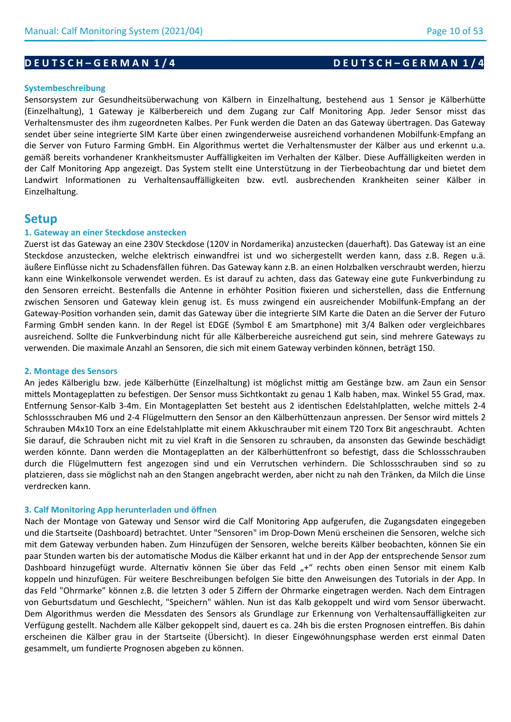# **D E U T S C H – G E R M A N 1 / 4 D E U T S C H – G E R M A N 1 / 4**

## **Systembeschreibung**

Sensorsystem zur Gesundheitsüberwachung von Kälbern in Einzelhaltung, bestehend aus 1 Sensor je Kälberhütte (Einzelhaltung), 1 Gateway je Kälberbereich und dem Zugang zur Calf Monitoring App. Jeder Sensor misst das Verhaltensmuster des ihm zugeordneten Kalbes. Per Funk werden die Daten an das Gateway übertragen. Das Gateway sendet über seine integrierte SIM Karte über einen zwingenderweise ausreichend vorhandenen Mobilfunk-Empfang an die Server von Futuro Farming GmbH. Ein Algorithmus wertet die Verhaltensmuster der Kälber aus und erkennt u.a. gemäß bereits vorhandener Krankheitsmuster Auffälligkeiten im Verhalten der Kälber. Diese Auffälligkeiten werden in der Calf Monitoring App angezeigt. Das System stellt eine Unterstützung in der Tierbeobachtung dar und bietet dem Landwirt Informationen zu Verhaltensauffälligkeiten bzw. evtl. ausbrechenden Krankheiten seiner Kälber in Einzelhaltung.

# **Setup**

### **1. Gateway an einer Steckdose anstecken**

Zuerst ist das Gateway an eine 230V Steckdose (120V in Nordamerika) anzustecken (dauerhaft). Das Gateway ist an eine Steckdose anzustecken, welche elektrisch einwandfrei ist und wo sichergestellt werden kann, dass z.B. Regen u.ä. äußere Einflüsse nicht zu Schadensfällen führen. Das Gateway kann z.B. an einen Holzbalken verschraubt werden, hierzu kann eine Winkelkonsole verwendet werden. Es ist darauf zu achten, dass das Gateway eine gute Funkverbindung zu den Sensoren erreicht. Bestenfalls die Antenne in erhöhter Position fixieren und sicherstellen, dass die Entfernung zwischen Sensoren und Gateway klein genug ist. Es muss zwingend ein ausreichender Mobilfunk-Empfang an der Gateway-Position vorhanden sein, damit das Gateway über die integrierte SIM Karte die Daten an die Server der Futuro Farming GmbH senden kann. In der Regel ist EDGE (Symbol E am Smartphone) mit 3/4 Balken oder vergleichbares ausreichend. Sollte die Funkverbindung nicht für alle Kälberbereiche ausreichend gut sein, sind mehrere Gateways zu verwenden. Die maximale Anzahl an Sensoren, die sich mit einem Gateway verbinden können, beträgt 150.

### **2. Montage des Sensors**

An jedes Kälberiglu bzw. jede Kälberhütte (Einzelhaltung) ist möglichst mittig am Gestänge bzw. am Zaun ein Sensor mittels Montageplatten zu befestigen. Der Sensor muss Sichtkontakt zu genau 1 Kalb haben, max. Winkel 55 Grad, max. Entfernung Sensor-Kalb 3-4m. Ein Montageplatten Set besteht aus 2 identischen Edelstahlplatten, welche mittels 2-4 Schlossschrauben M6 und 2-4 Flügelmuttern den Sensor an den Kälberhüttenzaun anpressen. Der Sensor wird mittels 2 Schrauben M4x10 Torx an eine Edelstahlplatte mit einem Akkuschrauber mit einem T20 Torx Bit angeschraubt. Achten Sie darauf, die Schrauben nicht mit zu viel Kraft in die Sensoren zu schrauben, da ansonsten das Gewinde beschädigt werden könnte. Dann werden die Montageplatten an der Kälberhüttenfront so befestigt, dass die Schlossschrauben durch die Flügelmuttern fest angezogen sind und ein Verrutschen verhindern. Die Schlossschrauben sind so zu platzieren, dass sie möglichst nah an den Stangen angebracht werden, aber nicht zu nah den Tränken, da Milch die Linse verdrecken kann.

### **3. Calf Monitoring App herunterladen und öffnen**

Nach der Montage von Gateway und Sensor wird die Calf Monitoring App aufgerufen, die Zugangsdaten eingegeben und die Startseite (Dashboard) betrachtet. Unter "Sensoren" im Drop-Down Menü erscheinen die Sensoren, welche sich mit dem Gateway verbunden haben. Zum Hinzufügen der Sensoren, welche bereits Kälber beobachten, können Sie ein paar Stunden warten bis der automatische Modus die Kälber erkannt hat und in der App der entsprechende Sensor zum Dashboard hinzugefügt wurde. Alternativ können Sie über das Feld "+" rechts oben einen Sensor mit einem Kalb koppeln und hinzufügen. Für weitere Beschreibungen befolgen Sie bitte den Anweisungen des Tutorials in der App. In das Feld "Ohrmarke" können z.B. die letzten 3 oder 5 Ziffern der Ohrmarke eingetragen werden. Nach dem Eintragen von Geburtsdatum und Geschlecht, "Speichern" wählen. Nun ist das Kalb gekoppelt und wird vom Sensor überwacht. Dem Algorithmus werden die Messdaten des Sensors als Grundlage zur Erkennung von Verhaltensauffälligkeiten zur Verfügung gestellt. Nachdem alle Kälber gekoppelt sind, dauert es ca. 24h bis die ersten Prognosen eintreffen. Bis dahin erscheinen die Kälber grau in der Startseite (Übersicht). In dieser Eingewöhnungsphase werden erst einmal Daten gesammelt, um fundierte Prognosen abgeben zu können.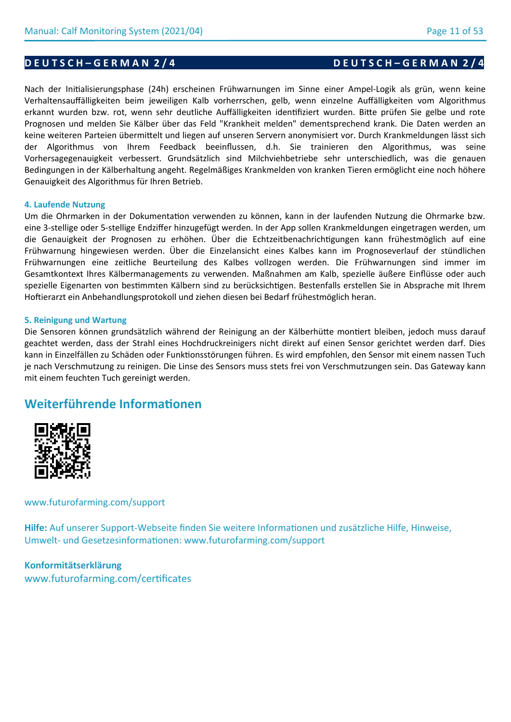## **D E U T S C H – G E R M A N 2 / 4 D E U T S C H – G E R M A N 2 / 4**

Nach der Initialisierungsphase (24h) erscheinen Frühwarnungen im Sinne einer Ampel-Logik als grün, wenn keine Verhaltensauffälligkeiten beim jeweiligen Kalb vorherrschen, gelb, wenn einzelne Auffälligkeiten vom Algorithmus erkannt wurden bzw. rot, wenn sehr deutliche Auffälligkeiten identifiziert wurden. Bitte prüfen Sie gelbe und rote Prognosen und melden Sie Kälber über das Feld "Krankheit melden" dementsprechend krank. Die Daten werden an keine weiteren Parteien übermittelt und liegen auf unseren Servern anonymisiert vor. Durch Krankmeldungen lässt sich der Algorithmus von Ihrem Feedback beeinflussen, d.h. Sie trainieren den Algorithmus, was seine Vorhersagegenauigkeit verbessert. Grundsätzlich sind Milchviehbetriebe sehr unterschiedlich, was die genauen Bedingungen in der Kälberhaltung angeht. Regelmäßiges Krankmelden von kranken Tieren ermöglicht eine noch höhere Genauigkeit des Algorithmus für Ihren Betrieb.

### **4. Laufende Nutzung**

Um die Ohrmarken in der Dokumentation verwenden zu können, kann in der laufenden Nutzung die Ohrmarke bzw. eine 3-stellige oder 5-stellige Endziffer hinzugefügt werden. In der App sollen Krankmeldungen eingetragen werden, um die Genauigkeit der Prognosen zu erhöhen. Über die Echtzeitbenachrichtigungen kann frühestmöglich auf eine Frühwarnung hingewiesen werden. Über die Einzelansicht eines Kalbes kann im Prognoseverlauf der stündlichen Frühwarnungen eine zeitliche Beurteilung des Kalbes vollzogen werden. Die Frühwarnungen sind immer im Gesamtkontext Ihres Kälbermanagements zu verwenden. Maßnahmen am Kalb, spezielle äußere Einflüsse oder auch spezielle Eigenarten von bestimmten Kälbern sind zu berücksichtigen. Bestenfalls erstellen Sie in Absprache mit Ihrem Hoftierarzt ein Anbehandlungsprotokoll und ziehen diesen bei Bedarf frühestmöglich heran.

### **5. Reinigung und Wartung**

Die Sensoren können grundsätzlich während der Reinigung an der Kälberhütte montiert bleiben, jedoch muss darauf geachtet werden, dass der Strahl eines Hochdruckreinigers nicht direkt auf einen Sensor gerichtet werden darf. Dies kann in Einzelfällen zu Schäden oder Funktionsstörungen führen. Es wird empfohlen, den Sensor mit einem nassen Tuch je nach Verschmutzung zu reinigen. Die Linse des Sensors muss stets frei von Verschmutzungen sein. Das Gateway kann mit einem feuchten Tuch gereinigt werden.

# **Weiterführende Informationen**



## www.futurofarming.com/support

**Hilfe:** Auf unserer Support-Webseite finden Sie weitere Informationen und zusätzliche Hilfe, Hinweise, Umwelt- und Gesetzesinformationen: www.futurofarming.com/support

# **Konformitätserklärung**

www.futurofarming.com/certificates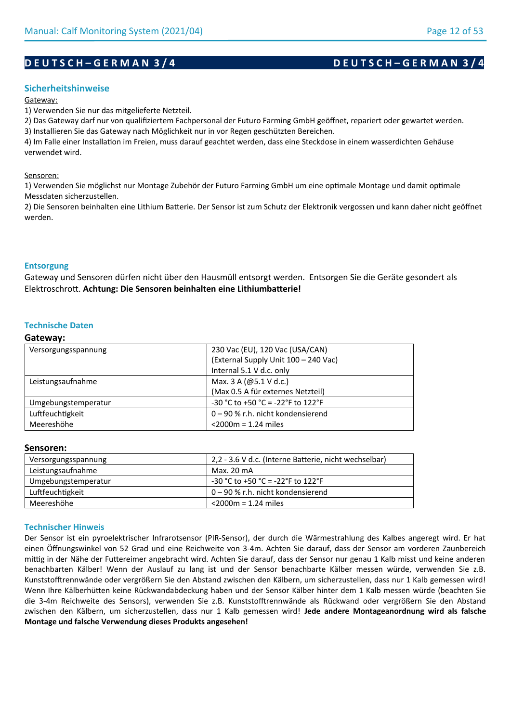# **D E U T S C H – G E R M A N 3 / 4 D E U T S C H – G E R M A N 3 / 4**

## **Sicherheitshinweise**

#### Gateway:

1) Verwenden Sie nur das mitgelieferte Netzteil.

2) Das Gateway darf nur von qualifiziertem Fachpersonal der Futuro Farming GmbH geöffnet, repariert oder gewartet werden.

3) Installieren Sie das Gateway nach Möglichkeit nur in vor Regen geschützten Bereichen.

4) Im Falle einer Installation im Freien, muss darauf geachtet werden, dass eine Steckdose in einem wasserdichten Gehäuse verwendet wird.

#### Sensoren:

1) Verwenden Sie möglichst nur Montage Zubehör der Futuro Farming GmbH um eine optimale Montage und damit optimale Messdaten sicherzustellen.

2) Die Sensoren beinhalten eine Lithium Batterie. Der Sensor ist zum Schutz der Elektronik vergossen und kann daher nicht geöffnet werden.

## **Entsorgung**

Gateway und Sensoren dürfen nicht über den Hausmüll entsorgt werden. Entsorgen Sie die Geräte gesondert als Elektroschrott. **Achtung: Die Sensoren beinhalten eine Lithiumbatterie!**

## **Technische Daten**

#### **Gateway:**

| Versorgungsspannung | 230 Vac (EU), 120 Vac (USA/CAN)      |
|---------------------|--------------------------------------|
|                     | (External Supply Unit 100 - 240 Vac) |
|                     | Internal 5.1 V d.c. only             |
| Leistungsaufnahme   | Max. 3 A ( $@5.1$ V d.c.)            |
|                     | (Max 0.5 A für externes Netzteil)    |
| Umgebungstemperatur | -30 °C to +50 °C = -22 °F to 122 °F  |
| Luftfeuchtigkeit    | 0 – 90 % r.h. nicht kondensierend    |
| Meereshöhe          | $<$ 2000 $m$ = 1.24 miles            |
|                     |                                      |

## **Sensoren:**

| Versorgungsspannung | 2,2 - 3.6 V d.c. (Interne Batterie, nicht wechselbar) |
|---------------------|-------------------------------------------------------|
| Leistungsaufnahme   | Max. 20 mA                                            |
| Umgebungstemperatur | $-30$ °C to +50 °C = -22°F to 122°F                   |
| Luftfeuchtigkeit    | $0 - 90$ % r.h. nicht kondensierend                   |
| Meereshöhe          | $<$ 2000 $m$ = 1.24 miles                             |

### **Technischer Hinweis**

Der Sensor ist ein pyroelektrischer Infrarotsensor (PIR-Sensor), der durch die Wärmestrahlung des Kalbes angeregt wird. Er hat einen Öffnungswinkel von 52 Grad und eine Reichweite von 3-4m. Achten Sie darauf, dass der Sensor am vorderen Zaunbereich mittig in der Nähe der Futtereimer angebracht wird. Achten Sie darauf, dass der Sensor nur genau 1 Kalb misst und keine anderen benachbarten Kälber! Wenn der Auslauf zu lang ist und der Sensor benachbarte Kälber messen würde, verwenden Sie z.B. Kunststofftrennwände oder vergrößern Sie den Abstand zwischen den Kälbern, um sicherzustellen, dass nur 1 Kalb gemessen wird! Wenn Ihre Kälberhütten keine Rückwandabdeckung haben und der Sensor Kälber hinter dem 1 Kalb messen würde (beachten Sie die 3-4m Reichweite des Sensors), verwenden Sie z.B. Kunststofftrennwände als Rückwand oder vergrößern Sie den Abstand zwischen den Kälbern, um sicherzustellen, dass nur 1 Kalb gemessen wird! **Jede andere Montageanordnung wird als falsche Montage und falsche Verwendung dieses Produkts angesehen!**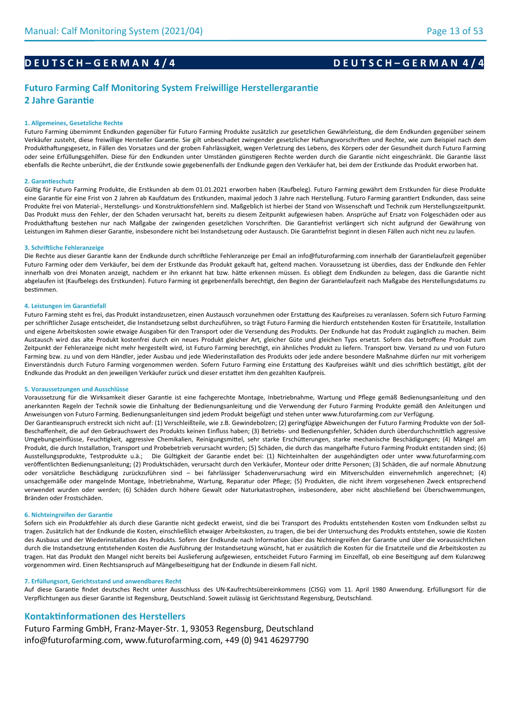# **D E U T S C H – G E R M A N 4 / 4 D E U T S C H – G E R M A N 4 / 4**

# **Futuro Farming Calf Monitoring System Freiwillige Herstellergarantie 2 Jahre Garantie**

#### **1. Allgemeines, Gesetzliche Rechte**

Futuro Farming übernimmt Endkunden gegenüber für Futuro Farming Produkte zusätzlich zur gesetzlichen Gewährleistung, die dem Endkunden gegenüber seinem Verkäufer zusteht, diese freiwillige Hersteller Garantie. Sie gilt unbeschadet zwingender gesetzlicher Haftungsvorschriften und Rechte, wie zum Beispiel nach dem Produkthaftungsgesetz, in Fällen des Vorsatzes und der groben Fahrlässigkeit, wegen Verletzung des Lebens, des Körpers oder der Gesundheit durch Futuro Farming oder seine Erfüllungsgehilfen. Diese für den Endkunden unter Umständen günstigeren Rechte werden durch die Garantie nicht eingeschränkt. Die Garantie lässt ebenfalls die Rechte unberührt, die der Erstkunde sowie gegebenenfalls der Endkunde gegen den Verkäufer hat, bei dem der Erstkunde das Produkt erworben hat.

#### **2. Garantieschutz**

Gültig für Futuro Farming Produkte, die Erstkunden ab dem 01.01.2021 erworben haben (Kaufbeleg). Futuro Farming gewährt dem Erstkunden für diese Produkte eine Garantie für eine Frist von 2 Jahren ab Kaufdatum des Erstkunden, maximal jedoch 3 Jahre nach Herstellung. Futuro Farming garantiert Endkunden, dass seine Produkte frei von Material-, Herstellungs- und Konstruktionsfehlern sind. Maßgeblich ist hierbei der Stand von Wissenschaft und Technik zum Herstellungszeitpunkt. Das Produkt muss den Fehler, der den Schaden verursacht hat, bereits zu diesem Zeitpunkt aufgewiesen haben. Ansprüche auf Ersatz von Folgeschäden oder aus Produkthaftung bestehen nur nach Maßgabe der zwingenden gesetzlichen Vorschriften. Die Garantiefrist verlängert sich nicht aufgrund der Gewährung von Leistungen im Rahmen dieser Garantie, insbesondere nicht bei Instandsetzung oder Austausch. Die Garantiefrist beginnt in diesen Fällen auch nicht neu zu laufen.

#### **3. Schriftliche Fehleranzeige**

Die Rechte aus dieser Garantie kann der Endkunde durch schriftliche Fehleranzeige per Email an info@futurofarming.com innerhalb der Garantielaufzeit gegenüber Futuro Farming oder dem Verkäufer, bei dem der Erstkunde das Produkt gekauft hat, geltend machen. Voraussetzung ist überdies, dass der Endkunde den Fehler innerhalb von drei Monaten anzeigt, nachdem er ihn erkannt hat bzw. hätte erkennen müssen. Es obliegt dem Endkunden zu belegen, dass die Garantie nicht abgelaufen ist (Kaufbelegs des Erstkunden). Futuro Farming ist gegebenenfalls berechtigt, den Beginn der Garantielaufzeit nach Maßgabe des Herstellungsdatums zu bestimmen.

#### **4. Leistungen im Garantiefall**

Futuro Farming steht es frei, das Produkt instandzusetzen, einen Austausch vorzunehmen oder Erstattung des Kaufpreises zu veranlassen. Sofern sich Futuro Farming per schriftlicher Zusage entscheidet, die Instandsetzung selbst durchzuführen, so trägt Futuro Farming die hierdurch entstehenden Kosten für Ersatzteile, Installation und eigene Arbeitskosten sowie etwaige Ausgaben für den Transport oder die Versendung des Produkts. Der Endkunde hat das Produkt zugänglich zu machen. Beim Austausch wird das alte Produkt kostenfrei durch ein neues Produkt gleicher Art, gleicher Güte und gleichen Typs ersetzt. Sofern das betroffene Produkt zum Zeitpunkt der Fehleranzeige nicht mehr hergestellt wird, ist Futuro Farming berechtigt, ein ähnliches Produkt zu liefern. Transport bzw. Versand zu und von Futuro Farming bzw. zu und von dem Händler, jeder Ausbau und jede Wiederinstallation des Produkts oder jede andere besondere Maßnahme dürfen nur mit vorherigem Einverständnis durch Futuro Farming vorgenommen werden. Sofern Futuro Farming eine Erstattung des Kaufpreises wählt und dies schriftlich bestätigt, gibt der Endkunde das Produkt an den jeweiligen Verkäufer zurück und dieser erstattet ihm den gezahlten Kaufpreis.

#### **5. Voraussetzungen und Ausschlüsse**

Voraussetzung für die Wirksamkeit dieser Garantie ist eine fachgerechte Montage, Inbetriebnahme, Wartung und Pflege gemäß Bedienungsanleitung und den anerkannten Regeln der Technik sowie die Einhaltung der Bedienungsanleitung und die Verwendung der Futuro Farming Produkte gemäß den Anleitungen und Anweisungen von Futuro Farming. Bedienungsanleitungen sind jedem Produkt beigefügt und stehen unter www.futurofarming.com zur Verfügung. Der Garantieanspruch erstreckt sich nicht auf: (1) Verschleißteile, wie z.B. Gewindebolzen; (2) geringfügige Abweichungen der Futuro Farming Produkte von der Soll-

Beschaffenheit, die auf den Gebrauchswert des Produkts keinen Einfluss haben; (3) Betriebs- und Bedienungsfehler, Schäden durch überdurchschnittlich aggressive Umgebungseinflüsse, Feuchtigkeit, aggressive Chemikalien, Reinigungsmittel, sehr starke Erschütterungen, starke mechanische Beschädigungen; (4) Mängel am Produkt, die durch Installation, Transport und Probebetrieb verursacht wurden; (5) Schäden, die durch das mangelhafte Futuro Farming Produkt entstanden sind; (6) Ausstellungsprodukte, Testprodukte u.ä.; Die Gültigkeit der Garantie endet bei: (1) Nichteinhalten der ausgehändigten oder unter www.futurofarming.com veröffentlichten Bedienungsanleitung; (2) Produktschäden, verursacht durch den Verkäufer, Monteur oder dritte Personen; (3) Schäden, die auf normale Abnutzung oder vorsätzliche Beschädigung zurückzuführen sind – bei fahrlässiger Schadenverursachung wird ein Mitverschulden einvernehmlich angerechnet; (4) unsachgemäße oder mangelnde Montage, Inbetriebnahme, Wartung, Reparatur oder Pflege; (5) Produkten, die nicht ihrem vorgesehenen Zweck entsprechend verwendet wurden oder werden; (6) Schäden durch höhere Gewalt oder Naturkatastrophen, insbesondere, aber nicht abschließend bei Überschwemmungen, Bränden oder Frostschäden.

#### **6. Nichteingreifen der Garantie**

Sofern sich ein Produktfehler als durch diese Garantie nicht gedeckt erweist, sind die bei Transport des Produkts entstehenden Kosten vom Endkunden selbst zu tragen. Zusätzlich hat der Endkunde die Kosten, einschließlich etwaiger Arbeitskosten, zu tragen, die bei der Untersuchung des Produkts entstehen, sowie die Kosten des Ausbaus und der Wiederinstallation des Produkts. Sofern der Endkunde nach Information über das Nichteingreifen der Garantie und über die voraussichtlichen durch die Instandsetzung entstehenden Kosten die Ausführung der Instandsetzung wünscht, hat er zusätzlich die Kosten für die Ersatzteile und die Arbeitskosten zu tragen. Hat das Produkt den Mangel nicht bereits bei Auslieferung aufgewiesen, entscheidet Futuro Farming im Einzelfall, ob eine Beseitigung auf dem Kulanzweg vorgenommen wird. Einen Rechtsanspruch auf Mängelbeseitigung hat der Endkunde in diesem Fall nicht.

#### **7. Erfüllungsort, Gerichtsstand und anwendbares Recht**

Auf diese Garantie findet deutsches Recht unter Ausschluss des UN-Kaufrechtsübereinkommens (CISG) vom 11. April 1980 Anwendung. Erfüllungsort für die Verpflichtungen aus dieser Garantie ist Regensburg, Deutschland. Soweit zulässig ist Gerichtsstand Regensburg, Deutschland.

#### **Kontaktinformationen des Herstellers**

Futuro Farming GmbH, Franz-Mayer-Str. 1, 93053 Regensburg, Deutschland info@futurofarming.com, www.futurofarming.com, +49 (0) 941 46297790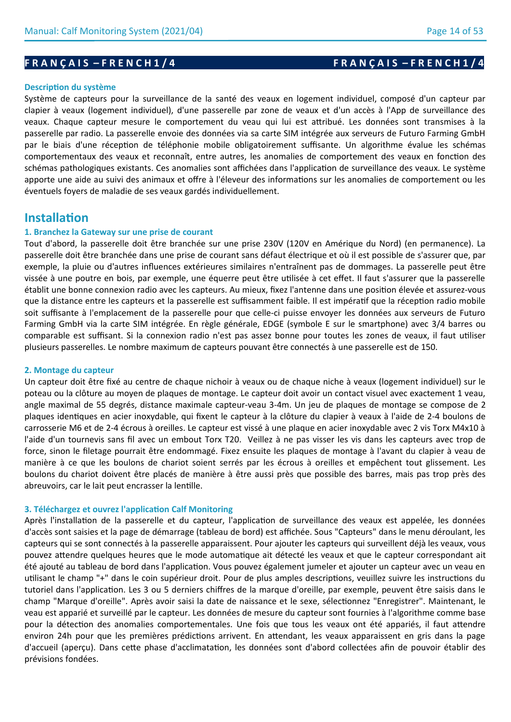# **F R A N Ç A I S – F R E N C H 1 / 4 F R A N Ç A I S – F R E N C H 1 / 4**

#### **Description du système**

Système de capteurs pour la surveillance de la santé des veaux en logement individuel, composé d'un capteur par clapier à veaux (logement individuel), d'une passerelle par zone de veaux et d'un accès à l'App de surveillance des veaux. Chaque capteur mesure le comportement du veau qui lui est attribué. Les données sont transmises à la passerelle par radio. La passerelle envoie des données via sa carte SIM intégrée aux serveurs de Futuro Farming GmbH par le biais d'une réception de téléphonie mobile obligatoirement suffisante. Un algorithme évalue les schémas comportementaux des veaux et reconnaît, entre autres, les anomalies de comportement des veaux en fonction des schémas pathologiques existants. Ces anomalies sont affichées dans l'application de surveillance des veaux. Le système apporte une aide au suivi des animaux et offre à l'éleveur des informations sur les anomalies de comportement ou les éventuels foyers de maladie de ses veaux gardés individuellement.

# **Installation**

## **1. Branchez la Gateway sur une prise de courant**

Tout d'abord, la passerelle doit être branchée sur une prise 230V (120V en Amérique du Nord) (en permanence). La passerelle doit être branchée dans une prise de courant sans défaut électrique et où il est possible de s'assurer que, par exemple, la pluie ou d'autres influences extérieures similaires n'entraînent pas de dommages. La passerelle peut être vissée à une poutre en bois, par exemple, une équerre peut être utilisée à cet effet. Il faut s'assurer que la passerelle établit une bonne connexion radio avec les capteurs. Au mieux, fixez l'antenne dans une position élevée et assurez-vous que la distance entre les capteurs et la passerelle est suffisamment faible. Il est impératif que la réception radio mobile soit suffisante à l'emplacement de la passerelle pour que celle-ci puisse envoyer les données aux serveurs de Futuro Farming GmbH via la carte SIM intégrée. En règle générale, EDGE (symbole E sur le smartphone) avec 3/4 barres ou comparable est suffisant. Si la connexion radio n'est pas assez bonne pour toutes les zones de veaux, il faut utiliser plusieurs passerelles. Le nombre maximum de capteurs pouvant être connectés à une passerelle est de 150.

#### **2. Montage du capteur**

Un capteur doit être fixé au centre de chaque nichoir à veaux ou de chaque niche à veaux (logement individuel) sur le poteau ou la clôture au moyen de plaques de montage. Le capteur doit avoir un contact visuel avec exactement 1 veau, angle maximal de 55 degrés, distance maximale capteur-veau 3-4m. Un jeu de plaques de montage se compose de 2 plaques identiques en acier inoxydable, qui fixent le capteur à la clôture du clapier à veaux à l'aide de 2-4 boulons de carrosserie M6 et de 2-4 écrous à oreilles. Le capteur est vissé à une plaque en acier inoxydable avec 2 vis Torx M4x10 à l'aide d'un tournevis sans fil avec un embout Torx T20. Veillez à ne pas visser les vis dans les capteurs avec trop de force, sinon le filetage pourrait être endommagé. Fixez ensuite les plaques de montage à l'avant du clapier à veau de manière à ce que les boulons de chariot soient serrés par les écrous à oreilles et empêchent tout glissement. Les boulons du chariot doivent être placés de manière à être aussi près que possible des barres, mais pas trop près des abreuvoirs, car le lait peut encrasser la lentille.

#### **3. Téléchargez et ouvrez l'application Calf Monitoring**

Après l'installation de la passerelle et du capteur, l'application de surveillance des veaux est appelée, les données d'accès sont saisies et la page de démarrage (tableau de bord) est affichée. Sous "Capteurs" dans le menu déroulant, les capteurs qui se sont connectés à la passerelle apparaissent. Pour ajouter les capteurs qui surveillent déjà les veaux, vous pouvez attendre quelques heures que le mode automatique ait détecté les veaux et que le capteur correspondant ait été ajouté au tableau de bord dans l'application. Vous pouvez également jumeler et ajouter un capteur avec un veau en utilisant le champ "+" dans le coin supérieur droit. Pour de plus amples descriptions, veuillez suivre les instructions du tutoriel dans l'application. Les 3 ou 5 derniers chiffres de la marque d'oreille, par exemple, peuvent être saisis dans le champ "Marque d'oreille". Après avoir saisi la date de naissance et le sexe, sélectionnez "Enregistrer". Maintenant, le veau est apparié et surveillé par le capteur. Les données de mesure du capteur sont fournies à l'algorithme comme base pour la détection des anomalies comportementales. Une fois que tous les veaux ont été appariés, il faut attendre environ 24h pour que les premières prédictions arrivent. En attendant, les veaux apparaissent en gris dans la page d'accueil (aperçu). Dans cette phase d'acclimatation, les données sont d'abord collectées afin de pouvoir établir des prévisions fondées.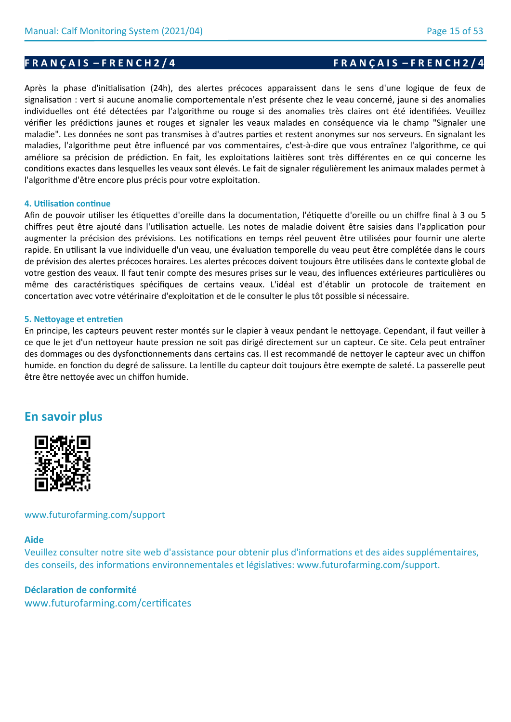Après la phase d'initialisation (24h), des alertes précoces apparaissent dans le sens d'une logique de feux de signalisation : vert si aucune anomalie comportementale n'est présente chez le veau concerné, jaune si des anomalies individuelles ont été détectées par l'algorithme ou rouge si des anomalies très claires ont été identifiées. Veuillez vérifier les prédictions jaunes et rouges et signaler les veaux malades en conséquence via le champ "Signaler une maladie". Les données ne sont pas transmises à d'autres parties et restent anonymes sur nos serveurs. En signalant les maladies, l'algorithme peut être influencé par vos commentaires, c'est-à-dire que vous entraînez l'algorithme, ce qui améliore sa précision de prédiction. En fait, les exploitations laitières sont très différentes en ce qui concerne les conditions exactes dans lesquelles les veaux sont élevés. Le fait de signaler régulièrement les animaux malades permet à l'algorithme d'être encore plus précis pour votre exploitation.

## **4. Utilisation continue**

Afin de pouvoir utiliser les étiquettes d'oreille dans la documentation, l'étiquette d'oreille ou un chiffre final à 3 ou 5 chiffres peut être ajouté dans l'utilisation actuelle. Les notes de maladie doivent être saisies dans l'application pour augmenter la précision des prévisions. Les notifications en temps réel peuvent être utilisées pour fournir une alerte rapide. En utilisant la vue individuelle d'un veau, une évaluation temporelle du veau peut être complétée dans le cours de prévision des alertes précoces horaires. Les alertes précoces doivent toujours être utilisées dans le contexte global de votre gestion des veaux. Il faut tenir compte des mesures prises sur le veau, des influences extérieures particulières ou même des caractéristiques spécifiques de certains veaux. L'idéal est d'établir un protocole de traitement en concertation avec votre vétérinaire d'exploitation et de le consulter le plus tôt possible si nécessaire.

### **5. Nettoyage et entretien**

En principe, les capteurs peuvent rester montés sur le clapier à veaux pendant le nettoyage. Cependant, il faut veiller à ce que le jet d'un nettoyeur haute pression ne soit pas dirigé directement sur un capteur. Ce site. Cela peut entraîner des dommages ou des dysfonctionnements dans certains cas. Il est recommandé de nettoyer le capteur avec un chiffon humide. en fonction du degré de salissure. La lentille du capteur doit toujours être exempte de saleté. La passerelle peut être être nettoyée avec un chiffon humide.

# **En savoir plus**



## www.futurofarming.com/support

## **Aide**

Veuillez consulter notre site web d'assistance pour obtenir plus d'informations et des aides supplémentaires, des conseils, des informations environnementales et législatives: www.futurofarming.com/support.

# **Déclaration de conformité**

www.futurofarming.com/certificates

## **F R A N Ç A I S – F R E N C H 2 / 4 F R A N Ç A I S – F R E N C H 2 / 4**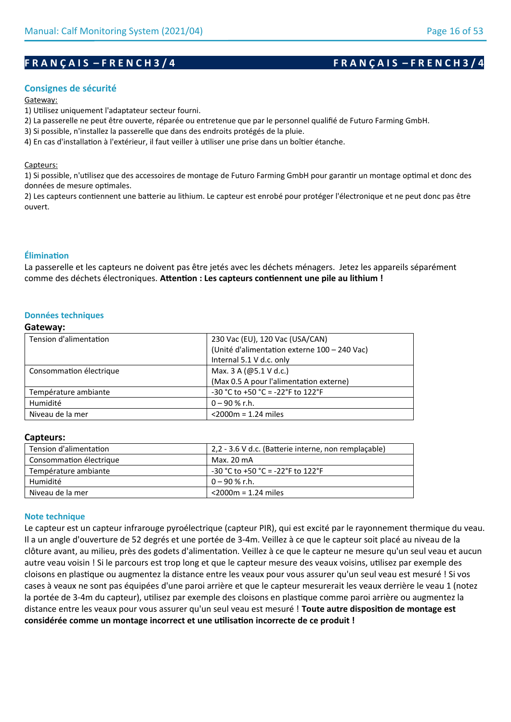# **F R A N Ç A I S – F R E N C H 3 / 4 F R A N Ç A I S – F R E N C H 3 / 4**

## **Consignes de sécurité**

#### Gateway:

1) Utilisez uniquement l'adaptateur secteur fourni.

2) La passerelle ne peut être ouverte, réparée ou entretenue que par le personnel qualifié de Futuro Farming GmbH.

3) Si possible, n'installez la passerelle que dans des endroits protégés de la pluie.

4) En cas d'installation à l'extérieur, il faut veiller à utiliser une prise dans un boîtier étanche.

#### Capteurs:

1) Si possible, n'utilisez que des accessoires de montage de Futuro Farming GmbH pour garantir un montage optimal et donc des données de mesure optimales.

2) Les capteurs contiennent une batterie au lithium. Le capteur est enrobé pour protéger l'électronique et ne peut donc pas être ouvert.

## **Élimination**

La passerelle et les capteurs ne doivent pas être jetés avec les déchets ménagers. Jetez les appareils séparément comme des déchets électroniques. **Attention : Les capteurs contiennent une pile au lithium !**

### **Données techniques**

#### **Gateway:**

| Tension d'alimentation  | 230 Vac (EU), 120 Vac (USA/CAN)              |
|-------------------------|----------------------------------------------|
|                         | (Unité d'alimentation externe 100 - 240 Vac) |
|                         | Internal 5.1 V d.c. only                     |
| Consommation électrique | Max. 3 A (@5.1 V d.c.)                       |
|                         | (Max 0.5 A pour l'alimentation externe)      |
| Température ambiante    | $-30$ °C to $+50$ °C = $-22$ °F to 122°F     |
| Humidité                | $0 - 90 %$ r.h.                              |
| Niveau de la mer        | $<$ 2000 $m = 1.24$ miles                    |
|                         |                                              |

#### **Capteurs:**

| Tension d'alimentation  | 2,2 - 3.6 V d.c. (Batterie interne, non remplacable) |
|-------------------------|------------------------------------------------------|
| Consommation électrique | Max. 20 mA                                           |
| Température ambiante    | $-30$ °C to +50 °C = -22°F to 122°F                  |
| Humidité                | $0 - 90$ % r.h.                                      |
| Niveau de la mer        | $<$ 2000 $m = 1.24$ miles                            |

### **Note technique**

Le capteur est un capteur infrarouge pyroélectrique (capteur PIR), qui est excité par le rayonnement thermique du veau. Il a un angle d'ouverture de 52 degrés et une portée de 3-4m. Veillez à ce que le capteur soit placé au niveau de la clôture avant, au milieu, près des godets d'alimentation. Veillez à ce que le capteur ne mesure qu'un seul veau et aucun autre veau voisin ! Si le parcours est trop long et que le capteur mesure des veaux voisins, utilisez par exemple des cloisons en plastique ou augmentez la distance entre les veaux pour vous assurer qu'un seul veau est mesuré ! Si vos cases à veaux ne sont pas équipées d'une paroi arrière et que le capteur mesurerait les veaux derrière le veau 1 (notez la portée de 3-4m du capteur), utilisez par exemple des cloisons en plastique comme paroi arrière ou augmentez la distance entre les veaux pour vous assurer qu'un seul veau est mesuré ! **Toute autre disposition de montage est considérée comme un montage incorrect et une utilisation incorrecte de ce produit !**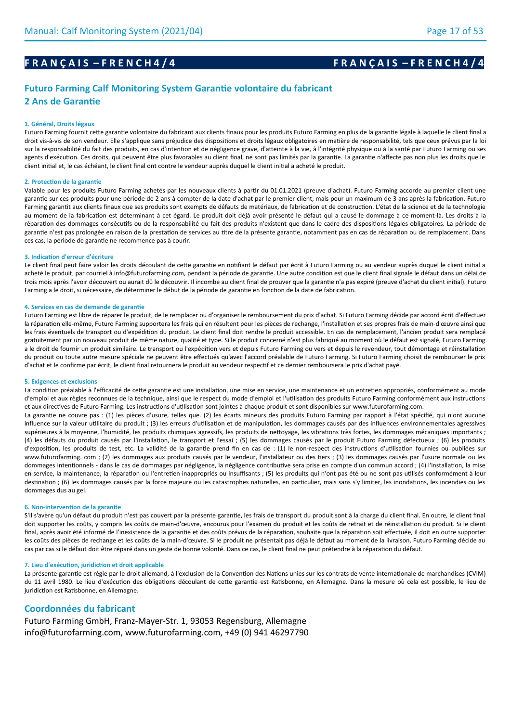# **F R A N Ç A I S – F R E N C H 4 / 4 F R A N Ç A I S – F R E N C H 4 / 4**

# **Futuro Farming Calf Monitoring System Garantie volontaire du fabricant 2 Ans de Garantie**

#### **1. Général, Droits légaux**

Futuro Farming fournit cette garantie volontaire du fabricant aux clients finaux pour les produits Futuro Farming en plus de la garantie légale à laquelle le client final a droit vis-à-vis de son vendeur. Elle s'applique sans préjudice des dispositions et droits légaux obligatoires en matière de responsabilité, tels que ceux prévus par la loi sur la responsabilité du fait des produits, en cas d'intention et de négligence grave, d'atteinte à la vie, à l'intégrité physique ou à la santé par Futuro Farming ou ses agents d'exécution. Ces droits, qui peuvent être plus favorables au client final, ne sont pas limités par la garantie. La garantie n'affecte pas non plus les droits que le client initial et, le cas échéant, le client final ont contre le vendeur auprès duquel le client initial a acheté le produit.

#### **2. Protection de la garantie**

Valable pour les produits Futuro Farming achetés par les nouveaux clients à partir du 01.01.2021 (preuve d'achat). Futuro Farming accorde au premier client une garantie sur ces produits pour une période de 2 ans à compter de la date d'achat par le premier client, mais pour un maximum de 3 ans après la fabrication. Futuro Farming garantit aux clients finaux que ses produits sont exempts de défauts de matériaux, de fabrication et de construction. L'état de la science et de la technologie au moment de la fabrication est déterminant à cet égard. Le produit doit déjà avoir présenté le défaut qui a causé le dommage à ce moment-là. Les droits à la réparation des dommages consécutifs ou de la responsabilité du fait des produits n'existent que dans le cadre des dispositions légales obligatoires. La période de garantie n'est pas prolongée en raison de la prestation de services au titre de la présente garantie, notamment pas en cas de réparation ou de remplacement. Dans ces cas, la période de garantie ne recommence pas à courir.

#### **3. Indication d'erreur d'écriture**

Le client final peut faire valoir les droits découlant de cette garantie en notifiant le défaut par écrit à Futuro Farming ou au vendeur auprès duquel le client initial a acheté le produit, par courriel à info@futurofarming.com, pendant la période de garantie. Une autre condition est que le client final signale le défaut dans un délai de trois mois après l'avoir découvert ou aurait dû le découvrir. Il incombe au client final de prouver que la garantie n'a pas expiré (preuve d'achat du client initial). Futuro Farming a le droit, si nécessaire, de déterminer le début de la période de garantie en fonction de la date de fabrication.

#### **4. Services en cas de demande de garantie**

Futuro Farming est libre de réparer le produit, de le remplacer ou d'organiser le remboursement du prix d'achat. Si Futuro Farming décide par accord écrit d'effectuer la réparation elle-même, Futuro Farming supportera les frais qui en résultent pour les pièces de rechange, l'installation et ses propres frais de main-d'œuvre ainsi que les frais éventuels de transport ou d'expédition du produit. Le client final doit rendre le produit accessible. En cas de remplacement, l'ancien produit sera remplacé gratuitement par un nouveau produit de même nature, qualité et type. Si le produit concerné n'est plus fabriqué au moment où le défaut est signalé, Futuro Farming a le droit de fournir un produit similaire. Le transport ou l'expédition vers et depuis Futuro Farming ou vers et depuis le revendeur, tout démontage et réinstallation du produit ou toute autre mesure spéciale ne peuvent être effectués qu'avec l'accord préalable de Futuro Farming. Si Futuro Farming choisit de rembourser le prix d'achat et le confirme par écrit, le client final retournera le produit au vendeur respectif et ce dernier remboursera le prix d'achat payé.

#### **5. Exigences et exclusions**

La condition préalable à l'efficacité de cette garantie est une installation, une mise en service, une maintenance et un entretien appropriés, conformément au mode d'emploi et aux règles reconnues de la technique, ainsi que le respect du mode d'emploi et l'utilisation des produits Futuro Farming conformément aux instructions et aux directives de Futuro Farming. Les instructions d'utilisation sont jointes à chaque produit et sont disponibles sur www.futurofarming.com.

La garantie ne couvre pas : (1) les pièces d'usure, telles que. (2) les écarts mineurs des produits Futuro Farming par rapport à l'état spécifié, qui n'ont aucune influence sur la valeur utilitaire du produit ; (3) les erreurs d'utilisation et de manipulation, les dommages causés par des influences environnementales agressives supérieures à la moyenne, l'humidité, les produits chimiques agressifs, les produits de nettoyage, les vibrations très fortes, les dommages mécaniques importants ; (4) les défauts du produit causés par l'installation, le transport et l'essai ; (5) les dommages causés par le produit Futuro Farming défectueux ; (6) les produits d'exposition, les produits de test, etc. La validité de la garantie prend fin en cas de : (1) le non-respect des instructions d'utilisation fournies ou publiées sur www.futurofarming. com ; (2) les dommages aux produits causés par le vendeur, l'installateur ou des tiers ; (3) les dommages causés par l'usure normale ou les dommages intentionnels - dans le cas de dommages par négligence, la négligence contributive sera prise en compte d'un commun accord ; (4) l'installation, la mise en service, la maintenance, la réparation ou l'entretien inappropriés ou insuffisants ; (5) les produits qui n'ont pas été ou ne sont pas utilisés conformément à leur destination ; (6) les dommages causés par la force majeure ou les catastrophes naturelles, en particulier, mais sans s'y limiter, les inondations, les incendies ou les dommages dus au gel.

#### **6. Non-intervention de la garantie**

S'il s'avère qu'un défaut du produit n'est pas couvert par la présente garantie, les frais de transport du produit sont à la charge du client final, En outre, le client final doit supporter les coûts, y compris les coûts de main-d'œuvre, encourus pour l'examen du produit et les coûts de retrait et de réinstallation du produit. Si le client final, après avoir été informé de l'inexistence de la garantie et des coûts prévus de la réparation, souhaite que la réparation soit effectuée, il doit en outre supporter les coûts des pièces de rechange et les coûts de la main-d'œuvre. Si le produit ne présentait pas déjà le défaut au moment de la livraison, Futuro Farming décide au cas par cas si le défaut doit être réparé dans un geste de bonne volonté. Dans ce cas, le client final ne peut prétendre à la réparation du défaut.

#### **7. Lieu d'exécution, juridiction et droit applicable**

La présente garantie est régie par le droit allemand, à l'exclusion de la Convention des Nations unies sur les contrats de vente internationale de marchandises (CVIM) du 11 avril 1980. Le lieu d'exécution des obligations découlant de cette garantie est Ratisbonne, en Allemagne. Dans la mesure où cela est possible, le lieu de juridiction est Ratisbonne, en Allemagne.

### **Coordonnées du fabricant**

Futuro Farming GmbH, Franz-Mayer-Str. 1, 93053 Regensburg, Allemagne info@futurofarming.com, www.futurofarming.com, +49 (0) 941 46297790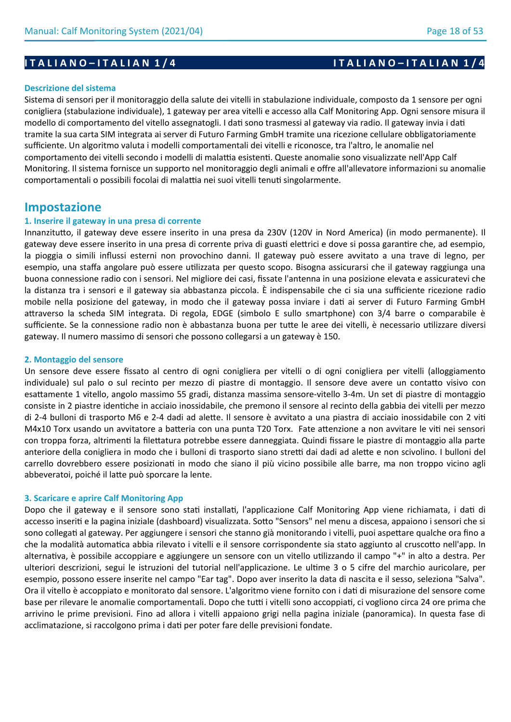#### **Descrizione del sistema**

Sistema di sensori per il monitoraggio della salute dei vitelli in stabulazione individuale, composto da 1 sensore per ogni conigliera (stabulazione individuale), 1 gateway per area vitelli e accesso alla Calf Monitoring App. Ogni sensore misura il modello di comportamento del vitello assegnatogli. I dati sono trasmessi al gateway via radio. Il gateway invia i dati tramite la sua carta SIM integrata ai server di Futuro Farming GmbH tramite una ricezione cellulare obbligatoriamente sufficiente. Un algoritmo valuta i modelli comportamentali dei vitelli e riconosce, tra l'altro, le anomalie nel comportamento dei vitelli secondo i modelli di malattia esistenti. Queste anomalie sono visualizzate nell'App Calf Monitoring. Il sistema fornisce un supporto nel monitoraggio degli animali e offre all'allevatore informazioni su anomalie comportamentali o possibili focolai di malattia nei suoi vitelli tenuti singolarmente.

# **Impostazione**

### **1. Inserire il gateway in una presa di corrente**

Innanzitutto, il gateway deve essere inserito in una presa da 230V (120V in Nord America) (in modo permanente). Il gateway deve essere inserito in una presa di corrente priva di guasti elettrici e dove si possa garantire che, ad esempio, la pioggia o simili influssi esterni non provochino danni. Il gateway può essere avvitato a una trave di legno, per esempio, una staffa angolare può essere utilizzata per questo scopo. Bisogna assicurarsi che il gateway raggiunga una buona connessione radio con i sensori. Nel migliore dei casi, fissate l'antenna in una posizione elevata e assicuratevi che la distanza tra i sensori e il gateway sia abbastanza piccola. È indispensabile che ci sia una sufficiente ricezione radio mobile nella posizione del gateway, in modo che il gateway possa inviare i dati ai server di Futuro Farming GmbH attraverso la scheda SIM integrata. Di regola, EDGE (simbolo E sullo smartphone) con 3/4 barre o comparabile è sufficiente. Se la connessione radio non è abbastanza buona per tutte le aree dei vitelli, è necessario utilizzare diversi gateway. Il numero massimo di sensori che possono collegarsi a un gateway è 150.

#### **2. Montaggio del sensore**

Un sensore deve essere fissato al centro di ogni conigliera per vitelli o di ogni conigliera per vitelli (alloggiamento individuale) sul palo o sul recinto per mezzo di piastre di montaggio. Il sensore deve avere un contatto visivo con esattamente 1 vitello, angolo massimo 55 gradi, distanza massima sensore-vitello 3-4m. Un set di piastre di montaggio consiste in 2 piastre identiche in acciaio inossidabile, che premono il sensore al recinto della gabbia dei vitelli per mezzo di 2-4 bulloni di trasporto M6 e 2-4 dadi ad alette. Il sensore è avvitato a una piastra di acciaio inossidabile con 2 viti M4x10 Torx usando un avvitatore a batteria con una punta T20 Torx. Fate attenzione a non avvitare le viti nei sensori con troppa forza, altrimenti la filettatura potrebbe essere danneggiata. Quindi fissare le piastre di montaggio alla parte anteriore della conigliera in modo che i bulloni di trasporto siano stretti dai dadi ad alette e non scivolino. I bulloni del carrello dovrebbero essere posizionati in modo che siano il più vicino possibile alle barre, ma non troppo vicino agli abbeveratoi, poiché il latte può sporcare la lente.

### **3. Scaricare e aprire Calf Monitoring App**

Dopo che il gateway e il sensore sono stati installati, l'applicazione Calf Monitoring App viene richiamata, i dati di accesso inseriti e la pagina iniziale (dashboard) visualizzata. Sotto "Sensors" nel menu a discesa, appaiono i sensori che si sono collegati al gateway. Per aggiungere i sensori che stanno già monitorando i vitelli, puoi aspettare qualche ora fino a che la modalità automatica abbia rilevato i vitelli e il sensore corrispondente sia stato aggiunto al cruscotto nell'app. In alternativa, è possibile accoppiare e aggiungere un sensore con un vitello utilizzando il campo "+" in alto a destra. Per ulteriori descrizioni, segui le istruzioni del tutorial nell'applicazione. Le ultime 3 o 5 cifre del marchio auricolare, per esempio, possono essere inserite nel campo "Ear tag". Dopo aver inserito la data di nascita e il sesso, seleziona "Salva". Ora il vitello è accoppiato e monitorato dal sensore. L'algoritmo viene fornito con i dati di misurazione del sensore come base per rilevare le anomalie comportamentali. Dopo che tutti i vitelli sono accoppiati, ci vogliono circa 24 ore prima che arrivino le prime previsioni. Fino ad allora i vitelli appaiono grigi nella pagina iniziale (panoramica). In questa fase di acclimatazione, si raccolgono prima i dati per poter fare delle previsioni fondate.

# **I T A L I A N O – I T A L I A N 1 / 4 I T A L I A N O – I T A L I A N 1 / 4**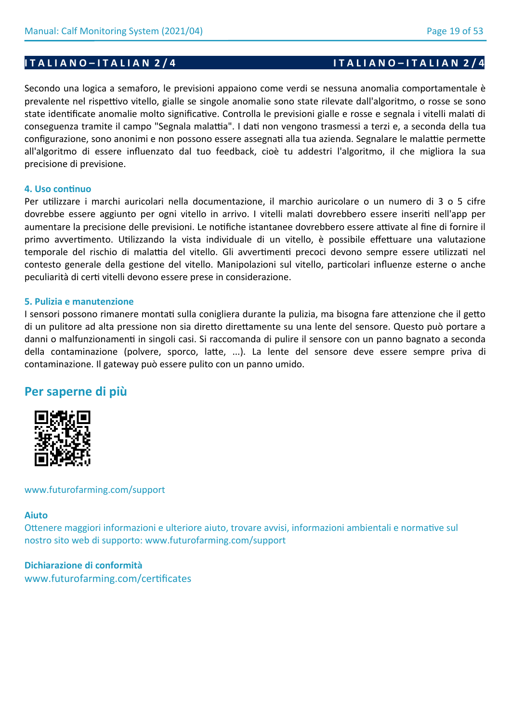# **I T A L I A N O – I T A L I A N 2 / 4 I T A L I A N O – I T A L I A N 2 / 4**

Secondo una logica a semaforo, le previsioni appaiono come verdi se nessuna anomalia comportamentale è prevalente nel rispettivo vitello, gialle se singole anomalie sono state rilevate dall'algoritmo, o rosse se sono state identificate anomalie molto significative. Controlla le previsioni gialle e rosse e segnala i vitelli malati di conseguenza tramite il campo "Segnala malattia". I dati non vengono trasmessi a terzi e, a seconda della tua configurazione, sono anonimi e non possono essere assegnati alla tua azienda. Segnalare le malattie permette all'algoritmo di essere influenzato dal tuo feedback, cioè tu addestri l'algoritmo, il che migliora la sua precisione di previsione.

## **4. Uso continuo**

Per utilizzare i marchi auricolari nella documentazione, il marchio auricolare o un numero di 3 o 5 cifre dovrebbe essere aggiunto per ogni vitello in arrivo. I vitelli malati dovrebbero essere inseriti nell'app per aumentare la precisione delle previsioni. Le notifiche istantanee dovrebbero essere attivate al fine di fornire il primo avvertimento. Utilizzando la vista individuale di un vitello, è possibile effettuare una valutazione temporale del rischio di malattia del vitello. Gli avvertimenti precoci devono sempre essere utilizzati nel contesto generale della gestione del vitello. Manipolazioni sul vitello, particolari influenze esterne o anche peculiarità di certi vitelli devono essere prese in considerazione.

## **5. Pulizia e manutenzione**

I sensori possono rimanere montati sulla conigliera durante la pulizia, ma bisogna fare attenzione che il getto di un pulitore ad alta pressione non sia diretto direttamente su una lente del sensore. Questo può portare a danni o malfunzionamenti in singoli casi. Si raccomanda di pulire il sensore con un panno bagnato a seconda della contaminazione (polvere, sporco, latte, ...). La lente del sensore deve essere sempre priva di contaminazione. Il gateway può essere pulito con un panno umido.

# **Per saperne di più**



www.futurofarming.com/support

## **Aiuto**

Ottenere maggiori informazioni e ulteriore aiuto, trovare avvisi, informazioni ambientali e normative sul nostro sito web di supporto: www.futurofarming.com/support

# **Dichiarazione di conformità** www.futurofarming.com/certificates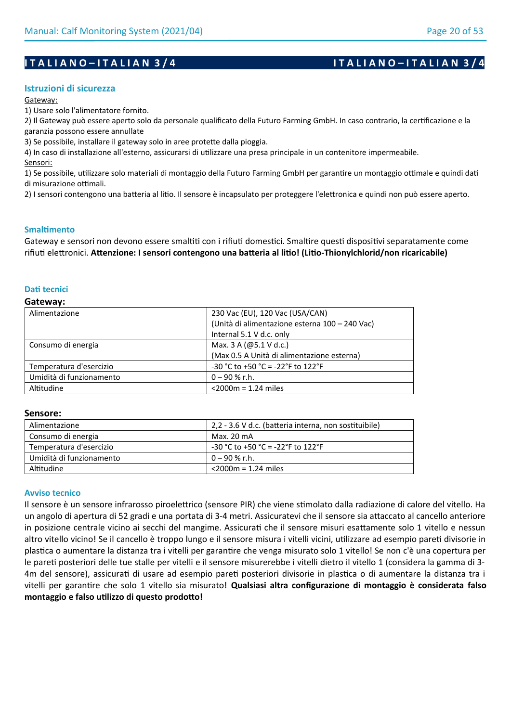## **Istruzioni di sicurezza**

Gateway:

1) Usare solo l'alimentatore fornito.

2) Il Gateway può essere aperto solo da personale qualificato della Futuro Farming GmbH. In caso contrario, la certificazione e la garanzia possono essere annullate

3) Se possibile, installare il gateway solo in aree protette dalla pioggia.

4) In caso di installazione all'esterno, assicurarsi di utilizzare una presa principale in un contenitore impermeabile. Sensori:

1) Se possibile, utilizzare solo materiali di montaggio della Futuro Farming GmbH per garantire un montaggio ottimale e quindi dati di misurazione ottimali.

2) I sensori contengono una batteria al litio. Il sensore è incapsulato per proteggere l'elettronica e quindi non può essere aperto.

## **Smaltimento**

Gateway e sensori non devono essere smaltiti con i rifiuti domestici. Smaltire questi dispositivi separatamente come rifiuti elettronici. **Attenzione: I sensori contengono una batteria al litio! (Litio-Thionylchlorid/non ricaricabile)**

## **Dati tecnici**

#### **Gateway:**

| Alimentazione            | 230 Vac (EU), 120 Vac (USA/CAN)                |
|--------------------------|------------------------------------------------|
|                          | (Unità di alimentazione esterna 100 - 240 Vac) |
|                          | Internal 5.1 V d.c. only                       |
| Consumo di energia       | Max. 3 A ( $@5.1$ V d.c.)                      |
|                          | (Max 0.5 A Unità di alimentazione esterna)     |
| Temperatura d'esercizio  | $-30$ °C to $+50$ °C = $-22$ °F to 122°F       |
| Umidità di funzionamento | $0 - 90 %$ r.h.                                |
| Altitudine               | $<$ 2000 $m = 1.24$ miles                      |

### **Sensore:**

| Alimentazione            | 2,2 - 3.6 V d.c. (batteria interna, non sostituibile) |
|--------------------------|-------------------------------------------------------|
| Consumo di energia       | Max. 20 mA                                            |
| Temperatura d'esercizio  | $-30$ °C to +50 °C = -22°F to 122°F                   |
| Umidità di funzionamento | 0 – 90 % r.h.                                         |
| Altitudine               | $<$ 2000m = 1.24 miles                                |

### **Avviso tecnico**

Il sensore è un sensore infrarosso piroelettrico (sensore PIR) che viene stimolato dalla radiazione di calore del vitello. Ha un angolo di apertura di 52 gradi e una portata di 3-4 metri. Assicuratevi che il sensore sia attaccato al cancello anteriore in posizione centrale vicino ai secchi del mangime. Assicurati che il sensore misuri esattamente solo 1 vitello e nessun altro vitello vicino! Se il cancello è troppo lungo e il sensore misura i vitelli vicini, utilizzare ad esempio pareti divisorie in plastica o aumentare la distanza tra i vitelli per garantire che venga misurato solo 1 vitello! Se non c'è una copertura per le pareti posteriori delle tue stalle per vitelli e il sensore misurerebbe i vitelli dietro il vitello 1 (considera la gamma di 3- 4m del sensore), assicurati di usare ad esempio pareti posteriori divisorie in plastica o di aumentare la distanza tra i vitelli per garantire che solo 1 vitello sia misurato! **Qualsiasi altra configurazione di montaggio è considerata falso montaggio e falso utilizzo di questo prodotto!**

## **I T A L I A N O – I T A L I A N 3 / 4 I T A L I A N O – I T A L I A N 3 / 4**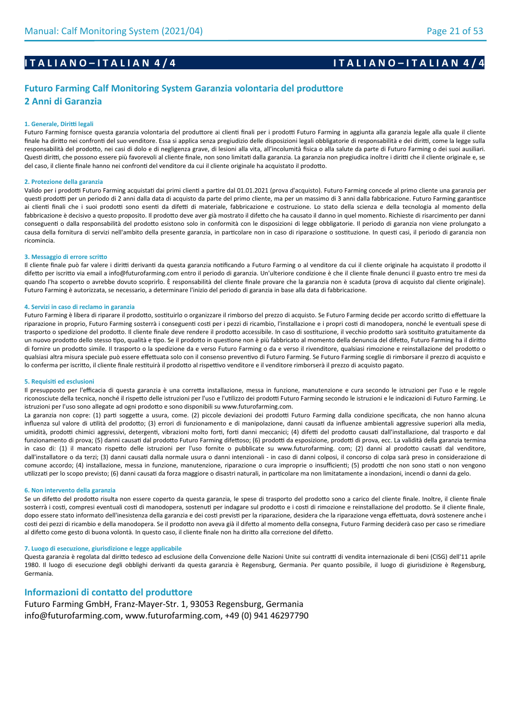## **I T A L I A N O – I T A L I A N 4 / 4 I T A L I A N O – I T A L I A N 0 – I T A L I A N 4 / 4**

## **Futuro Farming Calf Monitoring System Garanzia volontaria del produttore 2 Anni di Garanzia**

#### **1. Generale, Diritti legali**

Futuro Farming fornisce questa garanzia volontaria del produttore ai clienti finali per i prodotti Futuro Farming in aggiunta alla garanzia legale alla quale il cliente finale ha diritto nei confronti del suo venditore. Essa si applica senza pregiudizio delle disposizioni legali obbligatorie di responsabilità e dei diritti, come la legge sulla responsabilità del prodotto, nei casi di dolo e di negligenza grave, di lesioni alla vita, all'incolumità fisica o alla salute da parte di Futuro Farming o dei suoi ausiliari. Questi diritti, che possono essere più favorevoli al cliente finale, non sono limitati dalla garanzia. La garanzia non pregiudica inoltre i diritti che il cliente originale e, se del caso, il cliente finale hanno nei confronti del venditore da cui il cliente originale ha acquistato il prodotto.

#### **2. Protezione della garanzia**

Valido per i prodotti Futuro Farming acquistati dai primi clienti a partire dal 01.01.2021 (prova d'acquisto). Futuro Farming concede al primo cliente una garanzia per questi prodotti per un periodo di 2 anni dalla data di acquisto da parte del primo cliente, ma per un massimo di 3 anni dalla fabbricazione. Futuro Farming garantisce ai clienti finali che i suoi prodotti sono esenti da difetti di materiale, fabbricazione e costruzione. Lo stato della scienza e della tecnologia al momento della fabbricazione è decisivo a questo proposito. Il prodotto deve aver già mostrato il difetto che ha causato il danno in quel momento. Richieste di risarcimento per danni conseguenti o dalla responsabilità del prodotto esistono solo in conformità con le disposizioni di legge obbligatorie. Il periodo di garanzia non viene prolungato a causa della fornitura di servizi nell'ambito della presente garanzia, in particolare non in caso di riparazione o sostituzione. In questi casi, il periodo di garanzia non ricomincia.

#### **3. Messaggio di errore scritto**

Il cliente finale può far valere i diritti derivanti da questa garanzia notificando a Futuro Farming o al venditore da cui il cliente originale ha acquistato il prodotto il difetto per iscritto via email a info@futurofarming.com entro il periodo di garanzia. Un'ulteriore condizione è che il cliente finale denunci il guasto entro tre mesi da quando l'ha scoperto o avrebbe dovuto scoprirlo. È responsabilità del cliente finale provare che la garanzia non è scaduta (prova di acquisto dal cliente originale). Futuro Farming è autorizzata, se necessario, a determinare l'inizio del periodo di garanzia in base alla data di fabbricazione.

#### **4. Servizi in caso di reclamo in garanzia**

Futuro Farming è libera di riparare il prodotto, sostituirlo o organizzare il rimborso del prezzo di acquisto. Se Futuro Farming decide per accordo scritto di effettuare la riparazione in proprio, Futuro Farming sosterrà i conseguenti costi per i pezzi di ricambio, l'installazione e i propri costi di manodopera, nonché le eventuali spese di trasporto o spedizione del prodotto. Il cliente finale deve rendere il prodotto accessibile. In caso di sostituzione, il vecchio prodotto sarà sostituito gratuitamente da un nuovo prodotto dello stesso tipo, qualità e tipo. Se il prodotto in questione non è più fabbricato al momento della denuncia del difetto, Futuro Farming ha il diritto di fornire un prodotto simile. Il trasporto o la spedizione da e verso Futuro Farming o da e verso il rivenditore, qualsiasi rimozione e reinstallazione del prodotto o qualsiasi altra misura speciale può essere effettuata solo con il consenso preventivo di Futuro Farming. Se Futuro Farming sceglie di rimborsare il prezzo di acquisto e lo conferma per iscritto, il cliente finale restituirà il prodotto al rispettivo venditore e il venditore rimborserà il prezzo di acquisto pagato.

#### **5. Requisiti ed esclusioni**

Il presupposto per l'efficacia di questa garanzia è una corretta installazione, messa in funzione, manutenzione e cura secondo le istruzioni per l'uso e le regole riconosciute della tecnica, nonché il rispetto delle istruzioni per l'uso e l'utilizzo dei prodotti Futuro Farming secondo le istruzioni e le indicazioni di Futuro Farming. Le istruzioni per l'uso sono allegate ad ogni prodotto e sono disponibili su www.futurofarming.com.

La garanzia non copre: (1) parti soggette a usura, come. (2) piccole deviazioni dei prodotti Futuro Farming dalla condizione specificata, che non hanno alcuna influenza sul valore di utilità del prodotto; (3) errori di funzionamento e di manipolazione, danni causati da influenze ambientali aggressive superiori alla media, umidità, prodotti chimici aggressivi, detergenti, vibrazioni molto forti, forti danni meccanici; (4) difetti del prodotto causati dall'installazione, dal trasporto e dal funzionamento di prova; (5) danni causati dal prodotto Futuro Farming difettoso; (6) prodotti da esposizione, prodotti di prova, ecc. La validità della garanzia termina in caso di: (1) il mancato rispetto delle istruzioni per l'uso fornite o pubblicate su www.futurofarming. com; (2) danni al prodotto causati dal venditore, dall'installatore o da terzi; (3) danni causati dalla normale usura o danni intenzionali - in caso di danni colposi, il concorso di colpa sarà preso in considerazione di comune accordo; (4) installazione, messa in funzione, manutenzione, riparazione o cura improprie o insufficienti; (5) prodotti che non sono stati o non vengono utilizzati per lo scopo previsto; (6) danni causati da forza maggiore o disastri naturali, in particolare ma non limitatamente a inondazioni, incendi o danni da gelo.

#### **6. Non intervento della garanzia**

Se un difetto del prodotto risulta non essere coperto da questa garanzia, le spese di trasporto del prodotto sono a carico del cliente finale. Inoltre, il cliente finale sosterrà i costi, compresi eventuali costi di manodopera, sostenuti per indagare sul prodotto e i costi di rimozione e reinstallazione del prodotto. Se il cliente finale, dopo essere stato informato dell'inesistenza della garanzia e dei costi previsti per la riparazione, desidera che la riparazione venga effettuata, dovrà sostenere anche i costi dei pezzi di ricambio e della manodopera. Se il prodotto non aveva già il difetto al momento della consegna, Futuro Farming deciderà caso per caso se rimediare al difetto come gesto di buona volontà. In questo caso, il cliente finale non ha diritto alla correzione del difetto.

#### **7. Luogo di esecuzione, giurisdizione e legge applicabile**

Questa garanzia è regolata dal diritto tedesco ad esclusione della Convenzione delle Nazioni Unite sui contratti di vendita internazionale di beni (CISG) dell'11 aprile 1980. Il luogo di esecuzione degli obblighi derivanti da questa garanzia è Regensburg, Germania. Per quanto possibile, il luogo di giurisdizione è Regensburg, Germania.

#### **Informazioni di contatto del produttore**

Futuro Farming GmbH, Franz-Mayer-Str. 1, 93053 Regensburg, Germania info@futurofarming.com, www.futurofarming.com, +49 (0) 941 46297790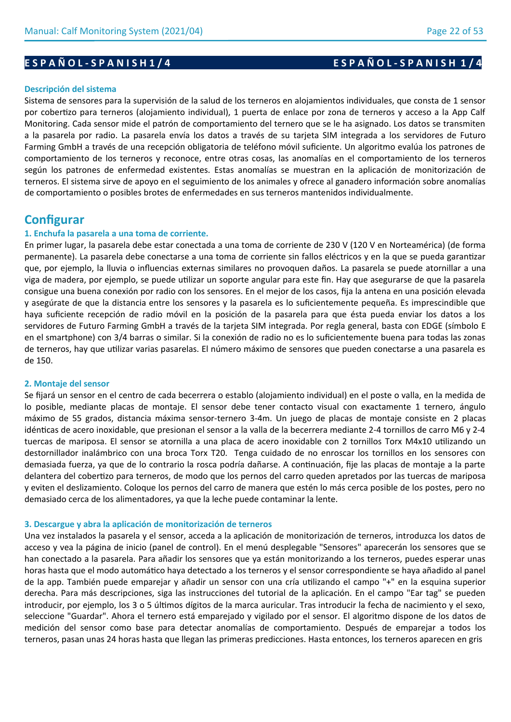#### **Descripción del sistema**

Sistema de sensores para la supervisión de la salud de los terneros en alojamientos individuales, que consta de 1 sensor por cobertizo para terneros (alojamiento individual), 1 puerta de enlace por zona de terneros y acceso a la App Calf Monitoring. Cada sensor mide el patrón de comportamiento del ternero que se le ha asignado. Los datos se transmiten a la pasarela por radio. La pasarela envía los datos a través de su tarjeta SIM integrada a los servidores de Futuro Farming GmbH a través de una recepción obligatoria de teléfono móvil suficiente. Un algoritmo evalúa los patrones de comportamiento de los terneros y reconoce, entre otras cosas, las anomalías en el comportamiento de los terneros según los patrones de enfermedad existentes. Estas anomalías se muestran en la aplicación de monitorización de terneros. El sistema sirve de apoyo en el seguimiento de los animales y ofrece al ganadero información sobre anomalías de comportamiento o posibles brotes de enfermedades en sus terneros mantenidos individualmente.

# **Configurar**

## **1. Enchufa la pasarela a una toma de corriente.**

En primer lugar, la pasarela debe estar conectada a una toma de corriente de 230 V (120 V en Norteamérica) (de forma permanente). La pasarela debe conectarse a una toma de corriente sin fallos eléctricos y en la que se pueda garantizar que, por ejemplo, la lluvia o influencias externas similares no provoquen daños. La pasarela se puede atornillar a una viga de madera, por ejemplo, se puede utilizar un soporte angular para este fin. Hay que asegurarse de que la pasarela consigue una buena conexión por radio con los sensores. En el mejor de los casos, fija la antena en una posición elevada y asegúrate de que la distancia entre los sensores y la pasarela es lo suficientemente pequeña. Es imprescindible que haya suficiente recepción de radio móvil en la posición de la pasarela para que ésta pueda enviar los datos a los servidores de Futuro Farming GmbH a través de la tarjeta SIM integrada. Por regla general, basta con EDGE (símbolo E en el smartphone) con 3/4 barras o similar. Si la conexión de radio no es lo suficientemente buena para todas las zonas de terneros, hay que utilizar varias pasarelas. El número máximo de sensores que pueden conectarse a una pasarela es de 150.

## **2. Montaje del sensor**

Se fijará un sensor en el centro de cada becerrera o establo (alojamiento individual) en el poste o valla, en la medida de lo posible, mediante placas de montaje. El sensor debe tener contacto visual con exactamente 1 ternero, ángulo máximo de 55 grados, distancia máxima sensor-ternero 3-4m. Un juego de placas de montaje consiste en 2 placas idénticas de acero inoxidable, que presionan el sensor a la valla de la becerrera mediante 2-4 tornillos de carro M6 y 2-4 tuercas de mariposa. El sensor se atornilla a una placa de acero inoxidable con 2 tornillos Torx M4x10 utilizando un destornillador inalámbrico con una broca Torx T20. Tenga cuidado de no enroscar los tornillos en los sensores con demasiada fuerza, ya que de lo contrario la rosca podría dañarse. A continuación, fije las placas de montaje a la parte delantera del cobertizo para terneros, de modo que los pernos del carro queden apretados por las tuercas de mariposa y eviten el deslizamiento. Coloque los pernos del carro de manera que estén lo más cerca posible de los postes, pero no demasiado cerca de los alimentadores, ya que la leche puede contaminar la lente.

#### **3. Descargue y abra la aplicación de monitorización de terneros**

Una vez instalados la pasarela y el sensor, acceda a la aplicación de monitorización de terneros, introduzca los datos de acceso y vea la página de inicio (panel de control). En el menú desplegable "Sensores" aparecerán los sensores que se han conectado a la pasarela. Para añadir los sensores que ya están monitorizando a los terneros, puedes esperar unas horas hasta que el modo automático haya detectado a los terneros y el sensor correspondiente se haya añadido al panel de la app. También puede emparejar y añadir un sensor con una cría utilizando el campo "+" en la esquina superior derecha. Para más descripciones, siga las instrucciones del tutorial de la aplicación. En el campo "Ear tag" se pueden introducir, por ejemplo, los 3 o 5 últimos dígitos de la marca auricular. Tras introducir la fecha de nacimiento y el sexo, seleccione "Guardar". Ahora el ternero está emparejado y vigilado por el sensor. El algoritmo dispone de los datos de medición del sensor como base para detectar anomalías de comportamiento. Después de emparejar a todos los terneros, pasan unas 24 horas hasta que llegan las primeras predicciones. Hasta entonces, los terneros aparecen en gris

# **E S P A Ñ O L - S P A N I S H 1 / 4 E S P A Ñ O L - S P A N I S H 1 / 4**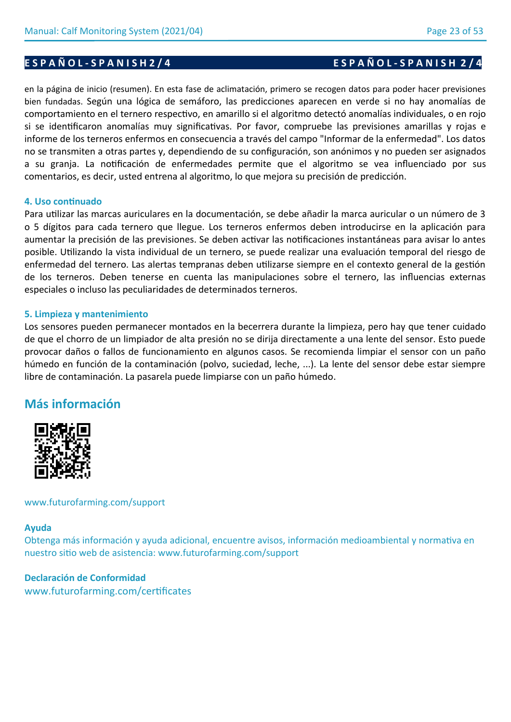# en la página de inicio (resumen). En esta fase de aclimatación, primero se recogen datos para poder hacer previsiones bien fundadas. Según una lógica de semáforo, las predicciones aparecen en verde si no hay anomalías de comportamiento en el ternero respectivo, en amarillo si el algoritmo detectó anomalías individuales, o en rojo si se identificaron anomalías muy significativas. Por favor, compruebe las previsiones amarillas y rojas e

informe de los terneros enfermos en consecuencia a través del campo "Informar de la enfermedad". Los datos no se transmiten a otras partes y, dependiendo de su configuración, son anónimos y no pueden ser asignados a su granja. La notificación de enfermedades permite que el algoritmo se vea influenciado por sus comentarios, es decir, usted entrena al algoritmo, lo que mejora su precisión de predicción.

# **4. Uso continuado**

Para utilizar las marcas auriculares en la documentación, se debe añadir la marca auricular o un número de 3 o 5 dígitos para cada ternero que llegue. Los terneros enfermos deben introducirse en la aplicación para aumentar la precisión de las previsiones. Se deben activar las notificaciones instantáneas para avisar lo antes posible. Utilizando la vista individual de un ternero, se puede realizar una evaluación temporal del riesgo de enfermedad del ternero. Las alertas tempranas deben utilizarse siempre en el contexto general de la gestión de los terneros. Deben tenerse en cuenta las manipulaciones sobre el ternero, las influencias externas especiales o incluso las peculiaridades de determinados terneros.

# **5. Limpieza y mantenimiento**

Los sensores pueden permanecer montados en la becerrera durante la limpieza, pero hay que tener cuidado de que el chorro de un limpiador de alta presión no se dirija directamente a una lente del sensor. Esto puede provocar daños o fallos de funcionamiento en algunos casos. Se recomienda limpiar el sensor con un paño húmedo en función de la contaminación (polvo, suciedad, leche, ...). La lente del sensor debe estar siempre libre de contaminación. La pasarela puede limpiarse con un paño húmedo.

# **Más información**



# www.futurofarming.com/support

# **Ayuda**

Obtenga más información y ayuda adicional, encuentre avisos, información medioambiental y normativa en nuestro sitio web de asistencia: www.futurofarming.com/support

# **Declaración de Conformidad**

www.futurofarming.com/certificates

# **E S P A Ñ O L - S P A N I S H 2 / 4 E S P A Ñ O L - S P A N I S H 2 / 4**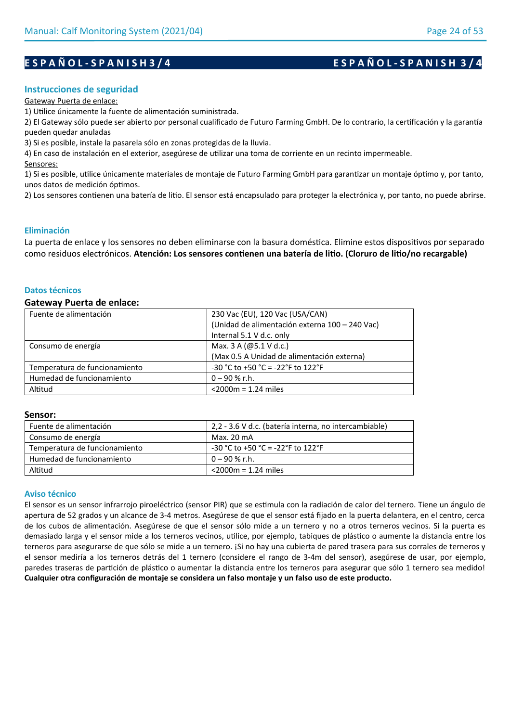# **E S P A Ñ O L - S P A N I S H 3 / 4 E S P A Ñ O L - S P A N I S H 3 / 4**

## **Instrucciones de seguridad**

#### Gateway Puerta de enlace:

1) Utilice únicamente la fuente de alimentación suministrada.

2) El Gateway sólo puede ser abierto por personal cualificado de Futuro Farming GmbH. De lo contrario, la certificación y la garantía pueden quedar anuladas

3) Si es posible, instale la pasarela sólo en zonas protegidas de la lluvia.

4) En caso de instalación en el exterior, asegúrese de utilizar una toma de corriente en un recinto impermeable.

Sensores:

1) Si es posible, utilice únicamente materiales de montaje de Futuro Farming GmbH para garantizar un montaje óptimo y, por tanto, unos datos de medición óptimos.

2) Los sensores contienen una batería de litio. El sensor está encapsulado para proteger la electrónica y, por tanto, no puede abrirse.

### **Eliminación**

La puerta de enlace y los sensores no deben eliminarse con la basura doméstica. Elimine estos dispositivos por separado como residuos electrónicos. **Atención: Los sensores contienen una batería de litio. (Cloruro de litio/no recargable)**

### **Datos técnicos**

#### **Gateway Puerta de enlace:**

| Fuente de alimentación        | 230 Vac (EU), 120 Vac (USA/CAN)                |
|-------------------------------|------------------------------------------------|
|                               | (Unidad de alimentación externa 100 - 240 Vac) |
|                               | Internal 5.1 V d.c. only                       |
| Consumo de energía            | Max. 3 A (@5.1 V d.c.)                         |
|                               | (Max 0.5 A Unidad de alimentación externa)     |
| Temperatura de funcionamiento | $-30$ °C to +50 °C = -22°F to 122°F            |
| Humedad de funcionamiento     | $0 - 90 %$ r.h.                                |
| Altitud                       | $<$ 2000 $m$ = 1.24 miles                      |

#### **Sensor:**

| Fuente de alimentación        | 2,2 - 3.6 V d.c. (batería interna, no intercambiable) |
|-------------------------------|-------------------------------------------------------|
| Consumo de energía            | Max. 20 mA                                            |
| Temperatura de funcionamiento | $-30$ °C to +50 °C = -22°F to 122°F                   |
| Humedad de funcionamiento     | $0 - 90$ % r.h.                                       |
| Altitud                       | $<$ 2000 $m = 1.24$ miles                             |

## **Aviso técnico**

El sensor es un sensor infrarrojo piroeléctrico (sensor PIR) que se estimula con la radiación de calor del ternero. Tiene un ángulo de apertura de 52 grados y un alcance de 3-4 metros. Asegúrese de que el sensor está fijado en la puerta delantera, en el centro, cerca de los cubos de alimentación. Asegúrese de que el sensor sólo mide a un ternero y no a otros terneros vecinos. Si la puerta es demasiado larga y el sensor mide a los terneros vecinos, utilice, por ejemplo, tabiques de plástico o aumente la distancia entre los terneros para asegurarse de que sólo se mide a un ternero. ¡Si no hay una cubierta de pared trasera para sus corrales de terneros y el sensor mediría a los terneros detrás del 1 ternero (considere el rango de 3-4m del sensor), asegúrese de usar, por ejemplo, paredes traseras de partición de plástico o aumentar la distancia entre los terneros para asegurar que sólo 1 ternero sea medido! **Cualquier otra configuración de montaje se considera un falso montaje y un falso uso de este producto.**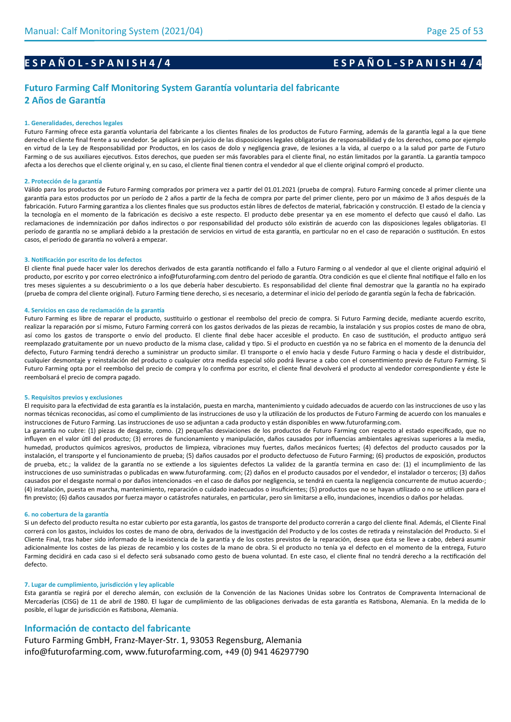# **E S P A Ñ O L - S P A N I S H 4 / 4 E S P A Ñ O L - S P A N I S H 4 / 4**

## **Futuro Farming Calf Monitoring System Garantía voluntaria del fabricante 2 Años de Garantía**

#### **1. Generalidades, derechos legales**

Futuro Farming ofrece esta garantía voluntaria del fabricante a los clientes finales de los productos de Futuro Farming, además de la garantía legal a la que tiene derecho el cliente final frente a su vendedor. Se aplicará sin perjuicio de las disposiciones legales obligatorias de responsabilidad y de los derechos, como por ejemplo en virtud de la Ley de Responsabilidad por Productos, en los casos de dolo y negligencia grave, de lesiones a la vida, al cuerpo o a la salud por parte de Futuro Farming o de sus auxiliares ejecutivos. Estos derechos, que pueden ser más favorables para el cliente final, no están limitados por la garantía. La garantía tampoco afecta a los derechos que el cliente original y, en su caso, el cliente final tienen contra el vendedor al que el cliente original compró el producto.

#### **2. Protección de la garantía**

Válido para los productos de Futuro Farming comprados por primera vez a partir del 01.01.2021 (prueba de compra). Futuro Farming concede al primer cliente una garantía para estos productos por un período de 2 años a partir de la fecha de compra por parte del primer cliente, pero por un máximo de 3 años después de la fabricación. Futuro Farming garantiza a los clientes finales que sus productos están libres de defectos de material, fabricación y construcción. El estado de la ciencia y la tecnología en el momento de la fabricación es decisivo a este respecto. El producto debe presentar ya en ese momento el defecto que causó el daño. Las reclamaciones de indemnización por daños indirectos o por responsabilidad del producto sólo existirán de acuerdo con las disposiciones legales obligatorias. El período de garantía no se ampliará debido a la prestación de servicios en virtud de esta garantía, en particular no en el caso de reparación o sustitución. En estos casos, el período de garantía no volverá a empezar.

#### **3. Notificación por escrito de los defectos**

El cliente final puede hacer valer los derechos derivados de esta garantía notificando el fallo a Futuro Farming o al vendedor al que el cliente original adquirió el producto, por escrito y por correo electrónico a info@futurofarming.com dentro del periodo de garantía. Otra condición es que el cliente final notifique el fallo en los tres meses siguientes a su descubrimiento o a los que debería haber descubierto. Es responsabilidad del cliente final demostrar que la garantía no ha expirado (prueba de compra del cliente original). Futuro Farming tiene derecho, si es necesario, a determinar el inicio del período de garantía según la fecha de fabricación.

#### **4. Servicios en caso de reclamación de la garantía**

Futuro Farming es libre de reparar el producto, sustituirlo o gestionar el reembolso del precio de compra. Si Futuro Farming decide, mediante acuerdo escrito, realizar la reparación por sí mismo, Futuro Farming correrá con los gastos derivados de las piezas de recambio, la instalación y sus propios costes de mano de obra, así como los gastos de transporte o envío del producto. El cliente final debe hacer accesible el producto. En caso de sustitución, el producto antiguo será reemplazado gratuitamente por un nuevo producto de la misma clase, calidad y tipo. Si el producto en cuestión ya no se fabrica en el momento de la denuncia del defecto, Futuro Farming tendrá derecho a suministrar un producto similar. El transporte o el envío hacia y desde Futuro Farming o hacia y desde el distribuidor, cualquier desmontaje y reinstalación del producto o cualquier otra medida especial sólo podrá llevarse a cabo con el consentimiento previo de Futuro Farming. Si Futuro Farming opta por el reembolso del precio de compra y lo confirma por escrito, el cliente final devolverá el producto al vendedor correspondiente y éste le reembolsará el precio de compra pagado.

#### **5. Requisitos previos y exclusiones**

El requisito para la efectividad de esta garantía es la instalación, puesta en marcha, mantenimiento y cuidado adecuados de acuerdo con las instrucciones de uso y las normas técnicas reconocidas, así como el cumplimiento de las instrucciones de uso y la utilización de los productos de Futuro Farming de acuerdo con los manuales e instrucciones de Futuro Farming. Las instrucciones de uso se adjuntan a cada producto y están disponibles en www.futurofarming.com.

La garantía no cubre: (1) piezas de desgaste, como. (2) pequeñas desviaciones de los productos de Futuro Farming con respecto al estado especificado, que no influyen en el valor útil del producto; (3) errores de funcionamiento y manipulación, daños causados por influencias ambientales agresivas superiores a la media, humedad, productos químicos agresivos, productos de limpieza, vibraciones muy fuertes, daños mecánicos fuertes; (4) defectos del producto causados por la instalación, el transporte y el funcionamiento de prueba; (5) daños causados por el producto defectuoso de Futuro Farming; (6) productos de exposición, productos de prueba, etc.; la validez de la garantía no se extiende a los siguientes defectos La validez de la garantía termina en caso de: (1) el incumplimiento de las instrucciones de uso suministradas o publicadas en www.futurofarming. com; (2) daños en el producto causados por el vendedor, el instalador o terceros; (3) daños causados por el desgaste normal o por daños intencionados -en el caso de daños por negligencia, se tendrá en cuenta la negligencia concurrente de mutuo acuerdo-; (4) instalación, puesta en marcha, mantenimiento, reparación o cuidado inadecuados o insuficientes; (5) productos que no se hayan utilizado o no se utilicen para el fin previsto; (6) daños causados por fuerza mayor o catástrofes naturales, en particular, pero sin limitarse a ello, inundaciones, incendios o daños por heladas.

#### **6. no cobertura de la garantía**

Si un defecto del producto resulta no estar cubierto por esta garantía, los gastos de transporte del producto correrán a cargo del cliente final. Además, el Cliente Final correrá con los gastos, incluidos los costes de mano de obra, derivados de la investigación del Producto y de los costes de retirada y reinstalación del Producto. Si el Cliente Final, tras haber sido informado de la inexistencia de la garantía y de los costes previstos de la reparación, desea que ésta se lleve a cabo, deberá asumir adicionalmente los costes de las piezas de recambio y los costes de la mano de obra. Si el producto no tenía ya el defecto en el momento de la entrega, Futuro Farming decidirá en cada caso si el defecto será subsanado como gesto de buena voluntad. En este caso, el cliente final no tendrá derecho a la rectificación del defecto.

#### **7. Lugar de cumplimiento, jurisdicción y ley aplicable**

Esta garantía se regirá por el derecho alemán, con exclusión de la Convención de las Naciones Unidas sobre los Contratos de Compraventa Internacional de Mercaderías (CISG) de 11 de abril de 1980. El lugar de cumplimiento de las obligaciones derivadas de esta garantía es Ratisbona, Alemania. En la medida de lo posible, el lugar de jurisdicción es Ratisbona, Alemania.

#### **Información de contacto del fabricante**

Futuro Farming GmbH, Franz-Mayer-Str. 1, 93053 Regensburg, Alemania info@futurofarming.com, www.futurofarming.com, +49 (0) 941 46297790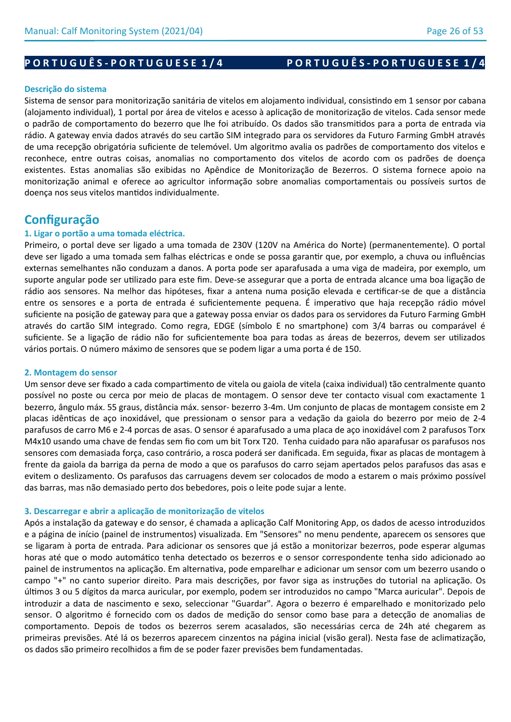# PORTUGUÊS-PORTUGUESE 1/4 PORTUGUÊS-PORTUGUESE 1/4

### **Descrição do sistema**

Sistema de sensor para monitorização sanitária de vitelos em alojamento individual, consistindo em 1 sensor por cabana (alojamento individual), 1 portal por área de vitelos e acesso à aplicação de monitorização de vitelos. Cada sensor mede o padrão de comportamento do bezerro que lhe foi atribuído. Os dados são transmitidos para a porta de entrada via rádio. A gateway envia dados através do seu cartão SIM integrado para os servidores da Futuro Farming GmbH através de uma recepção obrigatória suficiente de telemóvel. Um algoritmo avalia os padrões de comportamento dos vitelos e reconhece, entre outras coisas, anomalias no comportamento dos vitelos de acordo com os padrões de doença existentes. Estas anomalias são exibidas no Apêndice de Monitorização de Bezerros. O sistema fornece apoio na monitorização animal e oferece ao agricultor informação sobre anomalias comportamentais ou possíveis surtos de doença nos seus vitelos mantidos individualmente.

# **Configuração**

### **1. Ligar o portão a uma tomada eléctrica.**

Primeiro, o portal deve ser ligado a uma tomada de 230V (120V na América do Norte) (permanentemente). O portal deve ser ligado a uma tomada sem falhas eléctricas e onde se possa garantir que, por exemplo, a chuva ou influências externas semelhantes não conduzam a danos. A porta pode ser aparafusada a uma viga de madeira, por exemplo, um suporte angular pode ser utilizado para este fim. Deve-se assegurar que a porta de entrada alcance uma boa ligação de rádio aos sensores. Na melhor das hipóteses, fixar a antena numa posição elevada e certificar-se de que a distância entre os sensores e a porta de entrada é suficientemente pequena. É imperativo que haja recepção rádio móvel suficiente na posição de gateway para que a gateway possa enviar os dados para os servidores da Futuro Farming GmbH através do cartão SIM integrado. Como regra, EDGE (símbolo E no smartphone) com 3/4 barras ou comparável é suficiente. Se a ligação de rádio não for suficientemente boa para todas as áreas de bezerros, devem ser utilizados vários portais. O número máximo de sensores que se podem ligar a uma porta é de 150.

#### **2. Montagem do sensor**

Um sensor deve ser fixado a cada compartimento de vitela ou gaiola de vitela (caixa individual) tão centralmente quanto possível no poste ou cerca por meio de placas de montagem. O sensor deve ter contacto visual com exactamente 1 bezerro, ângulo máx. 55 graus, distância máx. sensor- bezerro 3-4m. Um conjunto de placas de montagem consiste em 2 placas idênticas de aço inoxidável, que pressionam o sensor para a vedação da gaiola do bezerro por meio de 2-4 parafusos de carro M6 e 2-4 porcas de asas. O sensor é aparafusado a uma placa de aço inoxidável com 2 parafusos Torx M4x10 usando uma chave de fendas sem fio com um bit Torx T20. Tenha cuidado para não aparafusar os parafusos nos sensores com demasiada força, caso contrário, a rosca poderá ser danificada. Em seguida, fixar as placas de montagem à frente da gaiola da barriga da perna de modo a que os parafusos do carro sejam apertados pelos parafusos das asas e evitem o deslizamento. Os parafusos das carruagens devem ser colocados de modo a estarem o mais próximo possível das barras, mas não demasiado perto dos bebedores, pois o leite pode sujar a lente.

#### **3. Descarregar e abrir a aplicação de monitorização de vitelos**

Após a instalação da gateway e do sensor, é chamada a aplicação Calf Monitoring App, os dados de acesso introduzidos e a página de início (painel de instrumentos) visualizada. Em "Sensores" no menu pendente, aparecem os sensores que se ligaram à porta de entrada. Para adicionar os sensores que já estão a monitorizar bezerros, pode esperar algumas horas até que o modo automático tenha detectado os bezerros e o sensor correspondente tenha sido adicionado ao painel de instrumentos na aplicação. Em alternativa, pode emparelhar e adicionar um sensor com um bezerro usando o campo "+" no canto superior direito. Para mais descrições, por favor siga as instruções do tutorial na aplicação. Os últimos 3 ou 5 dígitos da marca auricular, por exemplo, podem ser introduzidos no campo "Marca auricular". Depois de introduzir a data de nascimento e sexo, seleccionar "Guardar". Agora o bezerro é emparelhado e monitorizado pelo sensor. O algoritmo é fornecido com os dados de medição do sensor como base para a detecção de anomalias de comportamento. Depois de todos os bezerros serem acasalados, são necessárias cerca de 24h até chegarem as primeiras previsões. Até lá os bezerros aparecem cinzentos na página inicial (visão geral). Nesta fase de aclimatização, os dados são primeiro recolhidos a fim de se poder fazer previsões bem fundamentadas.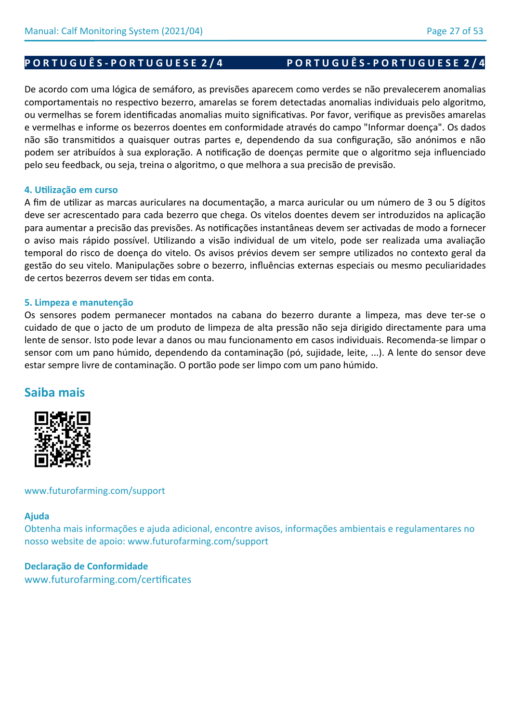# PORTUGUÊS-PORTUGUESE 2/4 PORTUGUÊS-PORTUGUESE 2/4

# De acordo com uma lógica de semáforo, as previsões aparecem como verdes se não prevalecerem anomalias comportamentais no respectivo bezerro, amarelas se forem detectadas anomalias individuais pelo algoritmo, ou vermelhas se forem identificadas anomalias muito significativas. Por favor, verifique as previsões amarelas e vermelhas e informe os bezerros doentes em conformidade através do campo "Informar doença". Os dados não são transmitidos a quaisquer outras partes e, dependendo da sua configuração, são anónimos e não podem ser atribuídos à sua exploração. A notificação de doenças permite que o algoritmo seja influenciado pelo seu feedback, ou seja, treina o algoritmo, o que melhora a sua precisão de previsão.

## **4. Utilização em curso**

A fim de utilizar as marcas auriculares na documentação, a marca auricular ou um número de 3 ou 5 dígitos deve ser acrescentado para cada bezerro que chega. Os vitelos doentes devem ser introduzidos na aplicação para aumentar a precisão das previsões. As notificações instantâneas devem ser activadas de modo a fornecer o aviso mais rápido possível. Utilizando a visão individual de um vitelo, pode ser realizada uma avaliação temporal do risco de doença do vitelo. Os avisos prévios devem ser sempre utilizados no contexto geral da gestão do seu vitelo. Manipulações sobre o bezerro, influências externas especiais ou mesmo peculiaridades de certos bezerros devem ser tidas em conta.

## **5. Limpeza e manutenção**

Os sensores podem permanecer montados na cabana do bezerro durante a limpeza, mas deve ter-se o cuidado de que o jacto de um produto de limpeza de alta pressão não seja dirigido directamente para uma lente de sensor. Isto pode levar a danos ou mau funcionamento em casos individuais. Recomenda-se limpar o sensor com um pano húmido, dependendo da contaminação (pó, sujidade, leite, ...). A lente do sensor deve estar sempre livre de contaminação. O portão pode ser limpo com um pano húmido.

# **Saiba mais**



www.futurofarming.com/support

## **Ajuda**

Obtenha mais informações e ajuda adicional, encontre avisos, informações ambientais e regulamentares no nosso website de apoio: www.futurofarming.com/support

## **Declaração de Conformidade**

www.futurofarming.com/certificates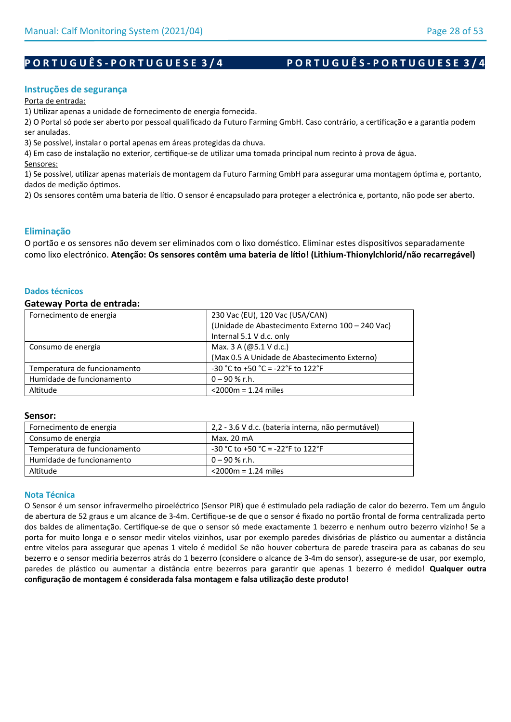# PORTUGUÊS-PORTUGUESE 3/4 PORTUGUÊS-PORTUGUESE 3/4

### **Instruções de segurança**

Porta de entrada:

1) Utilizar apenas a unidade de fornecimento de energia fornecida.

2) O Portal só pode ser aberto por pessoal qualificado da Futuro Farming GmbH. Caso contrário, a certificação e a garantia podem ser anuladas.

3) Se possível, instalar o portal apenas em áreas protegidas da chuva.

4) Em caso de instalação no exterior, certifique-se de utilizar uma tomada principal num recinto à prova de água. Sensores:

1) Se possível, utilizar apenas materiais de montagem da Futuro Farming GmbH para assegurar uma montagem óptima e, portanto, dados de medição óptimos.

2) Os sensores contêm uma bateria de lítio. O sensor é encapsulado para proteger a electrónica e, portanto, não pode ser aberto.

## **Eliminação**

O portão e os sensores não devem ser eliminados com o lixo doméstico. Eliminar estes dispositivos separadamente como lixo electrónico. **Atenção: Os sensores contêm uma bateria de lítio! (Lithium-Thionylchlorid/não recarregável)**

#### **Dados técnicos**

#### **Gateway Porta de entrada:**

| Fornecimento de energia      | 230 Vac (EU), 120 Vac (USA/CAN)                  |
|------------------------------|--------------------------------------------------|
|                              | (Unidade de Abastecimento Externo 100 - 240 Vac) |
|                              | Internal 5.1 V d.c. only                         |
| Consumo de energia           | Max. 3 A (@5.1 V d.c.)                           |
|                              | (Max 0.5 A Unidade de Abastecimento Externo)     |
| Temperatura de funcionamento | -30 °C to +50 °C = -22°F to 122°F                |
| Humidade de funcionamento    | $0 - 90 %$ r.h.                                  |
| Altitude                     | $<$ 2000 $m$ = 1.24 miles                        |

#### **Sensor:**

| Fornecimento de energia      | 2,2 - 3.6 V d.c. (bateria interna, não permutável) |
|------------------------------|----------------------------------------------------|
| Consumo de energia           | Max. 20 mA                                         |
| Temperatura de funcionamento | $-30$ °C to +50 °C = -22°F to 122°F                |
| Humidade de funcionamento    | $0 - 90$ % r.h.                                    |
| Altitude                     | $<$ 2000m = 1.24 miles                             |

### **Nota Técnica**

O Sensor é um sensor infravermelho piroeléctrico (Sensor PIR) que é estimulado pela radiação de calor do bezerro. Tem um ângulo de abertura de 52 graus e um alcance de 3-4m. Certifique-se de que o sensor é fixado no portão frontal de forma centralizada perto dos baldes de alimentação. Certifique-se de que o sensor só mede exactamente 1 bezerro e nenhum outro bezerro vizinho! Se a porta for muito longa e o sensor medir vitelos vizinhos, usar por exemplo paredes divisórias de plástico ou aumentar a distância entre vitelos para assegurar que apenas 1 vitelo é medido! Se não houver cobertura de parede traseira para as cabanas do seu bezerro e o sensor mediria bezerros atrás do 1 bezerro (considere o alcance de 3-4m do sensor), assegure-se de usar, por exemplo, paredes de plástico ou aumentar a distância entre bezerros para garantir que apenas 1 bezerro é medido! **Qualquer outra configuração de montagem é considerada falsa montagem e falsa utilização deste produto!**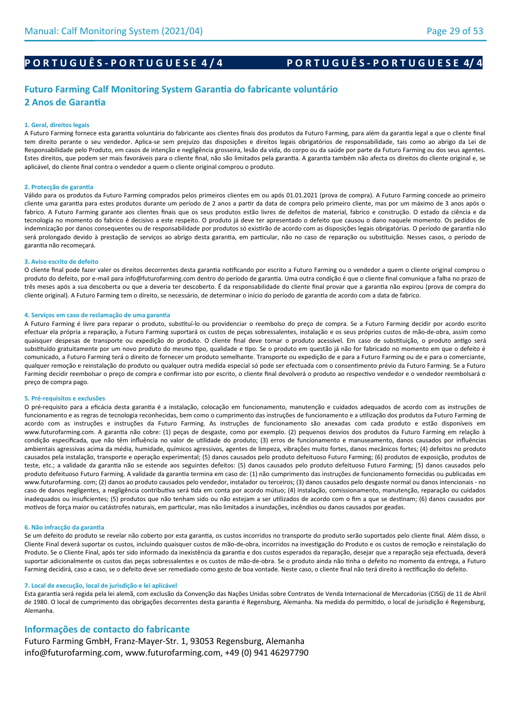# PORTUGUÊS-PORTUGUESE 4/4 PORTUGUÊS-PORTUGUESE 4/4

## **Futuro Farming Calf Monitoring System Garantia do fabricante voluntário 2 Anos de Garantia**

#### **1. Geral, direitos legais**

A Futuro Farming fornece esta garantia voluntária do fabricante aos clientes finais dos produtos da Futuro Farming, para além da garantia legal a que o cliente final tem direito perante o seu vendedor. Aplica-se sem prejuízo das disposições e direitos legais obrigatórios de responsabilidade, tais como ao abrigo da Lei de Responsabilidade pelo Produto, em casos de intenção e negligência grosseira, lesão da vida, do corpo ou da saúde por parte da Futuro Farming ou dos seus agentes. Estes direitos, que podem ser mais favoráveis para o cliente final, não são limitados pela garantia. A garantia também não afecta os direitos do cliente original e, se aplicável, do cliente final contra o vendedor a quem o cliente original comprou o produto.

#### **2. Protecção de garantia**

Válido para os produtos da Futuro Farming comprados pelos primeiros clientes em ou após 01.01.2021 (prova de compra). A Futuro Farming concede ao primeiro cliente uma garantia para estes produtos durante um período de 2 anos a partir da data de compra pelo primeiro cliente, mas por um máximo de 3 anos após o fabrico. A Futuro Farming garante aos clientes finais que os seus produtos estão livres de defeitos de material, fabrico e construção. O estado da ciência e da tecnologia no momento do fabrico é decisivo a este respeito. O produto já deve ter apresentado o defeito que causou o dano naquele momento. Os pedidos de indemnização por danos consequentes ou de responsabilidade por produtos só existirão de acordo com as disposições legais obrigatórias. O período de garantia não será prolongado devido à prestação de serviços ao abrigo desta garantia, em particular, não no caso de reparação ou substituição. Nesses casos, o período de garantia não recomeçará.

#### **3. Aviso escrito de defeito**

O cliente final pode fazer valer os direitos decorrentes desta garantia notificando por escrito a Futuro Farming ou o vendedor a quem o cliente original comprou o produto do defeito, por e-mail para info@futurofarming.com dentro do período de garantia. Uma outra condição é que o cliente final comunique a falha no prazo de três meses após a sua descoberta ou que a deveria ter descoberto. É da responsabilidade do cliente final provar que a garantia não expirou (prova de compra do cliente original). A Futuro Farming tem o direito, se necessário, de determinar o início do período de garantia de acordo com a data de fabrico.

#### **4. Serviços em caso de reclamação de uma garantia**

A Futuro Farming é livre para reparar o produto, substituí-lo ou providenciar o reembolso do preço de compra. Se a Futuro Farming decidir por acordo escrito efectuar ela própria a reparação, a Futuro Farming suportará os custos de peças sobressalentes, instalação e os seus próprios custos de mão-de-obra, assim como quaisquer despesas de transporte ou expedição do produto. O cliente final deve tornar o produto acessível. Em caso de substituição, o produto antigo será substituído gratuitamente por um novo produto do mesmo tipo, qualidade e tipo. Se o produto em questão já não for fabricado no momento em que o defeito é comunicado, a Futuro Farming terá o direito de fornecer um produto semelhante. Transporte ou expedição de e para a Futuro Farming ou de e para o comerciante, qualquer remoção e reinstalação do produto ou qualquer outra medida especial só pode ser efectuada com o consentimento prévio da Futuro Farming. Se a Futuro Farming decidir reembolsar o preço de compra e confirmar isto por escrito, o cliente final devolverá o produto ao respectivo vendedor e o vendedor reembolsará o preço de compra pago.

#### **5. Pré-requisitos e exclusões**

O pré-requisito para a eficácia desta garantia é a instalação, colocação em funcionamento, manutenção e cuidados adequados de acordo com as instruções de funcionamento e as regras de tecnologia reconhecidas, bem como o cumprimento das instruções de funcionamento e a utilização dos produtos da Futuro Farming de acordo com as instruções e instruções da Futuro Farming. As instruções de funcionamento são anexadas com cada produto e estão disponíveis em www.futurofarming.com. A garantia não cobre: (1) peças de desgaste, como por exemplo. (2) pequenos desvios dos produtos da Futuro Farming em relação à condição especificada, que não têm influência no valor de utilidade do produto; (3) erros de funcionamento e manuseamento, danos causados por influências ambientais agressivas acima da média, humidade, químicos agressivos, agentes de limpeza, vibrações muito fortes, danos mecânicos fortes; (4) defeitos no produto causados pela instalação, transporte e operação experimental; (5) danos causados pelo produto defeituoso Futuro Farming; (6) produtos de exposição, produtos de teste, etc.; a validade da garantia não se estende aos seguintes defeitos: (5) danos causados pelo produto defeituoso Futuro Farming; (5) danos causados pelo produto defeituoso Futuro Farming. A validade da garantia termina em caso de: (1) não cumprimento das instruções de funcionamento fornecidas ou publicadas em www.futurofarming. com; (2) danos ao produto causados pelo vendedor, instalador ou terceiros; (3) danos causados pelo desgaste normal ou danos intencionais - no caso de danos negligentes, a negligência contributiva será tida em conta por acordo mútuo; (4) instalação, comissionamento, manutenção, reparação ou cuidados inadequados ou insuficientes; (5) produtos que não tenham sido ou não estejam a ser utilizados de acordo com o fim a que se destinam; (6) danos causados por motivos de força maior ou catástrofes naturais, em particular, mas não limitados a inundações, incêndios ou danos causados por geadas.

#### **6. Não infracção da garantia**

Se um defeito do produto se revelar não coberto por esta garantia, os custos incorridos no transporte do produto serão suportados pelo cliente final. Além disso, o Cliente Final deverá suportar os custos, incluindo quaisquer custos de mão-de-obra, incorridos na investigação do Produto e os custos de remoção e reinstalação do Produto. Se o Cliente Final, após ter sido informado da inexistência da garantia e dos custos esperados da reparação, desejar que a reparação seja efectuada, deverá suportar adicionalmente os custos das peças sobressalentes e os custos de mão-de-obra. Se o produto ainda não tinha o defeito no momento da entrega, a Futuro Farming decidirá, caso a caso, se o defeito deve ser remediado como gesto de boa vontade. Neste caso, o cliente final não terá direito à rectificação do defeito.

#### **7. Local de execução, local de jurisdição e lei aplicável**

Esta garantia será regida pela lei alemã, com exclusão da Convenção das Nações Unidas sobre Contratos de Venda Internacional de Mercadorias (CISG) de 11 de Abril de 1980. O local de cumprimento das obrigações decorrentes desta garantia é Regensburg, Alemanha. Na medida do permitido, o local de jurisdição é Regensburg, Alemanha.

#### **Informações de contacto do fabricante**

Futuro Farming GmbH, Franz-Mayer-Str. 1, 93053 Regensburg, Alemanha info@futurofarming.com, www.futurofarming.com, +49 (0) 941 46297790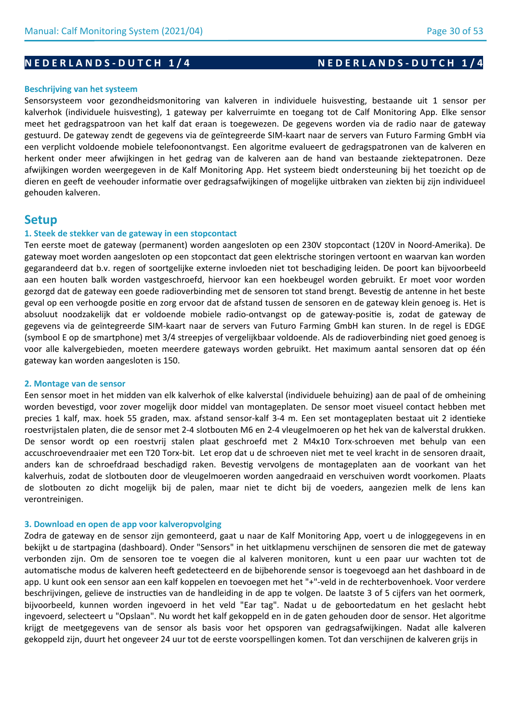# **N E D E R L A N D S - D U T C H 1/4** N E D E R L A N D S - D U T C H 1/4

#### **Beschrijving van het systeem**

Sensorsysteem voor gezondheidsmonitoring van kalveren in individuele huisvesting, bestaande uit 1 sensor per kalverhok (individuele huisvesting), 1 gateway per kalverruimte en toegang tot de Calf Monitoring App. Elke sensor meet het gedragspatroon van het kalf dat eraan is toegewezen. De gegevens worden via de radio naar de gateway gestuurd. De gateway zendt de gegevens via de geïntegreerde SIM-kaart naar de servers van Futuro Farming GmbH via een verplicht voldoende mobiele telefoonontvangst. Een algoritme evalueert de gedragspatronen van de kalveren en herkent onder meer afwijkingen in het gedrag van de kalveren aan de hand van bestaande ziektepatronen. Deze afwijkingen worden weergegeven in de Kalf Monitoring App. Het systeem biedt ondersteuning bij het toezicht op de dieren en geeft de veehouder informatie over gedragsafwijkingen of mogelijke uitbraken van ziekten bij zijn individueel gehouden kalveren.

# **Setup**

### **1. Steek de stekker van de gateway in een stopcontact**

Ten eerste moet de gateway (permanent) worden aangesloten op een 230V stopcontact (120V in Noord-Amerika). De gateway moet worden aangesloten op een stopcontact dat geen elektrische storingen vertoont en waarvan kan worden gegarandeerd dat b.v. regen of soortgelijke externe invloeden niet tot beschadiging leiden. De poort kan bijvoorbeeld aan een houten balk worden vastgeschroefd, hiervoor kan een hoekbeugel worden gebruikt. Er moet voor worden gezorgd dat de gateway een goede radioverbinding met de sensoren tot stand brengt. Bevestig de antenne in het beste geval op een verhoogde positie en zorg ervoor dat de afstand tussen de sensoren en de gateway klein genoeg is. Het is absoluut noodzakelijk dat er voldoende mobiele radio-ontvangst op de gateway-positie is, zodat de gateway de gegevens via de geïntegreerde SIM-kaart naar de servers van Futuro Farming GmbH kan sturen. In de regel is EDGE (symbool E op de smartphone) met 3/4 streepjes of vergelijkbaar voldoende. Als de radioverbinding niet goed genoeg is voor alle kalvergebieden, moeten meerdere gateways worden gebruikt. Het maximum aantal sensoren dat op één gateway kan worden aangesloten is 150.

#### **2. Montage van de sensor**

Een sensor moet in het midden van elk kalverhok of elke kalverstal (individuele behuizing) aan de paal of de omheining worden bevestigd, voor zover mogelijk door middel van montageplaten. De sensor moet visueel contact hebben met precies 1 kalf, max. hoek 55 graden, max. afstand sensor-kalf 3-4 m. Een set montageplaten bestaat uit 2 identieke roestvrijstalen platen, die de sensor met 2-4 slotbouten M6 en 2-4 vleugelmoeren op het hek van de kalverstal drukken. De sensor wordt op een roestvrij stalen plaat geschroefd met 2 M4x10 Torx-schroeven met behulp van een accuschroevendraaier met een T20 Torx-bit. Let erop dat u de schroeven niet met te veel kracht in de sensoren draait, anders kan de schroefdraad beschadigd raken. Bevestig vervolgens de montageplaten aan de voorkant van het kalverhuis, zodat de slotbouten door de vleugelmoeren worden aangedraaid en verschuiven wordt voorkomen. Plaats de slotbouten zo dicht mogelijk bij de palen, maar niet te dicht bij de voeders, aangezien melk de lens kan verontreinigen.

### **3. Download en open de app voor kalveropvolging**

Zodra de gateway en de sensor zijn gemonteerd, gaat u naar de Kalf Monitoring App, voert u de inloggegevens in en bekijkt u de startpagina (dashboard). Onder "Sensors" in het uitklapmenu verschijnen de sensoren die met de gateway verbonden zijn. Om de sensoren toe te voegen die al kalveren monitoren, kunt u een paar uur wachten tot de automatische modus de kalveren heeft gedetecteerd en de bijbehorende sensor is toegevoegd aan het dashboard in de app. U kunt ook een sensor aan een kalf koppelen en toevoegen met het "+"-veld in de rechterbovenhoek. Voor verdere beschrijvingen, gelieve de instructies van de handleiding in de app te volgen. De laatste 3 of 5 cijfers van het oormerk, bijvoorbeeld, kunnen worden ingevoerd in het veld "Ear tag". Nadat u de geboortedatum en het geslacht hebt ingevoerd, selecteert u "Opslaan". Nu wordt het kalf gekoppeld en in de gaten gehouden door de sensor. Het algoritme krijgt de meetgegevens van de sensor als basis voor het opsporen van gedragsafwijkingen. Nadat alle kalveren gekoppeld zijn, duurt het ongeveer 24 uur tot de eerste voorspellingen komen. Tot dan verschijnen de kalveren grijs in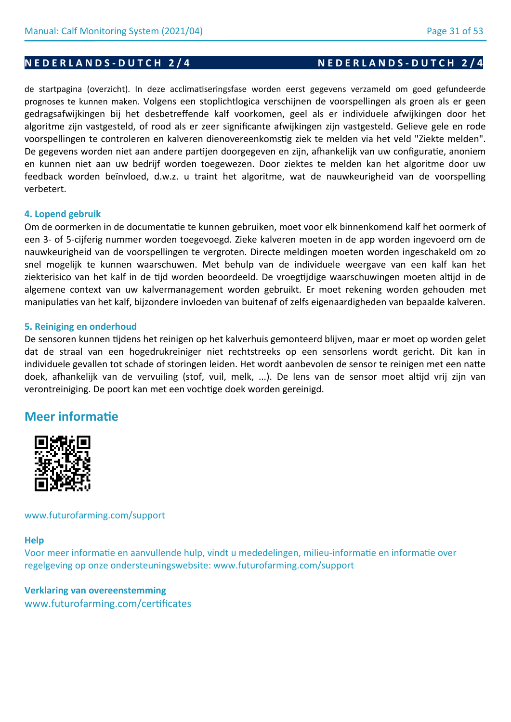# **N E D E R L A N D S - D U T C H 2/4** N E D E R L A N D S - D U T C H 2/4

de startpagina (overzicht). In deze acclimatiseringsfase worden eerst gegevens verzameld om goed gefundeerde prognoses te kunnen maken. Volgens een stoplichtlogica verschijnen de voorspellingen als groen als er geen gedragsafwijkingen bij het desbetreffende kalf voorkomen, geel als er individuele afwijkingen door het algoritme zijn vastgesteld, of rood als er zeer significante afwijkingen zijn vastgesteld. Gelieve gele en rode voorspellingen te controleren en kalveren dienovereenkomstig ziek te melden via het veld "Ziekte melden". De gegevens worden niet aan andere partijen doorgegeven en zijn, afhankelijk van uw configuratie, anoniem en kunnen niet aan uw bedrijf worden toegewezen. Door ziektes te melden kan het algoritme door uw feedback worden beïnvloed, d.w.z. u traint het algoritme, wat de nauwkeurigheid van de voorspelling verbetert.

## **4. Lopend gebruik**

Om de oormerken in de documentatie te kunnen gebruiken, moet voor elk binnenkomend kalf het oormerk of een 3- of 5-cijferig nummer worden toegevoegd. Zieke kalveren moeten in de app worden ingevoerd om de nauwkeurigheid van de voorspellingen te vergroten. Directe meldingen moeten worden ingeschakeld om zo snel mogelijk te kunnen waarschuwen. Met behulp van de individuele weergave van een kalf kan het ziekterisico van het kalf in de tijd worden beoordeeld. De vroegtijdige waarschuwingen moeten altijd in de algemene context van uw kalvermanagement worden gebruikt. Er moet rekening worden gehouden met manipulaties van het kalf, bijzondere invloeden van buitenaf of zelfs eigenaardigheden van bepaalde kalveren.

## **5. Reiniging en onderhoud**

De sensoren kunnen tijdens het reinigen op het kalverhuis gemonteerd blijven, maar er moet op worden gelet dat de straal van een hogedrukreiniger niet rechtstreeks op een sensorlens wordt gericht. Dit kan in individuele gevallen tot schade of storingen leiden. Het wordt aanbevolen de sensor te reinigen met een natte doek, afhankelijk van de vervuiling (stof, vuil, melk, ...). De lens van de sensor moet altijd vrij zijn van verontreiniging. De poort kan met een vochtige doek worden gereinigd.

# **Meer informatie**



## www.futurofarming.com/support

## **Help**

Voor meer informatie en aanvullende hulp, vindt u mededelingen, milieu-informatie en informatie over regelgeving op onze ondersteuningswebsite: www.futurofarming.com/support

# **Verklaring van overeenstemming** www.futurofarming.com/certificates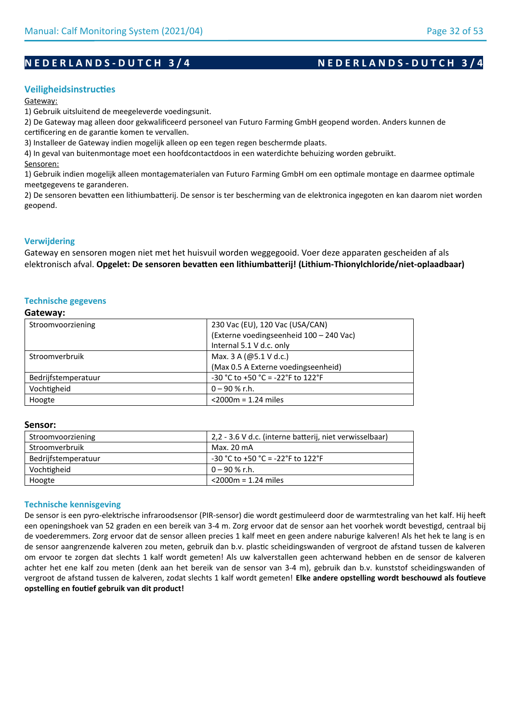# **N E D E R L A N D S - D U T C H 3/4** N E D E R L A N D S - D U T C H 3/4

## **Veiligheidsinstructies**

#### Gateway:

1) Gebruik uitsluitend de meegeleverde voedingsunit.

2) De Gateway mag alleen door gekwalificeerd personeel van Futuro Farming GmbH geopend worden. Anders kunnen de certificering en de garantie komen te vervallen.

3) Installeer de Gateway indien mogelijk alleen op een tegen regen beschermde plaats.

4) In geval van buitenmontage moet een hoofdcontactdoos in een waterdichte behuizing worden gebruikt.

Sensoren:

1) Gebruik indien mogelijk alleen montagematerialen van Futuro Farming GmbH om een optimale montage en daarmee optimale meetgegevens te garanderen.

2) De sensoren bevatten een lithiumbatterij. De sensor is ter bescherming van de elektronica ingegoten en kan daarom niet worden geopend.

## **Verwijdering**

Gateway en sensoren mogen niet met het huisvuil worden weggegooid. Voer deze apparaten gescheiden af als elektronisch afval. **Opgelet: De sensoren bevatten een lithiumbatterij! (Lithium-Thionylchloride/niet-oplaadbaar)**

## **Technische gegevens**

#### **Gateway:**

| Stroomvoorziening   | 230 Vac (EU), 120 Vac (USA/CAN)          |
|---------------------|------------------------------------------|
|                     | (Externe voedingseenheid 100 - 240 Vac)  |
|                     | Internal 5.1 V d.c. only                 |
| Stroomverbruik      | Max. 3 A (@5.1 V d.c.)                   |
|                     | (Max 0.5 A Externe voedingseenheid)      |
| Bedrijfstemperatuur | $-30$ °C to $+50$ °C = $-22$ °F to 122°F |
| Vochtigheid         | $0 - 90 %$ r.h.                          |
| Hoogte              | $<$ 2000 $m$ = 1.24 miles                |

#### **Sensor:**

| Stroomvoorziening   | 2,2 - 3.6 V d.c. (interne batterij, niet verwisselbaar) |
|---------------------|---------------------------------------------------------|
| Stroomverbruik      | Max. 20 mA                                              |
| Bedrijfstemperatuur | $-30$ °C to +50 °C = -22°F to 122°F                     |
| Vochtigheid         | 0 – 90 % r.h.                                           |
| Hoogte              | $<$ 2000m = 1.24 miles                                  |

### **Technische kennisgeving**

De sensor is een pyro-elektrische infraroodsensor (PIR-sensor) die wordt gestimuleerd door de warmtestraling van het kalf. Hij heeft een openingshoek van 52 graden en een bereik van 3-4 m. Zorg ervoor dat de sensor aan het voorhek wordt bevestigd, centraal bij de voederemmers. Zorg ervoor dat de sensor alleen precies 1 kalf meet en geen andere naburige kalveren! Als het hek te lang is en de sensor aangrenzende kalveren zou meten, gebruik dan b.v. plastic scheidingswanden of vergroot de afstand tussen de kalveren om ervoor te zorgen dat slechts 1 kalf wordt gemeten! Als uw kalverstallen geen achterwand hebben en de sensor de kalveren achter het ene kalf zou meten (denk aan het bereik van de sensor van 3-4 m), gebruik dan b.v. kunststof scheidingswanden of vergroot de afstand tussen de kalveren, zodat slechts 1 kalf wordt gemeten! **Elke andere opstelling wordt beschouwd als foutieve opstelling en foutief gebruik van dit product!**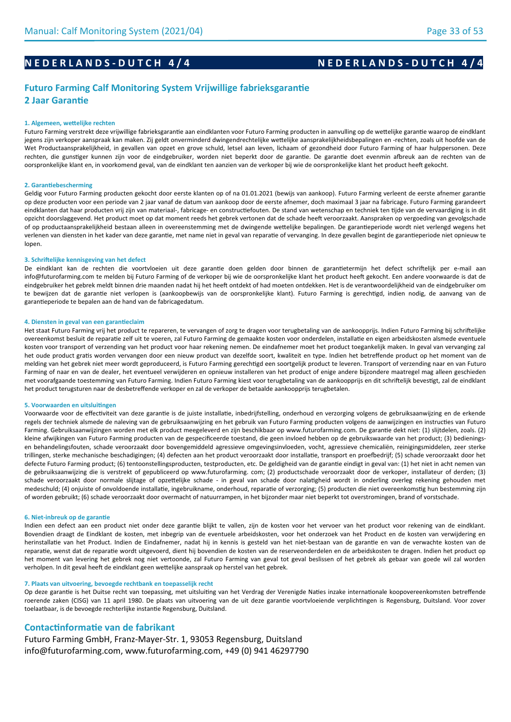# **N E D E R L A N D S - D U T C H 4/4** N E D E R L A N D S - D U T C H 4/4

## **Futuro Farming Calf Monitoring System Vrijwillige fabrieksgarantie 2 Jaar Garantie**

#### **1. Algemeen, wettelijke rechten**

Futuro Farming verstrekt deze vrijwillige fabrieksgarantie aan eindklanten voor Futuro Farming producten in aanvulling op de wettelijke garantie waarop de eindklant jegens zijn verkoper aanspraak kan maken. Zij geldt onverminderd dwingendrechtelijke wettelijke aansprakelijkheidsbepalingen en -rechten, zoals uit hoofde van de Wet Productaansprakelijkheid, in gevallen van opzet en grove schuld, letsel aan leven, lichaam of gezondheid door Futuro Farming of haar hulppersonen. Deze rechten, die gunstiger kunnen zijn voor de eindgebruiker, worden niet beperkt door de garantie. De garantie doet evenmin afbreuk aan de rechten van de oorspronkelijke klant en, in voorkomend geval, van de eindklant ten aanzien van de verkoper bij wie de oorspronkelijke klant het product heeft gekocht.

#### **2. Garantiebescherming**

Geldig voor Futuro Farming producten gekocht door eerste klanten op of na 01.01.2021 (bewijs van aankoop). Futuro Farming verleent de eerste afnemer garantie op deze producten voor een periode van 2 jaar vanaf de datum van aankoop door de eerste afnemer, doch maximaal 3 jaar na fabricage. Futuro Farming garandeert eindklanten dat haar producten vrij zijn van materiaal-, fabricage- en constructiefouten. De stand van wetenschap en techniek ten tijde van de vervaardiging is in dit opzicht doorslaggevend. Het product moet op dat moment reeds het gebrek vertonen dat de schade heeft veroorzaakt. Aanspraken op vergoeding van gevolgschade of op productaansprakelijkheid bestaan alleen in overeenstemming met de dwingende wettelijke bepalingen. De garantieperiode wordt niet verlengd wegens het verlenen van diensten in het kader van deze garantie, met name niet in geval van reparatie of vervanging. In deze gevallen begint de garantieperiode niet opnieuw te lopen.

#### **3. Schriftelijke kennisgeving van het defect**

De eindklant kan de rechten die voortvloeien uit deze garantie doen gelden door binnen de garantietermijn het defect schriftelijk per e-mail aan info@futurofarming.com te melden bij Futuro Farming of de verkoper bij wie de oorspronkelijke klant het product heeft gekocht. Een andere voorwaarde is dat de eindgebruiker het gebrek meldt binnen drie maanden nadat hij het heeft ontdekt of had moeten ontdekken. Het is de verantwoordelijkheid van de eindgebruiker om te bewijzen dat de garantie niet verlopen is (aankoopbewijs van de oorspronkelijke klant). Futuro Farming is gerechtigd, indien nodig, de aanvang van de garantieperiode te bepalen aan de hand van de fabricagedatum.

#### **4. Diensten in geval van een garantieclaim**

Het staat Futuro Farming vrij het product te repareren, te vervangen of zorg te dragen voor terugbetaling van de aankoopprijs. Indien Futuro Farming bij schriftelijke overeenkomst besluit de reparatie zelf uit te voeren, zal Futuro Farming de gemaakte kosten voor onderdelen, installatie en eigen arbeidskosten alsmede eventuele kosten voor transport of verzending van het product voor haar rekening nemen. De eindafnemer moet het product toegankelijk maken. In geval van vervanging zal het oude product gratis worden vervangen door een nieuw product van dezelfde soort, kwaliteit en type. Indien het betreffende product op het moment van de melding van het gebrek niet meer wordt geproduceerd, is Futuro Farming gerechtigd een soortgelijk product te leveren. Transport of verzending naar en van Futuro Farming of naar en van de dealer, het eventueel verwijderen en opnieuw installeren van het product of enige andere bijzondere maatregel mag alleen geschieden met voorafgaande toestemming van Futuro Farming. Indien Futuro Farming kiest voor terugbetaling van de aankoopprijs en dit schriftelijk bevestigt, zal de eindklant het product terugsturen naar de desbetreffende verkoper en zal de verkoper de betaalde aankoopprijs terugbetalen.

#### **5. Voorwaarden en uitsluitingen**

Voorwaarde voor de effectiviteit van deze garantie is de juiste installatie, inbedrijfstelling, onderhoud en verzorging volgens de gebruiksaanwijzing en de erkende regels der techniek alsmede de naleving van de gebruiksaanwijzing en het gebruik van Futuro Farming producten volgens de aanwijzingen en instructies van Futuro Farming. Gebruiksaanwijzingen worden met elk product meegeleverd en zijn beschikbaar op www.futurofarming.com. De garantie dekt niet: (1) slijtdelen, zoals. (2) kleine afwijkingen van Futuro Farming producten van de gespecificeerde toestand, die geen invloed hebben op de gebruikswaarde van het product; (3) bedieningsen behandelingsfouten, schade veroorzaakt door bovengemiddeld agressieve omgevingsinvloeden, vocht, agressieve chemicaliën, reinigingsmiddelen, zeer sterke trillingen, sterke mechanische beschadigingen; (4) defecten aan het product veroorzaakt door installatie, transport en proefbedrijf; (5) schade veroorzaakt door het defecte Futuro Farming product; (6) tentoonstellingsproducten, testproducten, etc. De geldigheid van de garantie eindigt in geval van: (1) het niet in acht nemen van de gebruiksaanwijzing die is verstrekt of gepubliceerd op www.futurofarming. com; (2) productschade veroorzaakt door de verkoper, installateur of derden; (3) schade veroorzaakt door normale slijtage of opzettelijke schade - in geval van schade door nalatigheid wordt in onderling overleg rekening gehouden met medeschuld; (4) onjuiste of onvoldoende installatie, ingebruikname, onderhoud, reparatie of verzorging; (5) producten die niet overeenkomstig hun bestemming zijn of worden gebruikt; (6) schade veroorzaakt door overmacht of natuurrampen, in het bijzonder maar niet beperkt tot overstromingen, brand of vorstschade.

#### **6. Niet-inbreuk op de garantie**

Indien een defect aan een product niet onder deze garantie blijkt te vallen, zijn de kosten voor het vervoer van het product voor rekening van de eindklant. Bovendien draagt de Eindklant de kosten, met inbegrip van de eventuele arbeidskosten, voor het onderzoek van het Product en de kosten van verwijdering en herinstallatie van het Product. Indien de Eindafnemer, nadat hij in kennis is gesteld van het niet-bestaan van de garantie en van de verwachte kosten van de reparatie, wenst dat de reparatie wordt uitgevoerd, dient hij bovendien de kosten van de reserveonderdelen en de arbeidskosten te dragen. Indien het product op het moment van levering het gebrek nog niet vertoonde, zal Futuro Farming van geval tot geval beslissen of het gebrek als gebaar van goede wil zal worden verholpen. In dit geval heeft de eindklant geen wettelijke aanspraak op herstel van het gebrek.

#### **7. Plaats van uitvoering, bevoegde rechtbank en toepasselijk recht**

Op deze garantie is het Duitse recht van toepassing, met uitsluiting van het Verdrag der Verenigde Naties inzake internationale koopovereenkomsten betreffende roerende zaken (CISG) van 11 april 1980. De plaats van uitvoering van de uit deze garantie voortvloeiende verplichtingen is Regensburg, Duitsland. Voor zover toelaatbaar, is de bevoegde rechterlijke instantie Regensburg, Duitsland.

#### **Contactinformatie van de fabrikant**

Futuro Farming GmbH, Franz-Mayer-Str. 1, 93053 Regensburg, Duitsland info@futurofarming.com, www.futurofarming.com, +49 (0) 941 46297790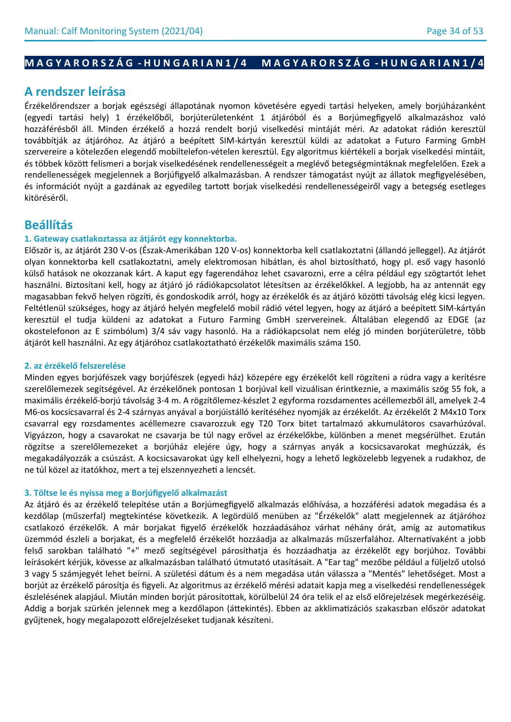# **M A G Y A R O R S Z Á G - H U N G A R I A N 1 / 4 M A G Y A R O R S Z Á G - H U N G A R I A N 1 / 4**

# **A rendszer leírása**

Érzékelőrendszer a borjak egészségi állapotának nyomon követésére egyedi tartási helyeken, amely borjúházanként (egyedi tartási hely) 1 érzékelőből, borjúterületenként 1 átjáróból és a Borjúmegfigyelő alkalmazáshoz való hozzáférésből áll. Minden érzékelő a hozzá rendelt borjú viselkedési mintáját méri. Az adatokat rádión keresztül továbbítják az átjáróhoz. Az átjáró a beépített SIM-kártyán keresztül küldi az adatokat a Futuro Farming GmbH szervereire a kötelezően elegendő mobiltelefon-vételen keresztül. Egy algoritmus kiértékeli a borjak viselkedési mintáit, és többek között felismeri a borjak viselkedésének rendellenességeit a meglévő betegségmintáknak megfelelően. Ezek a rendellenességek megjelennek a Borjúfigyelő alkalmazásban. A rendszer támogatást nyújt az állatok megfigyelésében, és információt nyújt a gazdának az egyedileg tartott borjak viselkedési rendellenességeiről vagy a betegség esetleges kitöréséről.

# **Beállítás**

## **1. Gateway csatlakoztassa az átjárót egy konnektorba.**

Először is, az átjárót 230 V-os (Észak-Amerikában 120 V-os) konnektorba kell csatlakoztatni (állandó jelleggel). Az átjárót olyan konnektorba kell csatlakoztatni, amely elektromosan hibátlan, és ahol biztosítható, hogy pl. eső vagy hasonló külső hatások ne okozzanak kárt. A kaput egy fagerendához lehet csavarozni, erre a célra például egy szögtartót lehet használni. Biztosítani kell, hogy az átjáró jó rádiókapcsolatot létesítsen az érzékelőkkel. A legjobb, ha az antennát egy magasabban fekvő helyen rögzíti, és gondoskodik arról, hogy az érzékelők és az átjáró közötti távolság elég kicsi legyen. Feltétlenül szükséges, hogy az átjáró helyén megfelelő mobil rádió vétel legyen, hogy az átjáró a beépített SIM-kártyán keresztül el tudja küldeni az adatokat a Futuro Farming GmbH szervereinek. Általában elegendő az EDGE (az okostelefonon az E szimbólum) 3/4 sáv vagy hasonló. Ha a rádiókapcsolat nem elég jó minden borjúterületre, több átjárót kell használni. Az egy átjáróhoz csatlakoztatható érzékelők maximális száma 150.

## **2. az érzékelő felszerelése**

Minden egyes borjúfészek vagy borjúfészek (egyedi ház) közepére egy érzékelőt kell rögzíteni a rúdra vagy a kerítésre szerelőlemezek segítségével. Az érzékelőnek pontosan 1 borjúval kell vizuálisan érintkeznie, a maximális szög 55 fok, a maximális érzékelő-borjú távolság 3-4 m. A rögzítőlemez-készlet 2 egyforma rozsdamentes acéllemezből áll, amelyek 2-4 M6-os kocsicsavarral és 2-4 szárnyas anyával a borjúistálló kerítéséhez nyomják az érzékelőt. Az érzékelőt 2 M4x10 Torx csavarral egy rozsdamentes acéllemezre csavarozzuk egy T20 Torx bitet tartalmazó akkumulátoros csavarhúzóval. Vigyázzon, hogy a csavarokat ne csavarja be túl nagy erővel az érzékelőkbe, különben a menet megsérülhet. Ezután rögzítse a szerelőlemezeket a borjúház elejére úgy, hogy a szárnyas anyák a kocsicsavarokat meghúzzák, és megakadályozzák a csúszást. A kocsicsavarokat úgy kell elhelyezni, hogy a lehető legközelebb legyenek a rudakhoz, de ne túl közel az itatókhoz, mert a tej elszennyezheti a lencsét.

## **3. Töltse le és nyissa meg a Borjúfigyelő alkalmazást**

Az átjáró és az érzékelő telepítése után a Borjúmegfigyelő alkalmazás előhívása, a hozzáférési adatok megadása és a kezdőlap (műszerfal) megtekintése következik. A legördülő menüben az "Érzékelők" alatt megjelennek az átjáróhoz csatlakozó érzékelők. A már borjakat figyelő érzékelők hozzáadásához várhat néhány órát, amíg az automatikus üzemmód észleli a borjakat, és a megfelelő érzékelőt hozzáadja az alkalmazás műszerfalához. Alternatívaként a jobb felső sarokban található "+" mező segítségével párosíthatja és hozzáadhatja az érzékelőt egy borjúhoz. További leírásokért kérjük, kövesse az alkalmazásban található útmutató utasításait. A "Ear tag" mezőbe például a füljelző utolsó 3 vagy 5 számjegyét lehet beírni. A születési dátum és a nem megadása után válassza a "Mentés" lehetőséget. Most a borjút az érzékelő párosítja és figyeli. Az algoritmus az érzékelő mérési adatait kapja meg a viselkedési rendellenességek észlelésének alapjául. Miután minden borjút párosítottak, körülbelül 24 óra telik el az első előrejelzések megérkezéséig. Addig a borjak szürkén jelennek meg a kezdőlapon (áttekintés). Ebben az akklimatizációs szakaszban először adatokat gyűjtenek, hogy megalapozott előrejelzéseket tudjanak készíteni.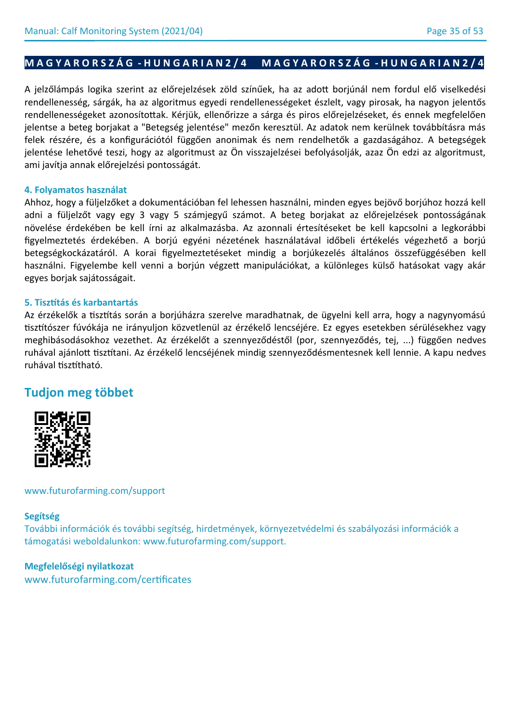# **M A G Y A R O R S Z Á G - H U N G A R I A N 2 / 4 M A G Y A R O R S Z Á G - H U N G A R I A N 2 / 4**

A jelzőlámpás logika szerint az előrejelzések zöld színűek, ha az adott borjúnál nem fordul elő viselkedési rendellenesség, sárgák, ha az algoritmus egyedi rendellenességeket észlelt, vagy pirosak, ha nagyon jelentős rendellenességeket azonosítottak. Kérjük, ellenőrizze a sárga és piros előrejelzéseket, és ennek megfelelően jelentse a beteg borjakat a "Betegség jelentése" mezőn keresztül. Az adatok nem kerülnek továbbításra más felek részére, és a konfigurációtól függően anonimak és nem rendelhetők a gazdaságához. A betegségek jelentése lehetővé teszi, hogy az algoritmust az Ön visszajelzései befolyásolják, azaz Ön edzi az algoritmust, ami javítja annak előrejelzési pontosságát.

# **4. Folyamatos használat**

Ahhoz, hogy a füljelzőket a dokumentációban fel lehessen használni, minden egyes bejövő borjúhoz hozzá kell adni a füljelzőt vagy egy 3 vagy 5 számjegyű számot. A beteg borjakat az előrejelzések pontosságának növelése érdekében be kell írni az alkalmazásba. Az azonnali értesítéseket be kell kapcsolni a legkorábbi figyelmeztetés érdekében. A borjú egyéni nézetének használatával időbeli értékelés végezhető a borjú betegségkockázatáról. A korai figyelmeztetéseket mindig a borjúkezelés általános összefüggésében kell használni. Figyelembe kell venni a borjún végzett manipulációkat, a különleges külső hatásokat vagy akár egyes borjak sajátosságait.

# **5. Tisztítás és karbantartás**

Az érzékelők a tisztítás során a borjúházra szerelve maradhatnak, de ügyelni kell arra, hogy a nagynyomású tisztítószer fúvókája ne irányuljon közvetlenül az érzékelő lencséjére. Ez egyes esetekben sérülésekhez vagy meghibásodásokhoz vezethet. Az érzékelőt a szennyeződéstől (por, szennyeződés, tej, ...) függően nedves ruhával ajánlott tisztítani. Az érzékelő lencséjének mindig szennyeződésmentesnek kell lennie. A kapu nedves ruhával tisztítható.

# **Tudjon meg többet**



www.futurofarming.com/support

## **Segítség**

További információk és további segítség, hirdetmények, környezetvédelmi és szabályozási információk a támogatási weboldalunkon: www.futurofarming.com/support.

## **Megfelelőségi nyilatkozat**

www.futurofarming.com/certificates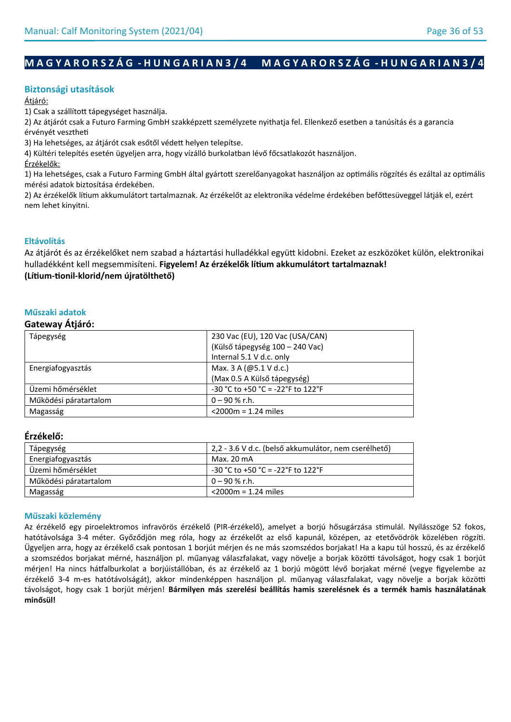# **M A G Y A R O R S Z Á G - H U N G A R I A N 3 / 4 M A G Y A R O R S Z Á G - H U N G A R I A N 3 / 4**

## **Biztonsági utasítások**

### Átjáró:

1) Csak a szállított tápegységet használja.

2) Az átjárót csak a Futuro Farming GmbH szakképzett személyzete nyithatja fel. Ellenkező esetben a tanúsítás és a garancia érvényét vesztheti

3) Ha lehetséges, az átjárót csak esőtől védett helyen telepítse.

4) Kültéri telepítés esetén ügyeljen arra, hogy vízálló burkolatban lévő főcsatlakozót használjon.

Érzékelők:

1) Ha lehetséges, csak a Futuro Farming GmbH által gyártott szerelőanyagokat használjon az optimális rögzítés és ezáltal az optimális mérési adatok biztosítása érdekében.

2) Az érzékelők lítium akkumulátort tartalmaznak. Az érzékelőt az elektronika védelme érdekében befőttesüveggel látják el, ezért nem lehet kinyitni.

## **Eltávolítás**

Az átjárót és az érzékelőket nem szabad a háztartási hulladékkal együtt kidobni. Ezeket az eszközöket külön, elektronikai hulladékként kell megsemmisíteni. **Figyelem! Az érzékelők lítium akkumulátort tartalmaznak! (Lítium-tionil-klorid/nem újratölthető)**

## **Műszaki adatok**

## **Gateway Átjáró:**

| 230 Vac (EU), 120 Vac (USA/CAN)   |
|-----------------------------------|
| (Külső tápegység 100 – 240 Vac)   |
| Internal 5.1 V d.c. only          |
| Max. 3 A (@5.1 V d.c.)            |
| (Max 0.5 A Külső tápegység)       |
| -30 °C to +50 °C = -22°F to 122°F |
| $0 - 90 %$ r.h.                   |
| $<$ 2000 $m$ = 1.24 miles         |
|                                   |

## **Érzékelő:**

| Tápegység             | 2,2 - 3.6 V d.c. (belső akkumulátor, nem cserélhető) |
|-----------------------|------------------------------------------------------|
| Energiafogyasztás     | Max. 20 mA                                           |
| Üzemi hőmérséklet     | $-30$ °C to +50 °C = -22°F to 122°F                  |
| Működési páratartalom | $0 - 90$ % r.h.                                      |
| Magasság              | $<$ 2000 $m = 1.24$ miles                            |

## **Műszaki közlemény**

Az érzékelő egy piroelektromos infravörös érzékelő (PIR-érzékelő), amelyet a borjú hősugárzása stimulál. Nyílásszöge 52 fokos, hatótávolsága 3-4 méter. Győződjön meg róla, hogy az érzékelőt az első kapunál, középen, az etetővödrök közelében rögzíti. Ügyeljen arra, hogy az érzékelő csak pontosan 1 borjút mérjen és ne más szomszédos borjakat! Ha a kapu túl hosszú, és az érzékelő a szomszédos borjakat mérné, használjon pl. műanyag válaszfalakat, vagy növelje a borjak közötti távolságot, hogy csak 1 borjút mérjen! Ha nincs hátfalburkolat a borjúistállóban, és az érzékelő az 1 borjú mögött lévő borjakat mérné (vegye figyelembe az érzékelő 3-4 m-es hatótávolságát), akkor mindenképpen használjon pl. műanyag válaszfalakat, vagy növelje a borjak közötti távolságot, hogy csak 1 borjút mérjen! **Bármilyen más szerelési beállítás hamis szerelésnek és a termék hamis használatának minősül!**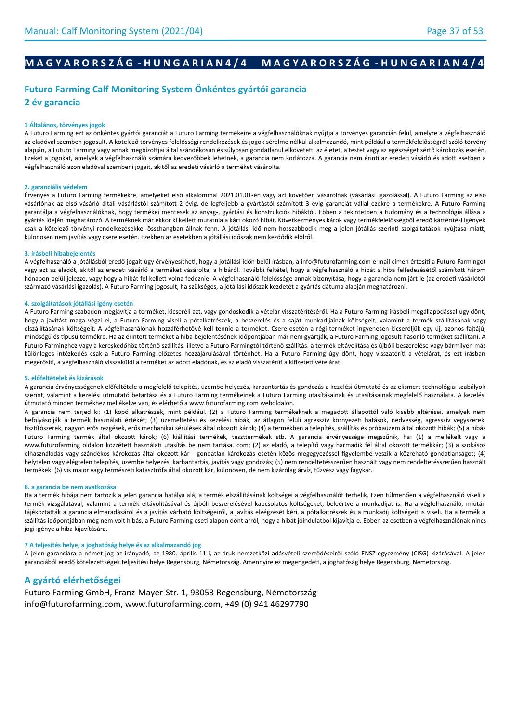# **M A G Y A R O R S Z Á G - H U N G A R I A N 4 / 4 M A G Y A R O R S Z Á G - H U N G A R I A N 4 / 4**

# **Futuro Farming Calf Monitoring System Önkéntes gyártói garancia 2 év garancia**

## **1 Általános, törvényes jogok**

A Futuro Farming ezt az önkéntes gyártói garanciát a Futuro Farming termékeire a végfelhasználóknak nyújtja a törvényes garancián felül, amelyre a végfelhasználó az eladóval szemben jogosult. A kötelező törvényes felelősségi rendelkezések és jogok sérelme nélkül alkalmazandó, mint például a termékfelelősségről szóló törvény alapján, a Futuro Farming vagy annak megbízottjai által szándékosan és súlyosan gondatlanul elkövetett, az életet, a testet vagy az egészséget sértő károkozás esetén. Ezeket a jogokat, amelyek a végfelhasználó számára kedvezőbbek lehetnek, a garancia nem korlátozza. A garancia nem érinti az eredeti vásárló és adott esetben a végfelhasználó azon eladóval szembeni jogait, akitől az eredeti vásárló a terméket vásárolta.

#### **2. garanciális védelem**

Érvényes a Futuro Farming termékekre, amelyeket első alkalommal 2021.01.01-én vagy azt követően vásárolnak (vásárlási igazolással). A Futuro Farming az első vásárlónak az első vásárló általi vásárlástól számított 2 évig, de legfeljebb a gyártástól számított 3 évig garanciát vállal ezekre a termékekre. A Futuro Farming garantálja a végfelhasználóknak, hogy termékei mentesek az anyag-, gyártási és konstrukciós hibáktól. Ebben a tekintetben a tudomány és a technológia állása a gyártás idején meghatározó. A terméknek már ekkor ki kellett mutatnia a kárt okozó hibát. Következményes károk vagy termékfelelősségből eredő kártérítési igények csak a kötelező törvényi rendelkezésekkel összhangban állnak fenn. A jótállási idő nem hosszabbodik meg a jelen jótállás szerinti szolgáltatások nyújtása miatt, különösen nem javítás vagy csere esetén. Ezekben az esetekben a jótállási időszak nem kezdődik elölről.

#### **3. írásbeli hibabejelentés**

A végfelhasználó a jótállásból eredő jogait úgy érvényesítheti, hogy a jótállási időn belül írásban, a info@futurofarming.com e-mail címen értesíti a Futuro Farmingot vagy azt az eladót, akitől az eredeti vásárló a terméket vásárolta, a hibáról. További feltétel, hogy a végfelhasználó a hibát a hiba felfedezésétől számított három hónapon belül jelezze, vagy hogy a hibát fel kellett volna fedeznie. A végfelhasználó felelőssége annak bizonyítása, hogy a garancia nem járt le (az eredeti vásárlótól származó vásárlási igazolás). A Futuro Farming jogosult, ha szükséges, a jótállási időszak kezdetét a gyártás dátuma alapján meghatározni.

#### **4. szolgáltatások jótállási igény esetén**

A Futuro Farming szabadon megjavítja a terméket, kicseréli azt, vagy gondoskodik a vételár visszatérítéséről. Ha a Futuro Farming írásbeli megállapodással úgy dönt, hogy a javítást maga végzi el, a Futuro Farming viseli a pótalkatrészek, a beszerelés és a saját munkadíjainak költségeit, valamint a termék szállításának vagy elszállításának költségeit. A végfelhasználónak hozzáférhetővé kell tennie a terméket. Csere esetén a régi terméket ingyenesen kicseréljük egy új, azonos fajtájú, minőségű és típusú termékre. Ha az érintett terméket a hiba bejelentésének időpontjában már nem gyártják, a Futuro Farming jogosult hasonló terméket szállítani. A Futuro Farminghoz vagy a kereskedőhöz történő szállítás, illetve a Futuro Farmingtól történő szállítás, a termék eltávolítása és újbóli beszerelése vagy bármilyen más különleges intézkedés csak a Futuro Farming előzetes hozzájárulásával történhet. Ha a Futuro Farming úgy dönt, hogy visszatéríti a vételárat, és ezt írásban megerősíti, a végfelhasználó visszaküldi a terméket az adott eladónak, és az eladó visszatéríti a kifizetett vételárat.

#### **5. előfeltételek és kizárások**

A garancia érvényességének előfeltétele a megfelelő telepítés, üzembe helyezés, karbantartás és gondozás a kezelési útmutató és az elismert technológiai szabályok szerint, valamint a kezelési útmutató betartása és a Futuro Farming termékeinek a Futuro Farming utasításainak és utasításainak megfelelő használata. A kezelési útmutató minden termékhez mellékelve van, és elérhető a www.futurofarming.com weboldalon.

A garancia nem terjed ki: (1) kopó alkatrészek, mint például. (2) a Futuro Farming termékeknek a megadott állapottól való kisebb eltérései, amelyek nem befolyásolják a termék használati értékét; (3) üzemeltetési és kezelési hibák, az átlagon felüli agresszív környezeti hatások, nedvesség, agresszív vegyszerek, tisztítószerek, nagyon erős rezgések, erős mechanikai sérülések által okozott károk; (4) a termékben a telepítés, szállítás és próbaüzem által okozott hibák; (5) a hibás Futuro Farming termék által okozott károk; (6) kiállítási termékek, teszttermékek stb. A garancia érvényessége megszűnik, ha: (1) a mellékelt vagy a www.futurofarming oldalon közzétett használati utasítás be nem tartása. com; (2) az eladó, a telepítő vagy harmadik fél által okozott termékkár; (3) a szokásos elhasználódás vagy szándékos károkozás által okozott kár - gondatlan károkozás esetén közös megegyezéssel figyelembe veszik a közreható gondatlanságot; (4) helytelen vagy elégtelen telepítés, üzembe helyezés, karbantartás, javítás vagy gondozás; (5) nem rendeltetésszerűen használt vagy nem rendeltetésszerűen használt termékek; (6) vis maior vagy természeti katasztrófa által okozott kár, különösen, de nem kizárólag árvíz, tűzvész vagy fagykár.

#### **6. a garancia be nem avatkozása**

Ha a termék hibája nem tartozik a jelen garancia hatálya alá, a termék elszállításának költségei a végfelhasználót terhelik. Ezen túlmenően a végfelhasználó viseli a termék vizsgálatával, valamint a termék eltávolításával és újbóli beszerelésével kapcsolatos költségeket, beleértve a munkadíjat is. Ha a végfelhasználó, miután tájékoztatták a garancia elmaradásáról és a javítás várható költségeiről, a javítás elvégzését kéri, a pótalkatrészek és a munkadíj költségeit is viseli. Ha a termék a szállítás időpontjában még nem volt hibás, a Futuro Farming eseti alapon dönt arról, hogy a hibát jóindulatból kijavítja-e. Ebben az esetben a végfelhasználónak nincs jogi igénye a hiba kijavítására.

#### **7 A teljesítés helye, a joghatóság helye és az alkalmazandó jog**

A jelen garanciára a német jog az irányadó, az 1980. április 11-i, az áruk nemzetközi adásvételi szerződéseiről szóló ENSZ-egyezmény (CISG) kizárásával. A jelen garanciából eredő kötelezettségek teljesítési helye Regensburg, Németország. Amennyire ez megengedett, a joghatóság helye Regensburg, Németország.

## **A gyártó elérhetőségei**

Futuro Farming GmbH, Franz-Mayer-Str. 1, 93053 Regensburg, Németország info@futurofarming.com, www.futurofarming.com, +49 (0) 941 46297790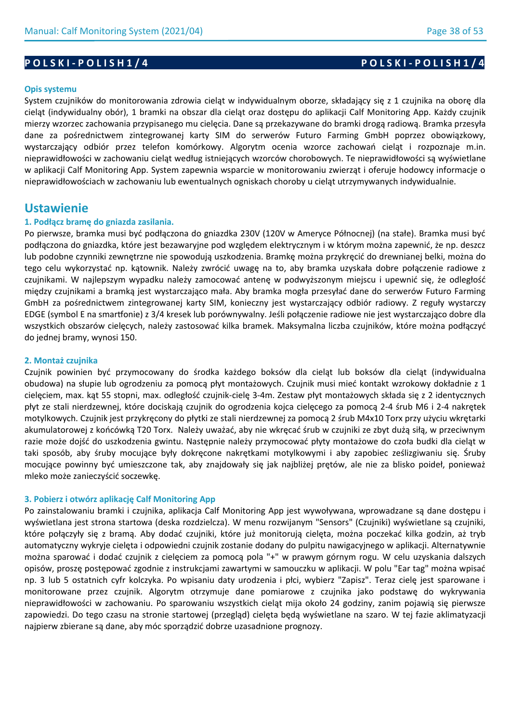# **P O L S K I - P O L I S H 1 / 4 P O L S K I - P O L I S H 1 / 4**

### **Opis systemu**

System czujników do monitorowania zdrowia cieląt w indywidualnym oborze, składający się z 1 czujnika na oborę dla cieląt (indywidualny obór), 1 bramki na obszar dla cieląt oraz dostępu do aplikacji Calf Monitoring App. Każdy czujnik mierzy wzorzec zachowania przypisanego mu cielęcia. Dane są przekazywane do bramki drogą radiową. Bramka przesyła dane za pośrednictwem zintegrowanej karty SIM do serwerów Futuro Farming GmbH poprzez obowiązkowy, wystarczający odbiór przez telefon komórkowy. Algorytm ocenia wzorce zachowań cieląt i rozpoznaje m.in. nieprawidłowości w zachowaniu cieląt według istniejących wzorców chorobowych. Te nieprawidłowości są wyświetlane w aplikacji Calf Monitoring App. System zapewnia wsparcie w monitorowaniu zwierząt i oferuje hodowcy informacje o nieprawidłowościach w zachowaniu lub ewentualnych ogniskach choroby u cieląt utrzymywanych indywidualnie.

# **Ustawienie**

### **1. Podłącz bramę do gniazda zasilania.**

Po pierwsze, bramka musi być podłączona do gniazdka 230V (120V w Ameryce Północnej) (na stałe). Bramka musi być podłączona do gniazdka, które jest bezawaryjne pod względem elektrycznym i w którym można zapewnić, że np. deszcz lub podobne czynniki zewnętrzne nie spowodują uszkodzenia. Bramkę można przykręcić do drewnianej belki, można do tego celu wykorzystać np. kątownik. Należy zwrócić uwagę na to, aby bramka uzyskała dobre połączenie radiowe z czujnikami. W najlepszym wypadku należy zamocować antenę w podwyższonym miejscu i upewnić się, że odległość między czujnikami a bramką jest wystarczająco mała. Aby bramka mogła przesyłać dane do serwerów Futuro Farming GmbH za pośrednictwem zintegrowanej karty SIM, konieczny jest wystarczający odbiór radiowy. Z reguły wystarczy EDGE (symbol E na smartfonie) z 3/4 kresek lub porównywalny. Jeśli połączenie radiowe nie jest wystarczająco dobre dla wszystkich obszarów cielęcych, należy zastosować kilka bramek. Maksymalna liczba czujników, które można podłączyć do jednej bramy, wynosi 150.

#### **2. Montaż czujnika**

Czujnik powinien być przymocowany do środka każdego boksów dla cieląt lub boksów dla cieląt (indywidualna obudowa) na słupie lub ogrodzeniu za pomocą płyt montażowych. Czujnik musi mieć kontakt wzrokowy dokładnie z 1 cielęciem, max. kąt 55 stopni, max. odległość czujnik-cielę 3-4m. Zestaw płyt montażowych składa się z 2 identycznych płyt ze stali nierdzewnej, które dociskają czujnik do ogrodzenia kojca cielęcego za pomocą 2-4 śrub M6 i 2-4 nakrętek motylkowych. Czujnik jest przykręcony do płytki ze stali nierdzewnej za pomocą 2 śrub M4x10 Torx przy użyciu wkrętarki akumulatorowej z końcówką T20 Torx. Należy uważać, aby nie wkręcać śrub w czujniki ze zbyt dużą siłą, w przeciwnym razie może dojść do uszkodzenia gwintu. Następnie należy przymocować płyty montażowe do czoła budki dla cieląt w taki sposób, aby śruby mocujące były dokręcone nakrętkami motylkowymi i aby zapobiec ześlizgiwaniu się. Śruby mocujące powinny być umieszczone tak, aby znajdowały się jak najbliżej prętów, ale nie za blisko poideł, ponieważ mleko może zanieczyścić soczewkę.

### **3. Pobierz i otwórz aplikację Calf Monitoring App**

Po zainstalowaniu bramki i czujnika, aplikacja Calf Monitoring App jest wywoływana, wprowadzane są dane dostępu i wyświetlana jest strona startowa (deska rozdzielcza). W menu rozwijanym "Sensors" (Czujniki) wyświetlane są czujniki, które połączyły się z bramą. Aby dodać czujniki, które już monitorują cielęta, można poczekać kilka godzin, aż tryb automatyczny wykryje cielęta i odpowiedni czujnik zostanie dodany do pulpitu nawigacyjnego w aplikacji. Alternatywnie można sparować i dodać czujnik z cielęciem za pomocą pola "+" w prawym górnym rogu. W celu uzyskania dalszych opisów, proszę postępować zgodnie z instrukcjami zawartymi w samouczku w aplikacji. W polu "Ear tag" można wpisać np. 3 lub 5 ostatnich cyfr kolczyka. Po wpisaniu daty urodzenia i płci, wybierz "Zapisz". Teraz cielę jest sparowane i monitorowane przez czujnik. Algorytm otrzymuje dane pomiarowe z czujnika jako podstawę do wykrywania nieprawidłowości w zachowaniu. Po sparowaniu wszystkich cieląt mija około 24 godziny, zanim pojawią się pierwsze zapowiedzi. Do tego czasu na stronie startowej (przegląd) cielęta będą wyświetlane na szaro. W tej fazie aklimatyzacji najpierw zbierane są dane, aby móc sporządzić dobrze uzasadnione prognozy.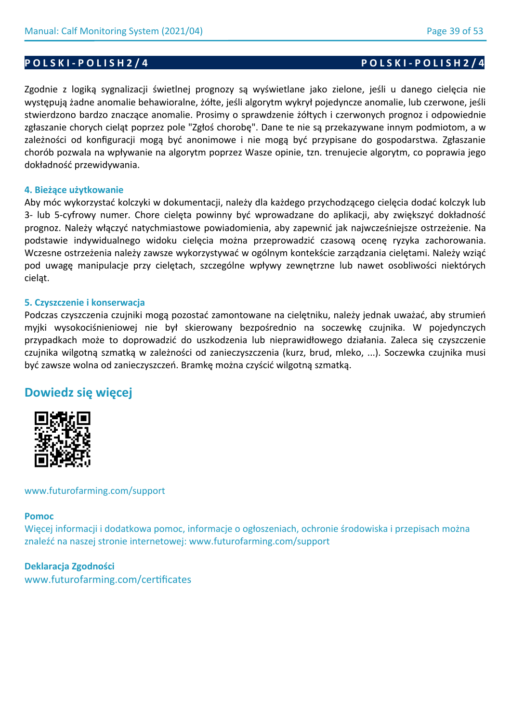# **P O L S K I - P O L I S H 2 / 4 P O L S K I - P O L I S H 2 / 4**

Zgodnie z logiką sygnalizacji świetlnej prognozy są wyświetlane jako zielone, jeśli u danego cielęcia nie występują żadne anomalie behawioralne, żółte, jeśli algorytm wykrył pojedyncze anomalie, lub czerwone, jeśli stwierdzono bardzo znaczące anomalie. Prosimy o sprawdzenie żółtych i czerwonych prognoz i odpowiednie zgłaszanie chorych cieląt poprzez pole "Zgłoś chorobę". Dane te nie są przekazywane innym podmiotom, a w zależności od konfiguracji mogą być anonimowe i nie mogą być przypisane do gospodarstwa. Zgłaszanie chorób pozwala na wpływanie na algorytm poprzez Wasze opinie, tzn. trenujecie algorytm, co poprawia jego dokładność przewidywania.

## **4. Bieżące użytkowanie**

Aby móc wykorzystać kolczyki w dokumentacji, należy dla każdego przychodzącego cielęcia dodać kolczyk lub 3- lub 5-cyfrowy numer. Chore cielęta powinny być wprowadzane do aplikacji, aby zwiększyć dokładność prognoz. Należy włączyć natychmiastowe powiadomienia, aby zapewnić jak najwcześniejsze ostrzeżenie. Na podstawie indywidualnego widoku cielęcia można przeprowadzić czasową ocenę ryzyka zachorowania. Wczesne ostrzeżenia należy zawsze wykorzystywać w ogólnym kontekście zarządzania cielętami. Należy wziąć pod uwagę manipulacje przy cielętach, szczególne wpływy zewnętrzne lub nawet osobliwości niektórych cieląt.

## **5. Czyszczenie i konserwacja**

Podczas czyszczenia czujniki mogą pozostać zamontowane na cielętniku, należy jednak uważać, aby strumień myjki wysokociśnieniowej nie był skierowany bezpośrednio na soczewkę czujnika. W pojedynczych przypadkach może to doprowadzić do uszkodzenia lub nieprawidłowego działania. Zaleca się czyszczenie czujnika wilgotną szmatką w zależności od zanieczyszczenia (kurz, brud, mleko, ...). Soczewka czujnika musi być zawsze wolna od zanieczyszczeń. Bramkę można czyścić wilgotną szmatką.

# **Dowiedz się więcej**



www.futurofarming.com/support

## **Pomoc**

Więcej informacji i dodatkowa pomoc, informacje o ogłoszeniach, ochronie środowiska i przepisach można znaleźć na naszej stronie internetowej: www.futurofarming.com/support

## **Deklaracja Zgodności**

www.futurofarming.com/certificates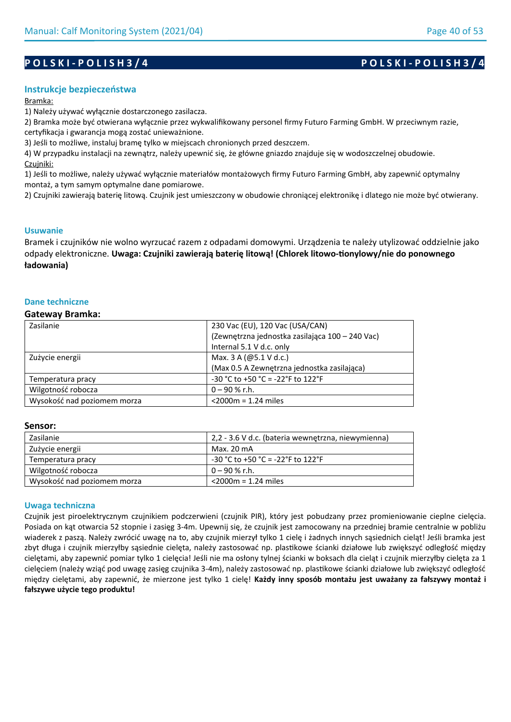## **Instrukcje bezpieczeństwa**

### Bramka:

1) Należy używać wyłącznie dostarczonego zasilacza.

2) Bramka może być otwierana wyłącznie przez wykwalifikowany personel firmy Futuro Farming GmbH. W przeciwnym razie, certyfikacja i gwarancja mogą zostać unieważnione.

3) Jeśli to możliwe, instaluj bramę tylko w miejscach chronionych przed deszczem.

4) W przypadku instalacji na zewnątrz, należy upewnić się, że główne gniazdo znajduje się w wodoszczelnej obudowie. Czujniki:

1) Jeśli to możliwe, należy używać wyłącznie materiałów montażowych firmy Futuro Farming GmbH, aby zapewnić optymalny montaż, a tym samym optymalne dane pomiarowe.

2) Czujniki zawierają baterię litową. Czujnik jest umieszczony w obudowie chroniącej elektronikę i dlatego nie może być otwierany.

### **Usuwanie**

Bramek i czujników nie wolno wyrzucać razem z odpadami domowymi. Urządzenia te należy utylizować oddzielnie jako odpady elektroniczne. **Uwaga: Czujniki zawierają baterię litową! (Chlorek litowo-tionylowy/nie do ponownego ładowania)**

### **Dane techniczne**

#### **Gateway Bramka:**

| Zasilanie                   | 230 Vac (EU), 120 Vac (USA/CAN)                 |
|-----------------------------|-------------------------------------------------|
|                             | (Zewnętrzna jednostka zasilająca 100 – 240 Vac) |
|                             | Internal 5.1 V d.c. only                        |
| Zużycie energii             | Max. 3 A (@5.1 V d.c.)                          |
|                             | (Max 0.5 A Zewnętrzna jednostka zasilająca)     |
| Temperatura pracy           | $-30$ °C to $+50$ °C = $-22$ °F to 122°F        |
| Wilgotność robocza          | $0 - 90 %$ r.h.                                 |
| Wysokość nad poziomem morza | $<$ 2000 $m$ = 1.24 miles                       |

#### **Sensor:**

| Zasilanie                   | 2,2 - 3.6 V d.c. (bateria wewnetrzna, niewymienna) |
|-----------------------------|----------------------------------------------------|
| Zużycie energii             | Max. 20 mA                                         |
| Temperatura pracy           | $-30$ °C to +50 °C = -22°F to 122°F                |
| Wilgotność robocza          | ∣0 – 90 % r.h.                                     |
| Wysokość nad poziomem morza | $<$ 2000 $m$ = 1.24 miles                          |

### **Uwaga techniczna**

Czujnik jest piroelektrycznym czujnikiem podczerwieni (czujnik PIR), który jest pobudzany przez promieniowanie cieplne cielęcia. Posiada on kąt otwarcia 52 stopnie i zasięg 3-4m. Upewnij się, że czujnik jest zamocowany na przedniej bramie centralnie w pobliżu wiaderek z paszą. Należy zwrócić uwagę na to, aby czujnik mierzył tylko 1 cielę i żadnych innych sąsiednich cieląt! Jeśli bramka jest zbyt długa i czujnik mierzyłby sąsiednie cielęta, należy zastosować np. plastikowe ścianki działowe lub zwiększyć odległość między cielętami, aby zapewnić pomiar tylko 1 cielęcia! Jeśli nie ma osłony tylnej ścianki w boksach dla cieląt i czujnik mierzyłby cielęta za 1 cielęciem (należy wziąć pod uwagę zasięg czujnika 3-4m), należy zastosować np. plastikowe ścianki działowe lub zwiększyć odległość między cielętami, aby zapewnić, że mierzone jest tylko 1 cielę! **Każdy inny sposób montażu jest uważany za fałszywy montaż i fałszywe użycie tego produktu!**

# **P O L S K I - P O L I S H 3 / 4 P O L S K I - P O L I S H 3 / 4**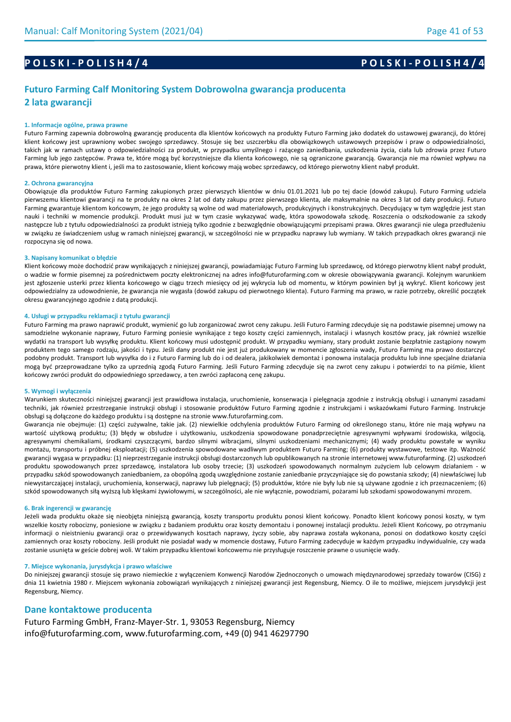## **P O L S K I - P O L I S H 4 / 4 P O L S K I - P O L I S H 4 / 4**

## **Futuro Farming Calf Monitoring System Dobrowolna gwarancja producenta 2 lata gwarancji**

#### **1. Informacje ogólne, prawa prawne**

Futuro Farming zapewnia dobrowolną gwarancję producenta dla klientów końcowych na produkty Futuro Farming jako dodatek do ustawowej gwarancji, do której klient końcowy jest uprawniony wobec swojego sprzedawcy. Stosuje się bez uszczerbku dla obowiązkowych ustawowych przepisów i praw o odpowiedzialności, takich jak w ramach ustawy o odpowiedzialności za produkt, w przypadku umyślnego i rażącego zaniedbania, uszkodzenia życia, ciała lub zdrowia przez Futuro Farming lub jego zastępców. Prawa te, które mogą być korzystniejsze dla klienta końcowego, nie są ograniczone gwarancją. Gwarancja nie ma również wpływu na prawa, które pierwotny klient i, jeśli ma to zastosowanie, klient końcowy mają wobec sprzedawcy, od którego pierwotny klient nabył produkt.

#### **2. Ochrona gwarancyjna**

Obowiązuje dla produktów Futuro Farming zakupionych przez pierwszych klientów w dniu 01.01.2021 lub po tej dacie (dowód zakupu). Futuro Farming udziela pierwszemu klientowi gwarancji na te produkty na okres 2 lat od daty zakupu przez pierwszego klienta, ale maksymalnie na okres 3 lat od daty produkcji. Futuro Farming gwarantuje klientom końcowym, że jego produkty są wolne od wad materiałowych, produkcyjnych i konstrukcyjnych. Decydujący w tym względzie jest stan nauki i techniki w momencie produkcji. Produkt musi już w tym czasie wykazywać wadę, która spowodowała szkodę. Roszczenia o odszkodowanie za szkody następcze lub z tytułu odpowiedzialności za produkt istnieją tylko zgodnie z bezwzględnie obowiązującymi przepisami prawa. Okres gwarancji nie ulega przedłużeniu w związku ze świadczeniem usług w ramach niniejszej gwarancji, w szczególności nie w przypadku naprawy lub wymiany. W takich przypadkach okres gwarancji nie rozpoczyna się od nowa.

#### **3. Napisany komunikat o błędzie**

Klient końcowy może dochodzić praw wynikających z niniejszej gwarancji, powiadamiając Futuro Farming lub sprzedawcę, od którego pierwotny klient nabył produkt, o wadzie w formie pisemnej za pośrednictwem poczty elektronicznej na adres info@futurofarming.com w okresie obowiązywania gwarancji. Kolejnym warunkiem jest zgłoszenie usterki przez klienta końcowego w ciągu trzech miesięcy od jej wykrycia lub od momentu, w którym powinien był ją wykryć. Klient końcowy jest odpowiedzialny za udowodnienie, że gwarancja nie wygasła (dowód zakupu od pierwotnego klienta). Futuro Farming ma prawo, w razie potrzeby, określić początek okresu gwarancyjnego zgodnie z datą produkcji.

#### **4. Usługi w przypadku reklamacji z tytułu gwarancji**

Futuro Farming ma prawo naprawić produkt, wymienić go lub zorganizować zwrot ceny zakupu. Jeśli Futuro Farming zdecyduje się na podstawie pisemnej umowy na samodzielne wykonanie naprawy, Futuro Farming poniesie wynikające z tego koszty części zamiennych, instalacji i własnych kosztów pracy, jak również wszelkie wydatki na transport lub wysyłkę produktu. Klient końcowy musi udostępnić produkt. W przypadku wymiany, stary produkt zostanie bezpłatnie zastąpiony nowym produktem tego samego rodzaju, jakości i typu. Jeśli dany produkt nie jest już produkowany w momencie zgłoszenia wady, Futuro Farming ma prawo dostarczyć podobny produkt. Transport lub wysyłka do i z Futuro Farming lub do i od dealera, jakikolwiek demontaż i ponowna instalacja produktu lub inne specjalne działania mogą być przeprowadzane tylko za uprzednią zgodą Futuro Farming. Jeśli Futuro Farming zdecyduje się na zwrot ceny zakupu i potwierdzi to na piśmie, klient końcowy zwróci produkt do odpowiedniego sprzedawcy, a ten zwróci zapłaconą cenę zakupu.

#### **5. Wymogi i wyłączenia**

Warunkiem skuteczności niniejszej gwarancji jest prawidłowa instalacja, uruchomienie, konserwacja i pielęgnacja zgodnie z instrukcją obsługi i uznanymi zasadami techniki, jak również przestrzeganie instrukcji obsługi i stosowanie produktów Futuro Farming zgodnie z instrukcjami i wskazówkami Futuro Farming. Instrukcje obsługi są dołączone do każdego produktu i są dostępne na stronie www.futurofarming.com.

Gwarancja nie obejmuje: (1) części zużywalne, takie jak. (2) niewielkie odchylenia produktów Futuro Farming od określonego stanu, które nie mają wpływu na wartość użytkową produktu; (3) błędy w obsłudze i użytkowaniu, uszkodzenia spowodowane ponadprzeciętnie agresywnymi wpływami środowiska, wilgocią, agresywnymi chemikaliami, środkami czyszczącymi, bardzo silnymi wibracjami, silnymi uszkodzeniami mechanicznymi; (4) wady produktu powstałe w wyniku montażu, transportu i próbnej eksploatacji; (5) uszkodzenia spowodowane wadliwym produktem Futuro Farming; (6) produkty wystawowe, testowe itp. Ważność gwarancji wygasa w przypadku: (1) nieprzestrzeganie instrukcji obsługi dostarczonych lub opublikowanych na stronie internetowej www.futurofarming. (2) uszkodzeń produktu spowodowanych przez sprzedawcę, instalatora lub osoby trzecie; (3) uszkodzeń spowodowanych normalnym zużyciem lub celowym działaniem - w przypadku szkód spowodowanych zaniedbaniem, za obopólną zgodą uwzględnione zostanie zaniedbanie przyczyniające się do powstania szkody; (4) niewłaściwej lub niewystarczającej instalacji, uruchomienia, konserwacji, naprawy lub pielęgnacji; (5) produktów, które nie były lub nie są używane zgodnie z ich przeznaczeniem; (6) szkód spowodowanych siłą wyższą lub klęskami żywiołowymi, w szczególności, ale nie wyłącznie, powodziami, pożarami lub szkodami spowodowanymi mrozem.

#### **6. Brak ingerencji w gwarancję**

Jeżeli wada produktu okaże się nieobjęta niniejszą gwarancją, koszty transportu produktu ponosi klient końcowy. Ponadto klient końcowy ponosi koszty, w tym wszelkie koszty robocizny, poniesione w związku z badaniem produktu oraz koszty demontażu i ponownej instalacji produktu. Jeżeli Klient Końcowy, po otrzymaniu informacji o nieistnieniu gwarancji oraz o przewidywanych kosztach naprawy, życzy sobie, aby naprawa została wykonana, ponosi on dodatkowo koszty części zamiennych oraz koszty robocizny. Jeśli produkt nie posiadał wady w momencie dostawy, Futuro Farming zadecyduje w każdym przypadku indywidualnie, czy wada zostanie usunięta w geście dobrej woli. W takim przypadku klientowi końcowemu nie przysługuje roszczenie prawne o usunięcie wady.

#### **7. Miejsce wykonania, jurysdykcja i prawo właściwe**

Do niniejszej gwarancji stosuje się prawo niemieckie z wyłączeniem Konwencji Narodów Zjednoczonych o umowach międzynarodowej sprzedaży towarów (CISG) z dnia 11 kwietnia 1980 r. Miejscem wykonania zobowiązań wynikających z niniejszej gwarancji jest Regensburg, Niemcy. O ile to możliwe, miejscem jurysdykcji jest Regensburg, Niemcy.

#### **Dane kontaktowe producenta**

Futuro Farming GmbH, Franz-Mayer-Str. 1, 93053 Regensburg, Niemcy info@futurofarming.com, www.futurofarming.com, +49 (0) 941 46297790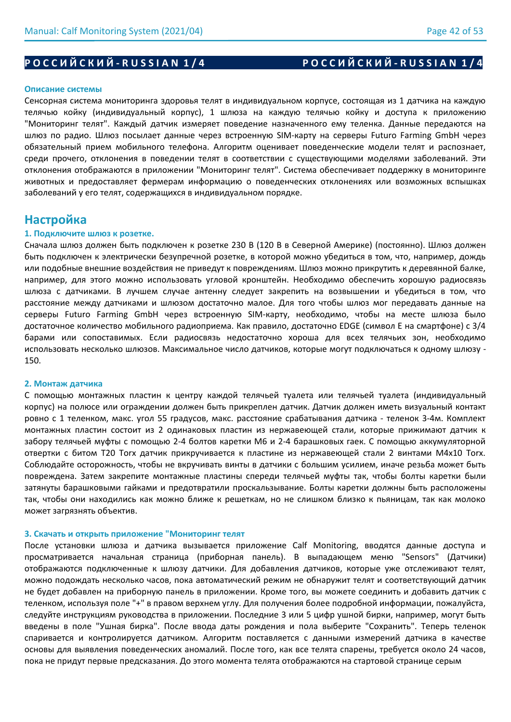# Р О С С И Й С К И Й - R U S S I A N 1 / 4 РО С С И Й С К И Й - R U S S I A N 1 / 4

### **Описание системы**

Сенсорная система мониторинга здоровья телят в индивидуальном корпусе, состоящая из 1 датчика на каждую телячью койку (индивидуальный корпус), 1 шлюза на каждую телячью койку и доступа к приложению "Мониторинг телят". Каждый датчик измеряет поведение назначенного ему теленка. Данные передаются на шлюз по радио. Шлюз посылает данные через встроенную SIM-карту на серверы Futuro Farming GmbH через обязательный прием мобильного телефона. Алгоритм оценивает поведенческие модели телят и распознает, среди прочего, отклонения в поведении телят в соответствии с существующими моделями заболеваний. Эти отклонения отображаются в приложении "Мониторинг телят". Система обеспечивает поддержку в мониторинге животных и предоставляет фермерам информацию о поведенческих отклонениях или возможных вспышках заболеваний у его телят, содержащихся в индивидуальном порядке.

# **Настройка**

### **1. Подключите шлюз к розетке.**

Сначала шлюз должен быть подключен к розетке 230 В (120 В в Северной Америке) (постоянно). Шлюз должен быть подключен к электрически безупречной розетке, в которой можно убедиться в том, что, например, дождь или подобные внешние воздействия не приведут к повреждениям. Шлюз можно прикрутить к деревянной балке, например, для этого можно использовать угловой кронштейн. Необходимо обеспечить хорошую радиосвязь шлюза с датчиками. В лучшем случае антенну следует закрепить на возвышении и убедиться в том, что расстояние между датчиками и шлюзом достаточно малое. Для того чтобы шлюз мог передавать данные на серверы Futuro Farming GmbH через встроенную SIM-карту, необходимо, чтобы на месте шлюза было достаточное количество мобильного радиоприема. Как правило, достаточно EDGE (символ E на смартфоне) с 3/4 барами или сопоставимых. Если радиосвязь недостаточно хороша для всех телячьих зон, необходимо использовать несколько шлюзов. Максимальное число датчиков, которые могут подключаться к одному шлюзу - 150.

#### **2. Монтаж датчика**

С помощью монтажных пластин к центру каждой телячьей туалета или телячьей туалета (индивидуальный корпус) на полюсе или ограждении должен быть прикреплен датчик. Датчик должен иметь визуальный контакт ровно с 1 теленком, макс. угол 55 градусов, макс. расстояние срабатывания датчика - теленок 3-4м. Комплект монтажных пластин состоит из 2 одинаковых пластин из нержавеющей стали, которые прижимают датчик к забору телячьей муфты с помощью 2-4 болтов каретки М6 и 2-4 барашковых гаек. С помощью аккумуляторной отвертки с битом T20 Torx датчик прикручивается к пластине из нержавеющей стали 2 винтами M4x10 Torx. Соблюдайте осторожность, чтобы не вкручивать винты в датчики с большим усилием, иначе резьба может быть повреждена. Затем закрепите монтажные пластины спереди телячьей муфты так, чтобы болты каретки были затянуты барашковыми гайками и предотвратили проскальзывание. Болты каретки должны быть расположены так, чтобы они находились как можно ближе к решеткам, но не слишком близко к пьяницам, так как молоко может загрязнять объектив.

#### **3. Скачать и открыть приложение "Мониторинг телят**

После установки шлюза и датчика вызывается приложение Calf Monitoring, вводятся данные доступа и просматривается начальная страница (приборная панель). В выпадающем меню "Sensors" (Датчики) отображаются подключенные к шлюзу датчики. Для добавления датчиков, которые уже отслеживают телят, можно подождать несколько часов, пока автоматический режим не обнаружит телят и соответствующий датчик не будет добавлен на приборную панель в приложении. Кроме того, вы можете соединить и добавить датчик с теленком, используя поле "+" в правом верхнем углу. Для получения более подробной информации, пожалуйста, следуйте инструкциям руководства в приложении. Последние 3 или 5 цифр ушной бирки, например, могут быть введены в поле "Ушная бирка". После ввода даты рождения и пола выберите "Сохранить". Теперь теленок спаривается и контролируется датчиком. Алгоритм поставляется с данными измерений датчика в качестве основы для выявления поведенческих аномалий. После того, как все телята спарены, требуется около 24 часов, пока не придут первые предсказания. До этого момента телята отображаются на стартовой странице серым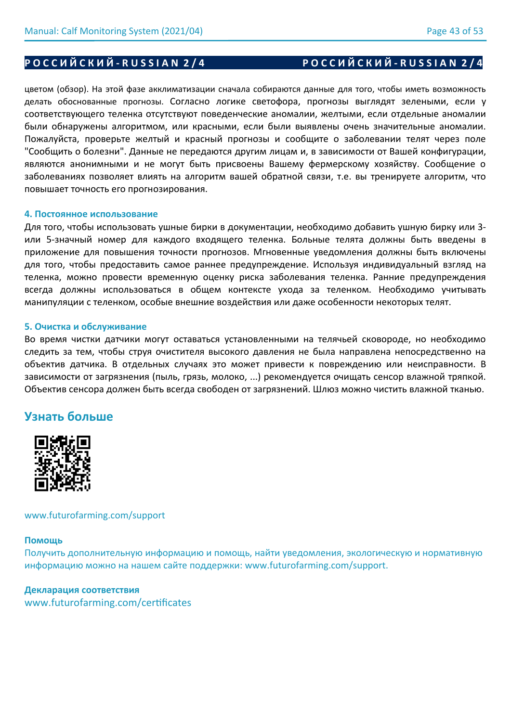# цветом (обзор). На этой фазе акклиматизации сначала собираются данные для того, чтобы иметь возможность делать обоснованные прогнозы. Согласно логике светофора, прогнозы выглядят зелеными, если у соответствующего теленка отсутствуют поведенческие аномалии, желтыми, если отдельные аномалии были обнаружены алгоритмом, или красными, если были выявлены очень значительные аномалии. Пожалуйста, проверьте желтый и красный прогнозы и сообщите о заболевании телят через поле "Сообщить о болезни". Данные не передаются другим лицам и, в зависимости от Вашей конфигурации, являются анонимными и не могут быть присвоены Вашему фермерскому хозяйству. Сообщение о заболеваниях позволяет влиять на алгоритм вашей обратной связи, т.е. вы тренируете алгоритм, что повышает точность его прогнозирования.

## **4. Постоянное использование**

Для того, чтобы использовать ушные бирки в документации, необходимо добавить ушную бирку или 3 или 5-значный номер для каждого входящего теленка. Больные телята должны быть введены в приложение для повышения точности прогнозов. Мгновенные уведомления должны быть включены для того, чтобы предоставить самое раннее предупреждение. Используя индивидуальный взгляд на теленка, можно провести временную оценку риска заболевания теленка. Ранние предупреждения всегда должны использоваться в общем контексте ухода за теленком. Необходимо учитывать манипуляции с теленком, особые внешние воздействия или даже особенности некоторых телят.

## **5. Очистка и обслуживание**

Во время чистки датчики могут оставаться установленными на телячьей сковороде, но необходимо следить за тем, чтобы струя очистителя высокого давления не была направлена непосредственно на объектив датчика. В отдельных случаях это может привести к повреждению или неисправности. В зависимости от загрязнения (пыль, грязь, молоко, ...) рекомендуется очищать сенсор влажной тряпкой. Объектив сенсора должен быть всегда свободен от загрязнений. Шлюз можно чистить влажной тканью.

# **Узнать больше**



## www.futurofarming.com/support

## **Помощь**

Получить дополнительную информацию и помощь, найти уведомления, экологическую и нормативную информацию можно на нашем сайте поддержки: www.futurofarming.com/support.

## **Декларация соответствия**

www.futurofarming.com/certificates

# **Р О С С И Й С К И Й - R U S S I A N 2 / 4 Р О С С И Й С К И Й - R U S S I A N 2 / 4**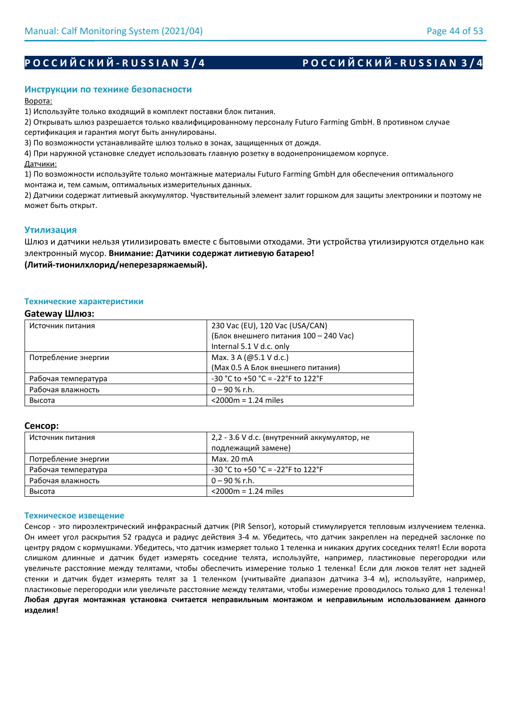# Р О С С И Й С К И Й - R U S S I A N 3 / 4 Р О С С И Й С К И Й - R U S S I A N 3 / 4

## **Инструкции по технике безопасности**

Ворота:

1) Используйте только входящий в комплект поставки блок питания.

2) Открывать шлюз разрешается только квалифицированному персоналу Futuro Farming GmbH. В противном случае сертификация и гарантия могут быть аннулированы.

3) По возможности устанавливайте шлюз только в зонах, защищенных от дождя.

4) При наружной установке следует использовать главную розетку в водонепроницаемом корпусе.

Датчики:

1) По возможности используйте только монтажные материалы Futuro Farming GmbH для обеспечения оптимального монтажа и, тем самым, оптимальных измерительных данных.

2) Датчики содержат литиевый аккумулятор. Чувствительный элемент залит горшком для защиты электроники и поэтому не может быть открыт.

## **Утилизация**

Шлюз и датчики нельзя утилизировать вместе с бытовыми отходами. Эти устройства утилизируются отдельно как электронный мусор. **Внимание: Датчики содержат литиевую батарею!** 

**(Литий-тионилхлорид/неперезаряжаемый).**

#### **Технические характеристики**

### **Gateway Шлюз:**

| Источник питания    | 230 Vac (EU), 120 Vac (USA/CAN)          |
|---------------------|------------------------------------------|
|                     | (Блок внешнего питания 100 - 240 Vac)    |
|                     | Internal 5.1 V d.c. only                 |
| Потребление энергии | Max. 3 A (@5.1 V d.c.)                   |
|                     | (Мах 0.5 А Блок внешнего питания)        |
| Рабочая температура | $-30$ °C to $+50$ °C = $-22$ °F to 122°F |
| Рабочая влажность   | $0 - 90$ % r.h.                          |
| Высота              | $<$ 2000 $m$ = 1.24 miles                |

#### **Сенсор:**

| Источник питания    | 2,2 - 3.6 V d.c. (внутренний аккумулятор, не |
|---------------------|----------------------------------------------|
|                     | подлежащий замене)                           |
| Потребление энергии | Max. 20 mA                                   |
| Рабочая температура | $-30$ °C to +50 °C = $-22$ °F to 122°F       |
| Рабочая влажность   | $0 - 90$ % r.h.                              |
| Высота              | $<$ 2000 $m$ = 1.24 miles                    |

#### **Техническое извещение**

Сенсор - это пироэлектрический инфракрасный датчик (PIR Sensor), который стимулируется тепловым излучением теленка. Он имеет угол раскрытия 52 градуса и радиус действия 3-4 м. Убедитесь, что датчик закреплен на передней заслонке по центру рядом с кормушками. Убедитесь, что датчик измеряет только 1 теленка и никаких других соседних телят! Если ворота слишком длинные и датчик будет измерять соседние телята, используйте, например, пластиковые перегородки или увеличьте расстояние между телятами, чтобы обеспечить измерение только 1 теленка! Если для люков телят нет задней стенки и датчик будет измерять телят за 1 теленком (учитывайте диапазон датчика 3-4 м), используйте, например, пластиковые перегородки или увеличьте расстояние между телятами, чтобы измерение проводилось только для 1 теленка! **Любая другая монтажная установка считается неправильным монтажом и неправильным использованием данного изделия!**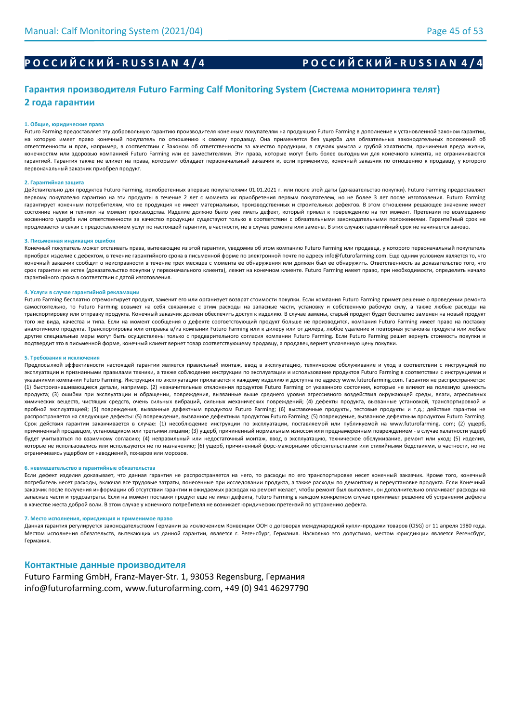# Р О С С И Й С К И Й - R U S S I A N 4 / 4 Р О С С И Й С К И Й - R U S S I A N 4 / 4

# **Гарантия производителя Futuro Farming Calf Monitoring System (Система мониторинга телят) 2 года гарантии**

#### **1. Общие, юридические права**

Futuro Farming предоставляет эту добровольную гарантию производителя конечным покупателям на продукцию Futuro Farming в дополнение к установленной законом гарантии, на которую имеет право конечный покупатель по отношению к своему продавцу. Она применяется без ущерба для обязательных законодательных положений об ответственности и прав, например, в соответствии с Законом об ответственности за качество продукции, в случаях умысла и грубой халатности, причинения вреда жизни, конечностям или здоровью компанией Futuro Farming или ее заместителями. Эти права, которые могут быть более выгодными для конечного клиента, не ограничиваются гарантией. Гарантия также не влияет на права, которыми обладает первоначальный заказчик и, если применимо, конечный заказчик по отношению к продавцу, у которого первоначальный заказчик приобрел продукт.

#### **2. Гарантийная защита**

Действительно для продуктов Futuro Farming, приобретенных впервые покупателями 01.01.2021 г. или после этой даты (доказательство покупки). Futuro Farming предоставляет первому покупателю гарантию на эти продукты в течение 2 лет с момента их приобретения первым покупателем, но не более 3 лет после изготовления. Futuro Farming гарантирует конечным потребителям, что ее продукция не имеет материальных, производственных и строительных дефектов. В этом отношении решающее значение имеет состояние науки и техники на момент производства. Изделие должно было уже иметь дефект, который привел к повреждению на тот момент. Претензии по возмещению косвенного ущерба или ответственности за качество продукции существуют только в соответствии с обязательными законодательными положениями. Гарантийный срок не продлевается в связи с предоставлением услуг по настоящей гарантии, в частности, не в случае ремонта или замены. В этих случаях гарантийный срок не начинается заново.

#### **3. Письменная индикация ошибок**

Конечный покупатель может отстаивать права, вытекающие из этой гарантии, уведомив об этом компанию Futuro Farming или продавца, у которого первоначальный покупатель приобрел изделие с дефектом, в течение гарантийного срока в письменной форме по электронной почте по адресу info@futurofarming.com. Еще одним условием является то, что конечный заказчик сообщит о неисправности в течение трех месяцев с момента ее обнаружения или должен был ее обнаружить. Ответственность за доказательство того, что срок гарантии не истек (доказательство покупки у первоначального клиента), лежит на конечном клиенте. Futuro Farming имеет право, при необходимости, определить начало гарантийного срока в соответствии с датой изготовления.

#### **4. Услуги в случае гарантийной рекламации**

Futuro Farming бесплатно отремонтирует продукт, заменит его или организует возврат стоимости покупки. Если компания Futuro Farming примет решение о проведении ремонта самостоятельно, то Futuro Farming возьмет на себя связанные с этим расходы на запасные части, установку и собственную рабочую силу, а также любые расходы на транспортировку или отправку продукта. Конечный заказчик должен обеспечить доступ к изделию. В случае замены, старый продукт будет бесплатно заменен на новый продукт того же вида, качества и типа. Если на момент сообщения о дефекте соответствующий продукт больше не производится, компания Futuro Farming имеет право на поставку аналогичного продукта. Транспортировка или отправка в/из компании Futuro Farming или к дилеру или от дилера, любое удаление и повторная установка продукта или любые другие специальные меры могут быть осуществлены только с предварительного согласия компании Futuro Farming. Если Futuro Farming решит вернуть стоимость покупки и подтвердит это в письменной форме, конечный клиент вернет товар соответствующему продавцу, а продавец вернет уплаченную цену покупки.

#### **5. Требования и исключения**

Предпосылкой эффективности настоящей гарантии является правильный монтаж, ввод в эксплуатацию, техническое обслуживание и уход в соответствии с инструкцией по эксплуатации и признанными правилами техники, а также соблюдение инструкции по эксплуатации и использование продуктов Futuro Farming в соответствии с инструкциями и указаниями компании Futuro Farming. Инструкция по эксплуатации прилагается к каждому изделию и доступна по адресу www.futurofarming.com. Гарантия не распространяется: (1) быстроизнашивающиеся детали, например. (2) незначительные отклонения продуктов Futuro Farming от указанного состояния, которые не влияют на полезную ценность продукта; (3) ошибки при эксплуатации и обращении, повреждения, вызванные выше среднего уровня агрессивного воздействия окружающей среды, влаги, агрессивных химических веществ, чистящих средств, очень сильных вибраций, сильных механических повреждений; (4) дефекты продукта, вызванные установкой, транспортировкой и пробной эксплуатацией; (5) повреждения, вызванные дефектным продуктом Futuro Farming; (6) выставочные продукты, тестовые продукты и т.д.; действие гарантии не распространяется на следующие дефекты: (5) повреждение, вызванное дефектным продуктом Futuro Farming; (5) повреждение, вызванное дефектным продуктом Futuro Farming. Срок действия гарантии заканчивается в случае: (1) несоблюдение инструкции по эксплуатации, поставляемой или публикуемой на www.futurofarming. com; (2) ущерб, причиненный продавцом, установщиком или третьими лицами; (3) ущерб, причиненный нормальным износом или преднамеренным повреждением - в случае халатности ущерб будет учитываться по взаимному согласию; (4) неправильный или недостаточный монтаж, ввод в эксплуатацию, техническое обслуживание, ремонт или уход; (5) изделия, которые не использовались или используются не по назначению; (6) ущерб, причиненный форс-мажорными обстоятельствами или стихийными бедствиями, в частности, но не ограничиваясь ущербом от наводнений, пожаров или морозов.

#### **6. невмешательство в гарантийные обязательства**

Если дефект изделия доказывает, что данная гарантия не распространяется на него, то расходы по его транспортировке несет конечный заказчик. Кроме того, конечный потребитель несет расходы, включая все трудовые затраты, понесенные при исследовании продукта, а также расходы по демонтажу и переустановке продукта. Если Конечный заказчик после получения информации об отсутствии гарантии и ожидаемых расходах на ремонт желает, чтобы ремонт был выполнен, он дополнительно оплачивает расходы на запасные части и трудозатраты. Если на момент поставки продукт еще не имел дефекта, Futuro Farming в каждом конкретном случае принимает решение об устранении дефекта в качестве жеста доброй воли. В этом случае у конечного потребителя не возникает юридических претензий по устранению дефекта.

#### **7. Место исполнения, юрисдикция и применимое право**

Данная гарантия регулируется законодательством Германии за исключением Конвенции ООН о договорах международной купли-продажи товаров (CISG) от 11 апреля 1980 года. Местом исполнения обязательств, вытекающих из данной гарантии, является г. Регенсбург, Германия. Насколько это допустимо, местом юрисдикции является Регенсбург, Германия.

#### **Контактные данные производителя**

Futuro Farming GmbH, Franz-Mayer-Str. 1, 93053 Regensburg, Германия info@futurofarming.com, www.futurofarming.com, +49 (0) 941 46297790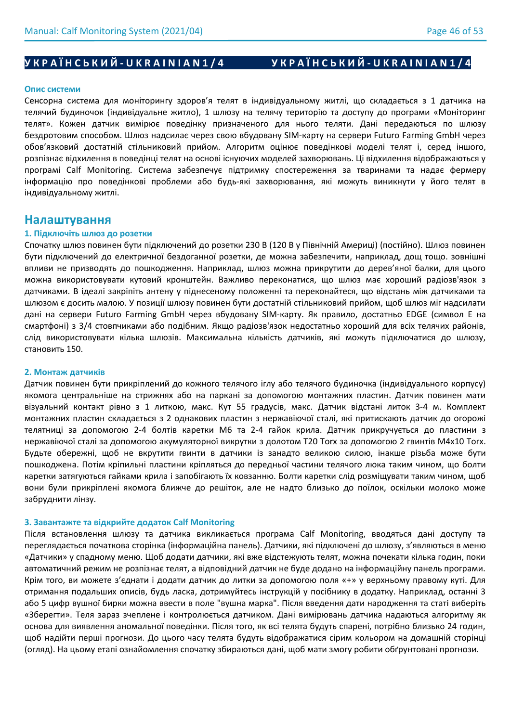# **УКРАЇНСЬКИЙ-UKRAINIAN1/4** УКРАЇНСЬКИЙ-UKRAINIAN1/4

#### **Опис системи**

Сенсорна система для моніторингу здоров'я телят в індивідуальному житлі, що складається з 1 датчика на телячий будиночок (індивідуальне житло), 1 шлюзу на телячу територію та доступу до програми «Моніторинг телят». Кожен датчик вимірює поведінку призначеного для нього теляти. Дані передаються по шлюзу бездротовим способом. Шлюз надсилає через свою вбудовану SIM-карту на сервери Futuro Farming GmbH через обов'язковий достатній стільниковий прийом. Алгоритм оцінює поведінкові моделі телят і, серед іншого, розпізнає відхилення в поведінці телят на основі існуючих моделей захворювань. Ці відхилення відображаються у програмі Calf Monitoring. Система забезпечує підтримку спостереження за тваринами та надає фермеру інформацію про поведінкові проблеми або будь-які захворювання, які можуть виникнути у його телят в індивідуальному житлі.

## **Налаштування**

### **1. Підключіть шлюз до розетки**

Спочатку шлюз повинен бути підключений до розетки 230 В (120 В у Північній Америці) (постійно). Шлюз повинен бути підключений до електричної бездоганної розетки, де можна забезпечити, наприклад, дощ тощо. зовнішні впливи не призводять до пошкодження. Наприклад, шлюз можна прикрутити до дерев'яної балки, для цього можна використовувати кутовий кронштейн. Важливо переконатися, що шлюз має хороший радіозв'язок з датчиками. В ідеалі закріпіть антену у піднесеному положенні та переконайтеся, що відстань між датчиками та шлюзом є досить малою. У позиції шлюзу повинен бути достатній стільниковий прийом, щоб шлюз міг надсилати дані на сервери Futuro Farming GmbH через вбудовану SIM-карту. Як правило, достатньо EDGE (символ E на смартфоні) з 3/4 стовпчиками або подібним. Якщо радіозв'язок недостатньо хороший для всіх телячих районів, слід використовувати кілька шлюзів. Максимальна кількість датчиків, які можуть підключатися до шлюзу, становить 150.

#### **2. Монтаж датчиків**

Датчик повинен бути прикріплений до кожного телячого іглу або телячого будиночка (індивідуального корпусу) якомога центральніше на стрижнях або на паркані за допомогою монтажних пластин. Датчик повинен мати візуальний контакт рівно з 1 литкою, макс. Кут 55 градусів, макс. Датчик відстані литок 3-4 м. Комплект монтажних пластин складається з 2 однакових пластин з нержавіючої сталі, які притискають датчик до огорожі телятниці за допомогою 2-4 болтів каретки М6 та 2-4 гайок крила. Датчик прикручується до пластини з нержавіючої сталі за допомогою акумуляторної викрутки з долотом T20 Torx за допомогою 2 гвинтів M4x10 Torx. Будьте обережні, щоб не вкрутити гвинти в датчики із занадто великою силою, інакше різьба може бути пошкоджена. Потім кріпильні пластини кріпляться до передньої частини телячого люка таким чином, що болти каретки затягуються гайками крила і запобігають їх ковзанню. Болти каретки слід розміщувати таким чином, щоб вони були прикріплені якомога ближче до решіток, але не надто близько до поїлок, оскільки молоко може забруднити лінзу.

#### **3. Завантажте та відкрийте додаток Calf Monitoring**

Після встановлення шлюзу та датчика викликається програма Calf Monitoring, вводяться дані доступу та переглядається початкова сторінка (інформаційна панель). Датчики, які підключені до шлюзу, з'являються в меню «Датчики» у спадному меню. Щоб додати датчики, які вже відстежують телят, можна почекати кілька годин, поки автоматичний режим не розпізнає телят, а відповідний датчик не буде додано на інформаційну панель програми. Крім того, ви можете з'єднати і додати датчик до литки за допомогою поля «+» у верхньому правому куті. Для отримання подальших описів, будь ласка, дотримуйтесь інструкцій у посібнику в додатку. Наприклад, останні 3 або 5 цифр вушної бирки можна ввести в поле "вушна марка". Після введення дати народження та статі виберіть «Зберегти». Теля зараз зчеплене і контролюється датчиком. Дані вимірювань датчика надаються алгоритму як основа для виявлення аномальної поведінки. Після того, як всі телята будуть спарені, потрібно близько 24 годин, щоб надійти перші прогнози. До цього часу телята будуть відображатися сірим кольором на домашній сторінці (огляд). На цьому етапі ознайомлення спочатку збираються дані, щоб мати змогу робити обґрунтовані прогнози.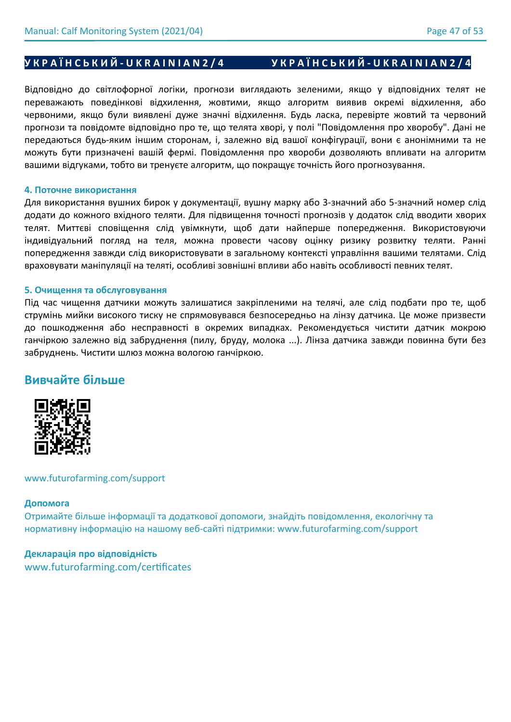# **УКРАЇНСЬКИЙ-UKRAINIAN2/4** УКРАЇНСЬКИЙ-UKRAINIAN2/4

Відповідно до світлофорної логіки, прогнози виглядають зеленими, якщо у відповідних телят не переважають поведінкові відхилення, жовтими, якщо алгоритм виявив окремі відхилення, або червоними, якщо були виявлені дуже значні відхилення. Будь ласка, перевірте жовтий та червоний прогнози та повідомте відповідно про те, що телята хворі, у полі "Повідомлення про хворобу". Дані не передаються будь-яким іншим сторонам, і, залежно від вашої конфігурації, вони є анонімними та не можуть бути призначені вашій фермі. Повідомлення про хвороби дозволяють впливати на алгоритм вашими відгуками, тобто ви тренуєте алгоритм, що покращує точність його прогнозування.

## **4. Поточне використання**

Для використання вушних бирок у документації, вушну марку або 3-значний або 5-значний номер слід додати до кожного вхідного теляти. Для підвищення точності прогнозів у додаток слід вводити хворих телят. Миттєві сповіщення слід увімкнути, щоб дати найперше попередження. Використовуючи індивідуальний погляд на теля, можна провести часову оцінку ризику розвитку теляти. Ранні попередження завжди слід використовувати в загальному контексті управління вашими телятами. Слід враховувати маніпуляції на теляті, особливі зовнішні впливи або навіть особливості певних телят.

### **5. Очищення та обслуговування**

Під час чищення датчики можуть залишатися закріпленими на телячі, але слід подбати про те, щоб струмінь мийки високого тиску не спрямовувався безпосередньо на лінзу датчика. Це може призвести до пошкодження або несправності в окремих випадках. Рекомендується чистити датчик мокрою ганчіркою залежно від забруднення (пилу, бруду, молока ...). Лінза датчика завжди повинна бути без забруднень. Чистити шлюз можна вологою ганчіркою.

# **Вивчайте більше**



## www.futurofarming.com/support

## **Допомога**

Отримайте більше інформації та додаткової допомоги, знайдіть повідомлення, екологічну та нормативну інформацію на нашому веб-сайті підтримки: www.futurofarming.com/support

## **Декларація про відповідність**

www.futurofarming.com/certificates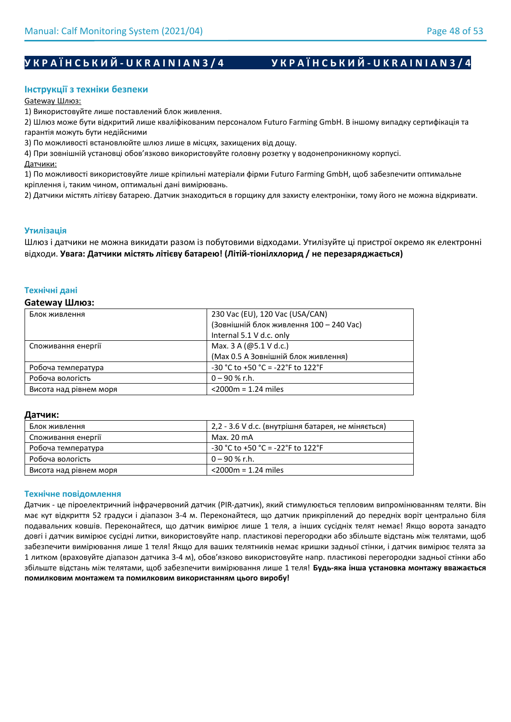# **УКРАЇНСЬКИЙ-UKRAINIAN3/4** УКРАЇНСЬКИЙ-UKRAINIAN3/4

## **Інструкції з техніки безпеки**

Gateway Шлюз:

1) Використовуйте лише поставлений блок живлення.

2) Шлюз може бути відкритий лише кваліфікованим персоналом Futuro Farming GmbH. В іншому випадку сертифікація та гарантія можуть бути недійсними

3) По можливості встановлюйте шлюз лише в місцях, захищених від дощу.

4) При зовнішній установці обов'язково використовуйте головну розетку у водонепроникному корпусі.

Датчики:

1) По можливості використовуйте лише кріпильні матеріали фірми Futuro Farming GmbH, щоб забезпечити оптимальне кріплення і, таким чином, оптимальні дані вимірювань.

2) Датчики містять літієву батарею. Датчик знаходиться в горщику для захисту електроніки, тому його не можна відкривати.

## **Утилізація**

Шлюз і датчики не можна викидати разом із побутовими відходами. Утилізуйте ці пристрої окремо як електронні відходи. **Увага: Датчики містять літієву батарею! (Літій-тіонілхлорид / не перезаряджається)**

### **Технічні дані**

#### **Gateway Шлюз:**

| Блок живлення          | 230 Vac (EU), 120 Vac (USA/CAN)          |
|------------------------|------------------------------------------|
|                        |                                          |
|                        | (Зовнішній блок живлення 100 - 240 Vac)  |
|                        | Internal 5.1 V d.c. only                 |
| Споживання енергії     | Max. 3 A (@5.1 V d.c.)                   |
|                        | (Мах 0.5 А Зовнішній блок живлення)      |
| Робоча температура     | $-30$ °C to $+50$ °C = $-22$ °F to 122°F |
| Робоча вологість       | $0 - 90 %$ r.h.                          |
| Висота над рівнем моря | $<$ 2000 $m$ = 1.24 miles                |

### **Датчик:**

| Блок живлення          | 2,2 - 3.6 V d.c. (внутрішня батарея, не міняється) |
|------------------------|----------------------------------------------------|
| Споживання енергії     | Max. 20 mA                                         |
| Робоча температура     | $-30$ °C to +50 °C = -22°F to 122°F                |
| Робоча вологість       | 0 – 90 % r.h.                                      |
| Висота над рівнем моря | $<$ 2000 $m$ = 1.24 miles                          |

### **Технічне повідомлення**

Датчик - це піроелектричний інфрачервоний датчик (PIR-датчик), який стимулюється тепловим випромінюванням теляти. Він має кут відкриття 52 градуси і діапазон 3-4 м. Переконайтеся, що датчик прикріплений до передніх воріт центрально біля подавальних ковшів. Переконайтеся, що датчик вимірює лише 1 теля, а інших сусідніх телят немає! Якщо ворота занадто довгі і датчик вимірює сусідні литки, використовуйте напр. пластикові перегородки або збільште відстань між телятами, щоб забезпечити вимірювання лише 1 теля! Якщо для ваших телятників немає кришки задньої стінки, і датчик вимірює телята за 1 литком (враховуйте діапазон датчика 3-4 м), обов'язково використовуйте напр. пластикові перегородки задньої стінки або збільште відстань між телятами, щоб забезпечити вимірювання лише 1 теля! **Будь-яка інша установка монтажу вважається помилковим монтажем та помилковим використанням цього виробу!**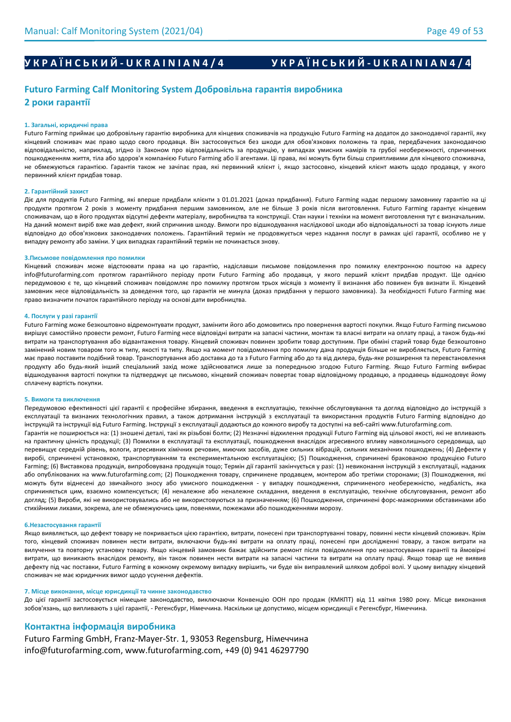# **У К Р А Ї Н С Ь К И Й - U K R A I N I A N 4 / 4 У К Р А Ї Н С Ь К И Й - U K R A I N I A N 4 / 4**

# **Futuro Farming Calf Monitoring System Добровільна гарантія виробника 2 роки гарантії**

#### **1. Загальні, юридичні права**

Futuro Farming приймає цю добровільну гарантію виробника для кінцевих споживачів на продукцію Futuro Farming на додаток до законодавчої гарантії, яку кінцевий споживач має право щодо свого продавця. Він застосовується без шкоди для обов'язкових положень та прав, передбачених законодавчою відповідальністю, наприклад, згідно із Законом про відповідальність за продукцію, у випадках умисних намірів та грубої необережності, спричинених пошкодженням життя, тіла або здоров'я компанією Futuro Farming або її агентами. Ці права, які можуть бути більш сприятливими для кінцевого споживача, не обмежуються гарантією. Гарантія також не зачіпає прав, які первинний клієнт і, якщо застосовно, кінцевий клієнт мають щодо продавця, у якого первинний клієнт придбав товар.

#### **2. Гарантійний захист**

Діє для продуктів Futuro Farming, які вперше придбали клієнти з 01.01.2021 (доказ придбання). Futuro Farming надає першому замовнику гарантію на ці продукти протягом 2 років з моменту придбання першим замовником, але не більше 3 років після виготовлення. Futuro Farming гарантує кінцевим споживачам, що в його продуктах відсутні дефекти матеріалу, виробництва та конструкції. Стан науки і техніки на момент виготовлення тут є визначальним. На даний момент виріб вже мав дефект, який спричинив шкоду. Вимоги про відшкодування наслідкової шкоди або відповідальності за товар існують лише відповідно до обов'язкових законодавчих положень. Гарантійний термін не продовжується через надання послуг в рамках цієї гарантії, особливо не у випадку ремонту або заміни. У цих випадках гарантійний термін не починається знову.

#### **3.Письмове повідомлення про помилки**

Кінцевий споживач може відстоювати права на цю гарантію, надіславши письмове повідомлення про помилку електронною поштою на адресу info@futurofarming.com протягом гарантійного періоду проти Futuro Farming або продавця, у якого перший клієнт придбав продукт. Ще однією передумовою є те, що кінцевий споживач повідомляє про помилку протягом трьох місяців з моменту її визнання або повинен був визнати її. Кінцевий замовник несе відповідальність за доведення того, що гарантія не минула (доказ придбання у першого замовника). За необхідності Futuro Farming має право визначити початок гарантійного періоду на основі дати виробництва.

#### **4. Послуги у разі гарантії**

Futuro Farming може безкоштовно відремонтувати продукт, замінити його або домовитись про повернення вартості покупки. Якщо Futuro Farming письмово вирішує самостійно провести ремонт, Futuro Farming несе відповідні витрати на запасні частини, монтаж та власні витрати на оплату праці, а також будь-які витрати на транспортування або відвантаження товару. Кінцевий споживач повинен зробити товар доступним. При обміні старий товар буде безкоштовно замінений новим товаром того ж типу, якості та типу. Якщо на момент повідомлення про помилку дана продукція більше не виробляється, Futuro Farming має право поставити подібний товар. Транспортування або доставка до та з Futuro Farming або до та від дилера, будь-яке розширення та перевстановлення продукту або будь-який інший спеціальний захід може здійснюватися лише за попередньою згодою Futuro Farming. Якщо Futuro Farming вибирає відшкодування вартості покупки та підтверджує це письмово, кінцевий споживач повертає товар відповідному продавцю, а продавець відшкодовує йому сплачену вартість покупки.

#### **5. Вимоги та виключення**

Передумовою ефективності цієї гарантії є професійне збирання, введення в експлуатацію, технічне обслуговування та догляд відповідно до інструкцій з експлуатації та визнаних технологічних правил, а також дотримання інструкцій з експлуатації та використання продуктів Futuro Farming відповідно до інструкцій та інструкції від Futuro Farming. Інструкції з експлуатації додаються до кожного виробу та доступні на веб-сайті www.futurofarming.com.

Гарантія не поширюється на: (1) зношені деталі, такі як різьбові болти; (2) Незначні відхилення продукції Futuro Farming від цільової якості, які не впливають на практичну цінність продукції; (3) Помилки в експлуатації та експлуатації, пошкодження внаслідок агресивного впливу навколишнього середовища, що перевищує середній рівень, вологи, агресивних хімічних речовин, миючих засобів, дуже сильних вібрацій, сильних механічних пошкоджень; (4) Дефекти у виробі, спричинені установкою, транспортуванням та експериментальною експлуатацією; (5) Пошкодження, спричинені бракованою продукцією Futuro Farming; (6) Виставкова продукція, випробовувана продукція тощо; Термін дії гарантії закінчується у разі: (1) невиконання інструкцій з експлуатації, наданих або опублікованих на www.futurofarming.com; (2) Пошкодження товару, спричинене продавцем, монтером або третіми сторонами; (3) Пошкодження, які можуть бути віднесені до звичайного зносу або умисного пошкодження - у випадку пошкодження, спричиненого необережністю, недбалість, яка спричиняється цим, взаємно компенсується; (4) неналежне або неналежне складання, введення в експлуатацію, технічне обслуговування, ремонт або догляд; (5) Вироби, які не використовувались або не використовуються за призначенням; (6) Пошкодження, спричинені форс-мажорними обставинами або стихійними лихами, зокрема, але не обмежуючись цим, повенями, пожежами або пошкодженнями морозу.

#### **6.Незастосування гарантії**

Якщо виявляється, що дефект товару не покривається цією гарантією, витрати, понесені при транспортуванні товару, повинні нести кінцевий споживач. Крім того, кінцевий споживач повинен нести витрати, включаючи будь-які витрати на оплату праці, понесені при дослідженні товару, а також витрати на вилучення та повторну установку товару. Якщо кінцевий замовник бажає здійснити ремонт після повідомлення про незастосування гарантії та ймовірні витрати, що виникають внаслідок ремонту, він також повинен нести витрати на запасні частини та витрати на оплату праці. Якщо товар ще не виявив дефекту під час поставки, Futuro Farming в кожному окремому випадку вирішить, чи буде він виправлений шляхом доброї волі. У цьому випадку кінцевий споживач не має юридичних вимог щодо усунення дефектів.

#### **7. Місце виконання, місце юрисдикції та чинне законодавство**

До цієї гарантії застосовується німецьке законодавство, виключаючи Конвенцію ООН про продаж (КМКПТ) від 11 квітня 1980 року. Місце виконання зобов'язань, що випливають з цієї гарантії, - Регенсбург, Німеччина. Наскільки це допустимо, місцем юрисдикції є Регенсбург, Німеччина.

#### **Контактна інформація виробника**

Futuro Farming GmbH, Franz-Mayer-Str. 1, 93053 Regensburg, Німеччина info@futurofarming.com, www.futurofarming.com, +49 (0) 941 46297790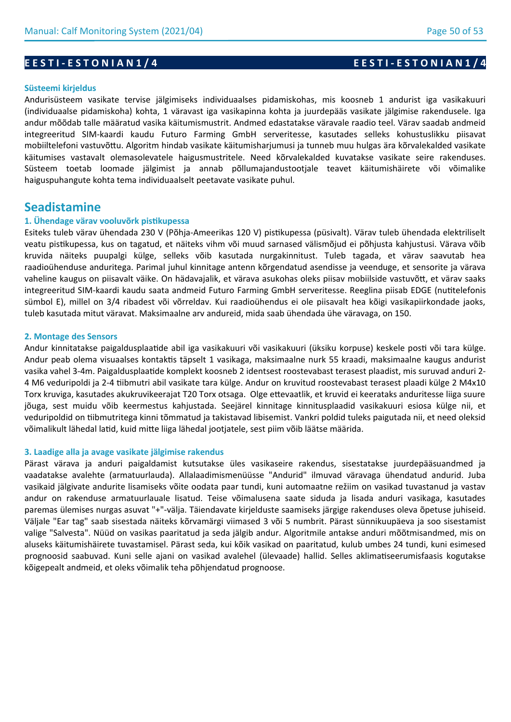#### **Süsteemi kirjeldus**

Andurisüsteem vasikate tervise jälgimiseks individuaalses pidamiskohas, mis koosneb 1 andurist iga vasikakuuri (individuaalse pidamiskoha) kohta, 1 väravast iga vasikapinna kohta ja juurdepääs vasikate jälgimise rakendusele. Iga andur mõõdab talle määratud vasika käitumismustrit. Andmed edastatakse väravale raadio teel. Värav saadab andmeid integreeritud SIM-kaardi kaudu Futuro Farming GmbH serveritesse, kasutades selleks kohustuslikku piisavat mobiiltelefoni vastuvõttu. Algoritm hindab vasikate käitumisharjumusi ja tunneb muu hulgas ära kõrvalekalded vasikate käitumises vastavalt olemasolevatele haigusmustritele. Need kõrvalekalded kuvatakse vasikate seire rakenduses. Süsteem toetab loomade jälgimist ja annab põllumajandustootjale teavet käitumishäirete või võimalike haiguspuhangute kohta tema individuaalselt peetavate vasikate puhul.

# **Seadistamine**

## **1. Ühendage värav vooluvõrk pistikupessa**

Esiteks tuleb värav ühendada 230 V (Põhja-Ameerikas 120 V) pistikupessa (püsivalt). Värav tuleb ühendada elektriliselt veatu pistikupessa, kus on tagatud, et näiteks vihm või muud sarnased välismõjud ei põhjusta kahjustusi. Värava võib kruvida näiteks puupalgi külge, selleks võib kasutada nurgakinnitust. Tuleb tagada, et värav saavutab hea raadioühenduse anduritega. Parimal juhul kinnitage antenn kõrgendatud asendisse ja veenduge, et sensorite ja värava vaheline kaugus on piisavalt väike. On hädavajalik, et värava asukohas oleks piisav mobiilside vastuvõtt, et värav saaks integreeritud SIM-kaardi kaudu saata andmeid Futuro Farming GmbH serveritesse. Reeglina piisab EDGE (nutitelefonis sümbol E), millel on 3/4 ribadest või võrreldav. Kui raadioühendus ei ole piisavalt hea kõigi vasikapiirkondade jaoks, tuleb kasutada mitut väravat. Maksimaalne arv andureid, mida saab ühendada ühe väravaga, on 150.

### **2. Montage des Sensors**

Andur kinnitatakse paigaldusplaatide abil iga vasikakuuri või vasikakuuri (üksiku korpuse) keskele posti või tara külge. Andur peab olema visuaalses kontaktis täpselt 1 vasikaga, maksimaalne nurk 55 kraadi, maksimaalne kaugus andurist vasika vahel 3-4m. Paigaldusplaatide komplekt koosneb 2 identsest roostevabast terasest plaadist, mis suruvad anduri 2- 4 M6 veduripoldi ja 2-4 tiibmutri abil vasikate tara külge. Andur on kruvitud roostevabast terasest plaadi külge 2 M4x10 Torx kruviga, kasutades akukruvikeerajat T20 Torx otsaga. Olge ettevaatlik, et kruvid ei keerataks anduritesse liiga suure jõuga, sest muidu võib keermestus kahjustada. Seejärel kinnitage kinnitusplaadid vasikakuuri esiosa külge nii, et veduripoldid on tiibmutritega kinni tõmmatud ja takistavad libisemist. Vankri poldid tuleks paigutada nii, et need oleksid võimalikult lähedal latid, kuid mitte liiga lähedal jootjatele, sest piim võib läätse määrida.

### **3. Laadige alla ja avage vasikate jälgimise rakendus**

Pärast värava ja anduri paigaldamist kutsutakse üles vasikaseire rakendus, sisestatakse juurdepääsuandmed ja vaadatakse avalehte (armatuurlauda). Allalaadimismenüüsse "Andurid" ilmuvad väravaga ühendatud andurid. Juba vasikaid jälgivate andurite lisamiseks võite oodata paar tundi, kuni automaatne režiim on vasikad tuvastanud ja vastav andur on rakenduse armatuurlauale lisatud. Teise võimalusena saate siduda ja lisada anduri vasikaga, kasutades paremas ülemises nurgas asuvat "+"-välja. Täiendavate kirjelduste saamiseks järgige rakenduses oleva õpetuse juhiseid. Väljale "Ear tag" saab sisestada näiteks kõrvamärgi viimased 3 või 5 numbrit. Pärast sünnikuupäeva ja soo sisestamist valige "Salvesta". Nüüd on vasikas paaritatud ja seda jälgib andur. Algoritmile antakse anduri mõõtmisandmed, mis on aluseks käitumishäirete tuvastamisel. Pärast seda, kui kõik vasikad on paaritatud, kulub umbes 24 tundi, kuni esimesed prognoosid saabuvad. Kuni selle ajani on vasikad avalehel (ülevaade) hallid. Selles aklimatiseerumisfaasis kogutakse kõigepealt andmeid, et oleks võimalik teha põhjendatud prognoose.

## **E E S T I - E S T O N I A N 1 / 4 E E S T I - E S T O N I A N 1 / 4**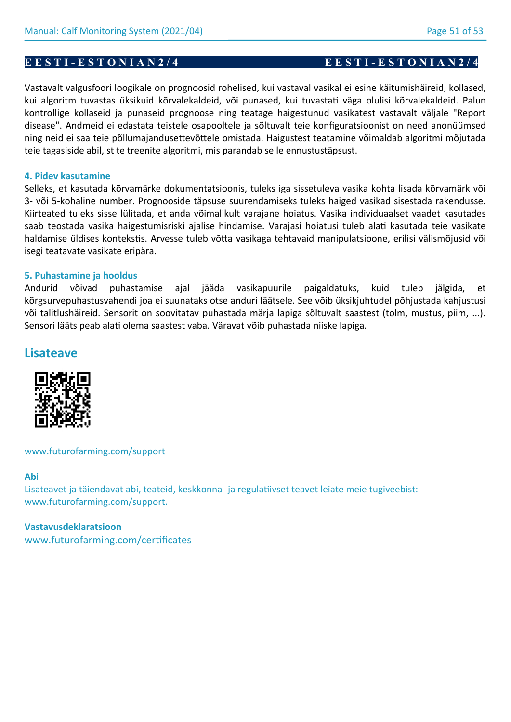Vastavalt valgusfoori loogikale on prognoosid rohelised, kui vastaval vasikal ei esine käitumishäireid, kollased, kui algoritm tuvastas üksikuid kõrvalekaldeid, või punased, kui tuvastati väga olulisi kõrvalekaldeid. Palun kontrollige kollaseid ja punaseid prognoose ning teatage haigestunud vasikatest vastavalt väljale "Report disease". Andmeid ei edastata teistele osapooltele ja sõltuvalt teie konfiguratsioonist on need anonüümsed ning neid ei saa teie põllumajandusettevõttele omistada. Haigustest teatamine võimaldab algoritmi mõjutada teie tagasiside abil, st te treenite algoritmi, mis parandab selle ennustustäpsust.

## **4. Pidev kasutamine**

Selleks, et kasutada kõrvamärke dokumentatsioonis, tuleks iga sissetuleva vasika kohta lisada kõrvamärk või 3- või 5-kohaline number. Prognooside täpsuse suurendamiseks tuleks haiged vasikad sisestada rakendusse. Kiirteated tuleks sisse lülitada, et anda võimalikult varajane hoiatus. Vasika individuaalset vaadet kasutades saab teostada vasika haigestumisriski ajalise hindamise. Varajasi hoiatusi tuleb alati kasutada teie vasikate haldamise üldises kontekstis. Arvesse tuleb võtta vasikaga tehtavaid manipulatsioone, erilisi välismõjusid või isegi teatavate vasikate eripära.

## **5. Puhastamine ja hooldus**

Andurid võivad puhastamise ajal jääda vasikapuurile paigaldatuks, kuid tuleb jälgida, et kõrgsurvepuhastusvahendi joa ei suunataks otse anduri läätsele. See võib üksikjuhtudel põhjustada kahjustusi või talitlushäireid. Sensorit on soovitatav puhastada märja lapiga sõltuvalt saastest (tolm, mustus, piim, ...). Sensori lääts peab alati olema saastest vaba. Väravat võib puhastada niiske lapiga.

# **Lisateave**



www.futurofarming.com/support

## **Abi**

Lisateavet ja täiendavat abi, teateid, keskkonna- ja regulatiivset teavet leiate meie tugiveebist: www.futurofarming.com/support.

# **Vastavusdeklaratsioon** www.futurofarming.com/certificates

# **E E S T I - E S T O N I A N 2 / 4** E E S T I - E S T O N I A N 2 / 4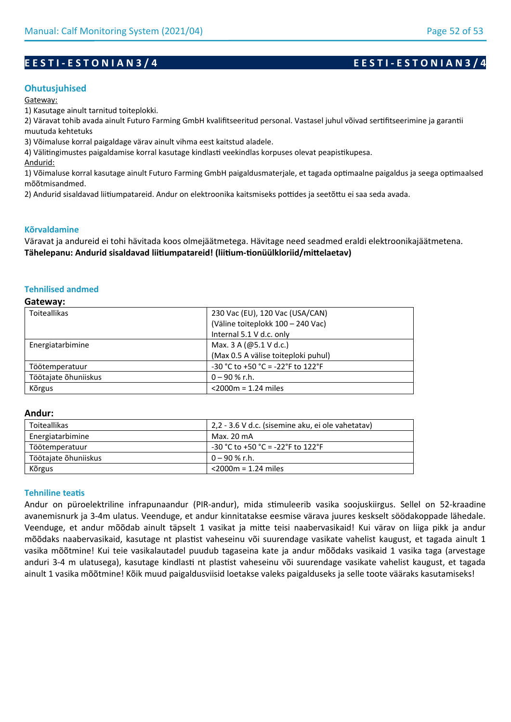## **Ohutusjuhised**

Gateway:

1) Kasutage ainult tarnitud toiteplokki.

2) Väravat tohib avada ainult Futuro Farming GmbH kvalifitseeritud personal. Vastasel juhul võivad sertifitseerimine ja garantii muutuda kehtetuks

3) Võimaluse korral paigaldage värav ainult vihma eest kaitstud aladele.

4) Välitingimustes paigaldamise korral kasutage kindlasti veekindlas korpuses olevat peapistikupesa.

Andurid:

1) Võimaluse korral kasutage ainult Futuro Farming GmbH paigaldusmaterjale, et tagada optimaalne paigaldus ja seega optimaalsed mõõtmisandmed.

2) Andurid sisaldavad liitiumpatareid. Andur on elektroonika kaitsmiseks pottides ja seetõttu ei saa seda avada.

## **Kõrvaldamine**

Väravat ja andureid ei tohi hävitada koos olmejäätmetega. Hävitage need seadmed eraldi elektroonikajäätmetena. **Tähelepanu: Andurid sisaldavad liitiumpatareid! (liitium-tionüülkloriid/mittelaetav)**

## **Tehnilised andmed**

#### **Gateway:**

| <b>Toiteallikas</b>  | 230 Vac (EU), 120 Vac (USA/CAN)     |
|----------------------|-------------------------------------|
|                      | (Väline toiteplokk 100 - 240 Vac)   |
|                      | Internal 5.1 V d.c. only            |
| Energiatarbimine     | Max. 3 A (@5.1 V d.c.)              |
|                      | (Max 0.5 A välise toiteploki puhul) |
| Töötemperatuur       | -30 °C to +50 °C = -22°F to 122°F   |
| Töötajate õhuniiskus | $0 - 90 %$ r.h.                     |
| Kõrgus               | $<$ 2000 $m$ = 1.24 miles           |

### **Andur:**

| Toiteallikas         | 2,2 - 3.6 V d.c. (sisemine aku, ei ole vahetatav) |
|----------------------|---------------------------------------------------|
| Energiatarbimine     | Max. 20 mA                                        |
| Töötemperatuur       | $-30$ °C to +50 °C = -22°F to 122°F               |
| Töötajate õhuniiskus | $0 - 90$ % r.h.                                   |
| Kõrgus               | $<$ 2000m = 1.24 miles                            |

### **Tehniline teatis**

Andur on püroelektriline infrapunaandur (PIR-andur), mida stimuleerib vasika soojuskiirgus. Sellel on 52-kraadine avanemisnurk ja 3-4m ulatus. Veenduge, et andur kinnitatakse eesmise värava juures keskselt söödakoppade lähedale. Veenduge, et andur mõõdab ainult täpselt 1 vasikat ja mitte teisi naabervasikaid! Kui värav on liiga pikk ja andur mõõdaks naabervasikaid, kasutage nt plastist vaheseinu või suurendage vasikate vahelist kaugust, et tagada ainult 1 vasika mõõtmine! Kui teie vasikalautadel puudub tagaseina kate ja andur mõõdaks vasikaid 1 vasika taga (arvestage anduri 3-4 m ulatusega), kasutage kindlasti nt plastist vaheseinu või suurendage vasikate vahelist kaugust, et tagada ainult 1 vasika mõõtmine! Kõik muud paigaldusviisid loetakse valeks paigalduseks ja selle toote vääraks kasutamiseks!

# **E E S T I - E S T O N I A N 3 / 4 E E S T I - E S T O N I A N 3 / 4**